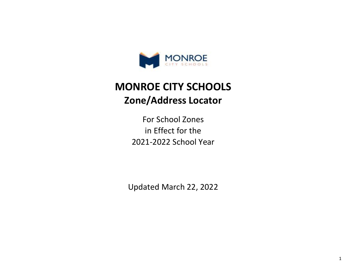

## **Zone/Address Locator MONROE CITY SCHOOLS**

2021-2022 School Year For School Zones in Effect for the

Updated March 22, 2022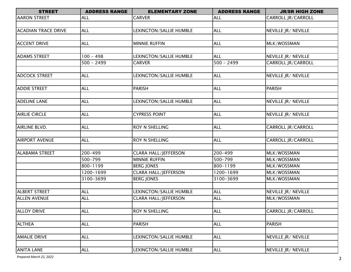| <b>STREET</b>              | <b>ADDRESS RANGE</b> | <b>ELEMENTARY ZONE</b>      | <b>ADDRESS RANGE</b> | <b>JR/SR HIGH ZONE</b>    |
|----------------------------|----------------------|-----------------------------|----------------------|---------------------------|
| <b>AARON STREET</b>        | <b>ALL</b>           | <b>CARVER</b>               | <b>ALL</b>           | <b>CARROLL JR/CARROLL</b> |
|                            |                      |                             |                      |                           |
| <b>ACADIAN TRACE DRIVE</b> | <b>ALL</b>           | LEXINGTON/SALLIE HUMBLE     | <b>ALL</b>           | NEVILLE JR/ NEVILLE       |
|                            |                      |                             |                      |                           |
| <b>ACCENT DRIVE</b>        | <b>ALL</b>           | <b>MINNIE RUFFIN</b>        | <b>ALL</b>           | MLK/WOSSMAN               |
|                            |                      |                             |                      |                           |
| <b>ADAMS STREET</b>        | $100 - 498$          | LEXINGTON/SALLIE HUMBLE     | <b>ALL</b>           | NEVILLE JR/ NEVILLE       |
|                            | $500 - 2499$         | <b>CARVER</b>               | $500 - 2499$         | CARROLL JR/CARROLL        |
|                            |                      |                             |                      |                           |
| <b>ADCOCK STREET</b>       | <b>ALL</b>           | LEXINGTON/SALLIE HUMBLE     | <b>ALL</b>           | NEVILLE JR/ NEVILLE       |
|                            |                      |                             |                      |                           |
| <b>ADDIE STREET</b>        | <b>ALL</b>           | PARISH                      | <b>ALL</b>           | <b>PARISH</b>             |
|                            |                      |                             |                      |                           |
| <b>ADELINE LANE</b>        | <b>ALL</b>           | LEXINGTON/SALLIE HUMBLE     | <b>ALL</b>           | NEVILLE JR/ NEVILLE       |
|                            |                      |                             |                      |                           |
| <b>AIRLIE CIRCLE</b>       | <b>ALL</b>           | <b>CYPRESS POINT</b>        | <b>ALL</b>           | NEVILLE JR/ NEVILLE       |
|                            |                      |                             |                      |                           |
| AIRLINE BLVD.              | <b>ALL</b>           | ROY N SHELLING              | <b>ALL</b>           | CARROLL JR/CARROLL        |
|                            |                      |                             |                      |                           |
| <b>AIRPORT AVENUE</b>      | <b>ALL</b>           | ROY N SHELLING              | <b>ALL</b>           | CARROLL JR/CARROLL        |
|                            |                      |                             |                      |                           |
| <b>ALABAMA STREET</b>      | 200-499              | <b>CLARA HALL/JEFFERSON</b> | 200-499              | MLK/WOSSMAN               |
|                            | 500-799              | <b>MINNIE RUFFIN</b>        | 500-799              | MLK/WOSSMAN               |
|                            | 800-1199             | <b>BERG JONES</b>           | 800-1199             | MLK/WOSSMAN               |
|                            | 1200-1699            | <b>CLARA HALL/JEFFERSON</b> | 1200-1699            | MLK/WOSSMAN               |
|                            | 3100-3699            | <b>BERG JONES</b>           | 3100-3699            | MLK/WOSSMAN               |
|                            |                      |                             |                      |                           |
| <b>ALBERT STREET</b>       | <b>ALL</b>           | LEXINGTON/SALLIE HUMBLE     | <b>ALL</b>           | NEVILLE JR/ NEVILLE       |
| <b>ALLEN AVENUE</b>        | <b>ALL</b>           | <b>CLARA HALL/JEFFERSON</b> | <b>ALL</b>           | MLK/WOSSMAN               |
|                            |                      |                             |                      |                           |
| <b>ALLOY DRIVE</b>         | <b>ALL</b>           | ROY N SHELLING              | <b>ALL</b>           | <b>CARROLL JR/CARROLL</b> |
|                            |                      |                             |                      |                           |
| <b>ALTHEA</b>              | <b>ALL</b>           | PARISH                      | <b>ALL</b>           | <b>PARISH</b>             |
|                            |                      |                             |                      |                           |
| <b>AMALIE DRIVE</b>        | <b>ALL</b>           | LEXINGTON/SALLIE HUMBLE     | <b>ALL</b>           | NEVILLE JR/ NEVILLE       |
|                            |                      |                             |                      |                           |
| <b>ANITA LANE</b>          | <b>ALL</b>           | LEXINGTON/SALLIE HUMBLE     | <b>ALL</b>           | NEVILLE JR/ NEVILLE       |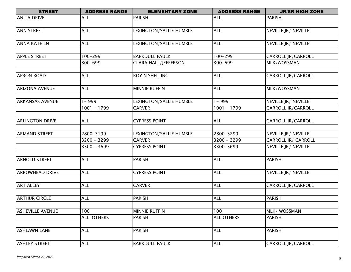| <b>STREET</b>           | <b>ADDRESS RANGE</b> | <b>ELEMENTARY ZONE</b>      | <b>ADDRESS RANGE</b> | <b>JR/SR HIGH ZONE</b>    |
|-------------------------|----------------------|-----------------------------|----------------------|---------------------------|
| <b>ANITA DRIVE</b>      | <b>ALL</b>           | <b>PARISH</b>               | <b>ALL</b>           | <b>PARISH</b>             |
|                         |                      |                             |                      |                           |
| <b>ANN STREET</b>       | ALL                  | LEXINGTON/SALLIE HUMBLE     | <b>ALL</b>           | NEVILLE JR/ NEVILLE       |
|                         |                      |                             |                      |                           |
| <b>ANNA KATE LN</b>     | <b>ALL</b>           | LEXINGTON/SALLIE HUMBLE     | <b>ALL</b>           | NEVILLE JR/ NEVILLE       |
|                         |                      |                             |                      |                           |
| <b>APPLE STREET</b>     | 100-299              | <b>BARKDULL FAULK</b>       | $100 - 299$          | CARROLL JR/CARROLL        |
|                         | 300-699              | <b>CLARA HALL/JEFFERSON</b> | 300-699              | MLK/WOSSMAN               |
|                         |                      |                             |                      |                           |
| <b>APRON ROAD</b>       | <b>ALL</b>           | <b>ROY N SHELLING</b>       | <b>ALL</b>           | CARROLL JR/CARROLL        |
|                         |                      |                             |                      |                           |
| <b>ARIZONA AVENUE</b>   | <b>ALL</b>           | <b>MINNIE RUFFIN</b>        | <b>ALL</b>           | MLK/WOSSMAN               |
|                         |                      |                             |                      |                           |
| <b>ARKANSAS AVENUE</b>  | 1 - 999              | LEXINGTON/SALLIE HUMBLE     | $1 - 999$            | NEVILLE JR/ NEVILLE       |
|                         | 1001 - 1799          | <b>CARVER</b>               | $1001 - 1799$        | <b>CARROLL JR/CARROLL</b> |
|                         |                      |                             |                      |                           |
| <b>ARLINGTON DRIVE</b>  | <b>ALL</b>           | <b>CYPRESS POINT</b>        | <b>ALL</b>           | CARROLL JR/CARROLL        |
|                         |                      |                             |                      |                           |
| <b>ARMAND STREET</b>    | 2800-3199            | LEXINGTON/SALLIE HUMBLE     | 2800-3299            | NEVILLE JR/ NEVILLE       |
|                         | $3200 - 3299$        | <b>CARVER</b>               | $3200 - 3299$        | CARROLL JR/ CARROLL       |
|                         | $3300 - 3699$        | <b>CYPRESS POINT</b>        | 3300-3699            | NEVILLE JR/ NEVILLE       |
|                         |                      |                             |                      |                           |
| <b>ARNOLD STREET</b>    | <b>ALL</b>           | <b>PARISH</b>               | <b>ALL</b>           | <b>PARISH</b>             |
|                         |                      |                             |                      |                           |
| <b>ARROWHEAD DRIVE</b>  | <b>ALL</b>           | <b>CYPRESS POINT</b>        | <b>ALL</b>           | NEVILLE JR/ NEVILLE       |
|                         |                      |                             |                      |                           |
| <b>ART ALLEY</b>        | <b>ALL</b>           | <b>CARVER</b>               | <b>ALL</b>           | CARROLL JR/CARROLL        |
|                         |                      |                             |                      |                           |
| <b>ARTHUR CIRCLE</b>    | <b>ALL</b>           | <b>PARISH</b>               | <b>ALL</b>           | <b>PARISH</b>             |
|                         |                      |                             |                      |                           |
| <b>ASHEVILLE AVENUE</b> | 100                  | <b>MINNIE RUFFIN</b>        | 100                  | MLK/ WOSSMAN              |
|                         | ALL OTHERS           | <b>PARISH</b>               | <b>ALL OTHERS</b>    | <b>PARISH</b>             |
|                         |                      |                             |                      |                           |
| <b>ASHLAWN LANE</b>     | <b>ALL</b>           | <b>PARISH</b>               | <b>ALL</b>           | <b>PARISH</b>             |
|                         |                      |                             |                      |                           |
| <b>ASHLEY STREET</b>    | <b>ALL</b>           | <b>BARKDULL FAULK</b>       | <b>ALL</b>           | <b>CARROLL JR/CARROLL</b> |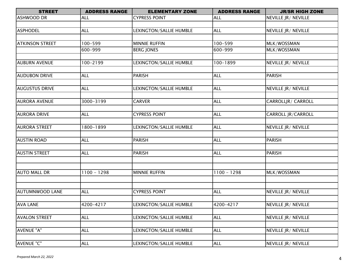| <b>STREET</b>          | <b>ADDRESS RANGE</b> | <b>ELEMENTARY ZONE</b>  | <b>ADDRESS RANGE</b> | <b>JR/SR HIGH ZONE</b> |
|------------------------|----------------------|-------------------------|----------------------|------------------------|
| <b>ASHWOOD DR</b>      | <b>ALL</b>           | <b>CYPRESS POINT</b>    | <b>ALL</b>           | NEVILLE JR/ NEVILLE    |
|                        |                      |                         |                      |                        |
| <b>ASPHODEL</b>        | ALL                  | LEXINGTON/SALLIE HUMBLE | <b>ALL</b>           | NEVILLE JR/ NEVILLE    |
|                        |                      |                         |                      |                        |
| <b>ATKINSON STREET</b> | 100-599              | <b>MINNIE RUFFIN</b>    | 100-599              | MLK/WOSSMAN            |
|                        | 600-999              | <b>BERG JONES</b>       | 600-999              | MLK/WOSSMAN            |
|                        |                      |                         |                      |                        |
| <b>AUBURN AVENUE</b>   | 100-2199             | LEXINGTON/SALLIE HUMBLE | 100-1899             | NEVILLE JR/ NEVILLE    |
|                        |                      |                         |                      |                        |
| <b>AUDUBON DRIVE</b>   | <b>ALL</b>           | <b>PARISH</b>           | <b>ALL</b>           | <b>PARISH</b>          |
|                        |                      |                         |                      |                        |
| <b>AUGUSTUS DRIVE</b>  | <b>ALL</b>           | LEXINGTON/SALLIE HUMBLE | <b>ALL</b>           | NEVILLE JR/ NEVILLE    |
| <b>AURORA AVENUE</b>   | 3000-3199            | <b>CARVER</b>           | <b>ALL</b>           | CARROLLJR/ CARROLL     |
|                        |                      |                         |                      |                        |
| <b>AURORA DRIVE</b>    | <b>ALL</b>           | <b>CYPRESS POINT</b>    | <b>ALL</b>           | CARROLL JR/CARROLL     |
|                        |                      |                         |                      |                        |
| <b>AURORA STREET</b>   | 1800-1899            | LEXINGTON/SALLIE HUMBLE | <b>ALL</b>           | NEVILLE JR/ NEVILLE    |
|                        |                      |                         |                      |                        |
| <b>AUSTIN ROAD</b>     | <b>ALL</b>           | <b>PARISH</b>           | <b>ALL</b>           | <b>PARISH</b>          |
|                        |                      |                         |                      |                        |
| <b>AUSTIN STREET</b>   | <b>ALL</b>           | <b>PARISH</b>           | <b>ALL</b>           | <b>PARISH</b>          |
|                        |                      |                         |                      |                        |
|                        |                      |                         |                      |                        |
| <b>AUTO MALL DR</b>    | $1100 - 1298$        | <b>MINNIE RUFFIN</b>    | $1100 - 1298$        | MLK/WOSSMAN            |
|                        |                      |                         |                      |                        |
|                        |                      |                         |                      |                        |
| <b>AUTUMNWOOD LANE</b> | <b>ALL</b>           | <b>CYPRESS POINT</b>    | <b>ALL</b>           | NEVILLE JR/ NEVILLE    |
|                        |                      |                         |                      |                        |
| <b>AVA LANE</b>        | 4200-4217            | LEXINGTON/SALLIE HUMBLE | 4200-4217            | NEVILLE JR/ NEVILLE    |
|                        |                      |                         |                      |                        |
| <b>AVALON STREET</b>   | <b>ALL</b>           | LEXINGTON/SALLIE HUMBLE | <b>ALL</b>           | NEVILLE JR/ NEVILLE    |
|                        |                      |                         |                      |                        |
| AVENUE "A"             | <b>ALL</b>           | LEXINGTON/SALLIE HUMBLE | <b>ALL</b>           | NEVILLE JR/ NEVILLE    |
|                        |                      |                         |                      |                        |
| <b>AVENUE "C"</b>      | <b>ALL</b>           | LEXINGTON/SALLIE HUMBLE | <b>ALL</b>           | NEVILLE JR/ NEVILLE    |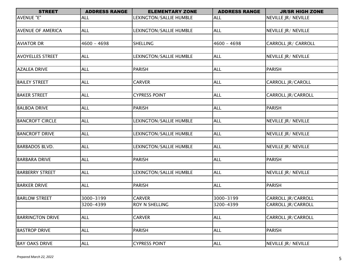| <b>STREET</b>            | <b>ADDRESS RANGE</b> | <b>ELEMENTARY ZONE</b>  | <b>ADDRESS RANGE</b> | <b>JR/SR HIGH ZONE</b>    |
|--------------------------|----------------------|-------------------------|----------------------|---------------------------|
| AVENUE "E"               | <b>ALL</b>           | LEXINGTON/SALLIE HUMBLE | <b>ALL</b>           | NEVILLE JR/ NEVILLE       |
|                          |                      |                         |                      |                           |
| <b>AVENUE OF AMERICA</b> | <b>ALL</b>           | LEXINGTON/SALLIE HUMBLE | <b>ALL</b>           | NEVILLE JR/ NEVILLE       |
|                          |                      |                         |                      |                           |
| <b>AVIATOR DR</b>        | $4600 - 4698$        | <b>SHELLING</b>         | $4600 - 4698$        | CARROLL JR/ CARROLL       |
|                          |                      |                         |                      |                           |
| <b>AVOYELLES STREET</b>  | <b>ALL</b>           | LEXINGTON/SALLIE HUMBLE | <b>ALL</b>           | NEVILLE JR/ NEVILLE       |
|                          |                      |                         |                      |                           |
| <b>AZALEA DRIVE</b>      | <b>ALL</b>           | <b>PARISH</b>           | <b>ALL</b>           | <b>PARISH</b>             |
|                          |                      |                         |                      |                           |
| <b>BAILEY STREET</b>     | <b>ALL</b>           | <b>CARVER</b>           | <b>ALL</b>           | CARROLL JR/CAROLL         |
|                          |                      |                         |                      |                           |
| <b>BAKER STREET</b>      | <b>ALL</b>           | <b>CYPRESS POINT</b>    | <b>ALL</b>           | CARROLL JR/CARROLL        |
|                          |                      |                         |                      |                           |
| <b>BALBOA DRIVE</b>      | <b>ALL</b>           | <b>PARISH</b>           | <b>ALL</b>           | <b>PARISH</b>             |
|                          |                      |                         |                      |                           |
| <b>BANCROFT CIRCLE</b>   | <b>ALL</b>           | LEXINGTON/SALLIE HUMBLE | <b>ALL</b>           | NEVILLE JR/ NEVILLE       |
|                          |                      |                         |                      |                           |
| <b>BANCROFT DRIVE</b>    | <b>ALL</b>           | LEXINGTON/SALLIE HUMBLE | <b>ALL</b>           | NEVILLE JR/ NEVILLE       |
| <b>BARBADOS BLVD.</b>    | <b>ALL</b>           | LEXINGTON/SALLIE HUMBLE | <b>ALL</b>           | NEVILLE JR/ NEVILLE       |
|                          |                      |                         |                      |                           |
| <b>BARBARA DRIVE</b>     | <b>ALL</b>           | <b>PARISH</b>           | <b>ALL</b>           | <b>PARISH</b>             |
|                          |                      |                         |                      |                           |
| <b>BARBERRY STREET</b>   | <b>ALL</b>           | LEXINGTON/SALLIE HUMBLE | <b>ALL</b>           | NEVILLE JR/ NEVILLE       |
|                          |                      |                         |                      |                           |
| <b>BARKER DRIVE</b>      | <b>ALL</b>           | <b>PARISH</b>           | <b>ALL</b>           | <b>PARISH</b>             |
|                          |                      |                         |                      |                           |
| <b>BARLOW STREET</b>     | 3000-3199            | <b>CARVER</b>           | 3000-3199            | CARROLL JR/CARROLL        |
|                          | 3200-4399            | ROY N SHELLING          | 3200-4399            | <b>CARROLL JR/CARROLL</b> |
|                          |                      |                         |                      |                           |
| <b>BARRINGTON DRIVE</b>  | <b>ALL</b>           | <b>CARVER</b>           | <b>ALL</b>           | CARROLL JR/CARROLL        |
|                          |                      |                         |                      |                           |
| <b>BASTROP DRIVE</b>     | <b>ALL</b>           | <b>PARISH</b>           | <b>ALL</b>           | <b>PARISH</b>             |
|                          |                      |                         |                      |                           |
| <b>BAY OAKS DRIVE</b>    | <b>ALL</b>           | <b>CYPRESS POINT</b>    | <b>ALL</b>           | NEVILLE JR/ NEVILLE       |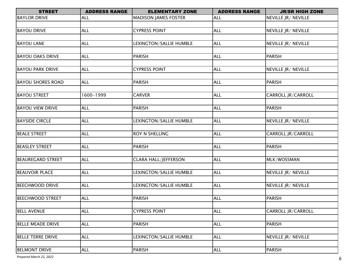| <b>BAYLOR DRIVE</b><br><b>ALL</b><br><b>ALL</b><br>NEVILLE JR/ NEVILLE<br><b>MADISON JAMES FOSTER</b><br><b>CYPRESS POINT</b><br><b>BAYOU DRIVE</b><br><b>ALL</b><br><b>ALL</b><br>NEVILLE JR / NEVILLE<br><b>BAYOU LANE</b><br><b>ALL</b><br>LEXINGTON/SALLIE HUMBLE<br><b>ALL</b><br>NEVILLE JR/ NEVILLE<br><b>ALL</b><br><b>PARISH</b><br><b>BAYOU OAKS DRIVE</b><br><b>ALL</b><br><b>PARISH</b><br><b>ALL</b><br><b>ALL</b><br><b>BAYOU PARK DRIVE</b><br><b>CYPRESS POINT</b><br>NEVILLE JR/ NEVILLE<br><b>PARISH</b><br><b>BAYOU SHORES ROAD</b><br><b>ALL</b><br><b>PARISH</b><br><b>ALL</b><br>1600-1999<br><b>ALL</b><br><b>BAYOU STREET</b><br><b>CARVER</b><br>CARROLL JR/CARROLL<br><b>ALL</b><br><b>BAYOU VIEW DRIVE</b><br><b>ALL</b><br><b>PARISH</b><br><b>PARISH</b><br><b>BAYSIDE CIRCLE</b><br><b>ALL</b><br>LEXINGTON/SALLIE HUMBLE<br><b>ALL</b><br>NEVILLE JR/ NEVILLE<br><b>BEALE STREET</b><br><b>ROY N SHELLING</b><br><b>ALL</b><br><b>CARROLL JR/CARROLL</b><br><b>ALL</b><br><b>BEASLEY STREET</b><br><b>ALL</b><br><b>ALL</b><br><b>PARISH</b><br><b>PARISH</b><br><b>BEAUREGARD STREET</b><br><b>ALL</b><br><b>CLARA HALL/JEFFERSON</b><br><b>ALL</b><br>MLK/WOSSMAN<br><b>BEAUVOIR PLACE</b><br>LEXINGTON/SALLIE HUMBLE<br>NEVILLE JR/ NEVILLE<br><b>ALL</b><br><b>ALL</b><br><b>ALL</b><br><b>ALL</b><br><b>BEECHWOOD DRIVE</b><br>LEXINGTON/SALLIE HUMBLE<br>NEVILLE JR/ NEVILLE<br><b>PARISH</b><br><b>ALL</b><br><b>BEECHWOOD STREET</b><br><b>ALL</b><br><b>PARISH</b><br><b>ALL</b><br><b>ALL</b><br><b>BELL AVENUE</b><br><b>CYPRESS POINT</b><br><b>CARROLL JR/CARROLL</b><br><b>ALL</b><br><b>ALL</b><br><b>PARISH</b><br><b>BELLE MEADE DRIVE</b><br><b>PARISH</b><br><b>ALL</b><br><b>BELLE TERRE DRIVE</b><br>ALL<br>LEXINGTON/SALLIE HUMBLE<br>NEVILLE JR/ NEVILLE<br><b>BELMONT DRIVE</b><br><b>PARISH</b><br><b>PARISH</b><br><b>ALL</b><br><b>ALL</b> | <b>STREET</b> | <b>ADDRESS RANGE</b> | <b>ELEMENTARY ZONE</b> | <b>ADDRESS RANGE</b> | <b>JR/SR HIGH ZONE</b> |
|------------------------------------------------------------------------------------------------------------------------------------------------------------------------------------------------------------------------------------------------------------------------------------------------------------------------------------------------------------------------------------------------------------------------------------------------------------------------------------------------------------------------------------------------------------------------------------------------------------------------------------------------------------------------------------------------------------------------------------------------------------------------------------------------------------------------------------------------------------------------------------------------------------------------------------------------------------------------------------------------------------------------------------------------------------------------------------------------------------------------------------------------------------------------------------------------------------------------------------------------------------------------------------------------------------------------------------------------------------------------------------------------------------------------------------------------------------------------------------------------------------------------------------------------------------------------------------------------------------------------------------------------------------------------------------------------------------------------------------------------------------------------------------------------------------------------------------------------------------------------------------------------------|---------------|----------------------|------------------------|----------------------|------------------------|
|                                                                                                                                                                                                                                                                                                                                                                                                                                                                                                                                                                                                                                                                                                                                                                                                                                                                                                                                                                                                                                                                                                                                                                                                                                                                                                                                                                                                                                                                                                                                                                                                                                                                                                                                                                                                                                                                                                      |               |                      |                        |                      |                        |
|                                                                                                                                                                                                                                                                                                                                                                                                                                                                                                                                                                                                                                                                                                                                                                                                                                                                                                                                                                                                                                                                                                                                                                                                                                                                                                                                                                                                                                                                                                                                                                                                                                                                                                                                                                                                                                                                                                      |               |                      |                        |                      |                        |
|                                                                                                                                                                                                                                                                                                                                                                                                                                                                                                                                                                                                                                                                                                                                                                                                                                                                                                                                                                                                                                                                                                                                                                                                                                                                                                                                                                                                                                                                                                                                                                                                                                                                                                                                                                                                                                                                                                      |               |                      |                        |                      |                        |
|                                                                                                                                                                                                                                                                                                                                                                                                                                                                                                                                                                                                                                                                                                                                                                                                                                                                                                                                                                                                                                                                                                                                                                                                                                                                                                                                                                                                                                                                                                                                                                                                                                                                                                                                                                                                                                                                                                      |               |                      |                        |                      |                        |
|                                                                                                                                                                                                                                                                                                                                                                                                                                                                                                                                                                                                                                                                                                                                                                                                                                                                                                                                                                                                                                                                                                                                                                                                                                                                                                                                                                                                                                                                                                                                                                                                                                                                                                                                                                                                                                                                                                      |               |                      |                        |                      |                        |
|                                                                                                                                                                                                                                                                                                                                                                                                                                                                                                                                                                                                                                                                                                                                                                                                                                                                                                                                                                                                                                                                                                                                                                                                                                                                                                                                                                                                                                                                                                                                                                                                                                                                                                                                                                                                                                                                                                      |               |                      |                        |                      |                        |
|                                                                                                                                                                                                                                                                                                                                                                                                                                                                                                                                                                                                                                                                                                                                                                                                                                                                                                                                                                                                                                                                                                                                                                                                                                                                                                                                                                                                                                                                                                                                                                                                                                                                                                                                                                                                                                                                                                      |               |                      |                        |                      |                        |
|                                                                                                                                                                                                                                                                                                                                                                                                                                                                                                                                                                                                                                                                                                                                                                                                                                                                                                                                                                                                                                                                                                                                                                                                                                                                                                                                                                                                                                                                                                                                                                                                                                                                                                                                                                                                                                                                                                      |               |                      |                        |                      |                        |
|                                                                                                                                                                                                                                                                                                                                                                                                                                                                                                                                                                                                                                                                                                                                                                                                                                                                                                                                                                                                                                                                                                                                                                                                                                                                                                                                                                                                                                                                                                                                                                                                                                                                                                                                                                                                                                                                                                      |               |                      |                        |                      |                        |
|                                                                                                                                                                                                                                                                                                                                                                                                                                                                                                                                                                                                                                                                                                                                                                                                                                                                                                                                                                                                                                                                                                                                                                                                                                                                                                                                                                                                                                                                                                                                                                                                                                                                                                                                                                                                                                                                                                      |               |                      |                        |                      |                        |
|                                                                                                                                                                                                                                                                                                                                                                                                                                                                                                                                                                                                                                                                                                                                                                                                                                                                                                                                                                                                                                                                                                                                                                                                                                                                                                                                                                                                                                                                                                                                                                                                                                                                                                                                                                                                                                                                                                      |               |                      |                        |                      |                        |
|                                                                                                                                                                                                                                                                                                                                                                                                                                                                                                                                                                                                                                                                                                                                                                                                                                                                                                                                                                                                                                                                                                                                                                                                                                                                                                                                                                                                                                                                                                                                                                                                                                                                                                                                                                                                                                                                                                      |               |                      |                        |                      |                        |
|                                                                                                                                                                                                                                                                                                                                                                                                                                                                                                                                                                                                                                                                                                                                                                                                                                                                                                                                                                                                                                                                                                                                                                                                                                                                                                                                                                                                                                                                                                                                                                                                                                                                                                                                                                                                                                                                                                      |               |                      |                        |                      |                        |
|                                                                                                                                                                                                                                                                                                                                                                                                                                                                                                                                                                                                                                                                                                                                                                                                                                                                                                                                                                                                                                                                                                                                                                                                                                                                                                                                                                                                                                                                                                                                                                                                                                                                                                                                                                                                                                                                                                      |               |                      |                        |                      |                        |
|                                                                                                                                                                                                                                                                                                                                                                                                                                                                                                                                                                                                                                                                                                                                                                                                                                                                                                                                                                                                                                                                                                                                                                                                                                                                                                                                                                                                                                                                                                                                                                                                                                                                                                                                                                                                                                                                                                      |               |                      |                        |                      |                        |
|                                                                                                                                                                                                                                                                                                                                                                                                                                                                                                                                                                                                                                                                                                                                                                                                                                                                                                                                                                                                                                                                                                                                                                                                                                                                                                                                                                                                                                                                                                                                                                                                                                                                                                                                                                                                                                                                                                      |               |                      |                        |                      |                        |
|                                                                                                                                                                                                                                                                                                                                                                                                                                                                                                                                                                                                                                                                                                                                                                                                                                                                                                                                                                                                                                                                                                                                                                                                                                                                                                                                                                                                                                                                                                                                                                                                                                                                                                                                                                                                                                                                                                      |               |                      |                        |                      |                        |
|                                                                                                                                                                                                                                                                                                                                                                                                                                                                                                                                                                                                                                                                                                                                                                                                                                                                                                                                                                                                                                                                                                                                                                                                                                                                                                                                                                                                                                                                                                                                                                                                                                                                                                                                                                                                                                                                                                      |               |                      |                        |                      |                        |
|                                                                                                                                                                                                                                                                                                                                                                                                                                                                                                                                                                                                                                                                                                                                                                                                                                                                                                                                                                                                                                                                                                                                                                                                                                                                                                                                                                                                                                                                                                                                                                                                                                                                                                                                                                                                                                                                                                      |               |                      |                        |                      |                        |
|                                                                                                                                                                                                                                                                                                                                                                                                                                                                                                                                                                                                                                                                                                                                                                                                                                                                                                                                                                                                                                                                                                                                                                                                                                                                                                                                                                                                                                                                                                                                                                                                                                                                                                                                                                                                                                                                                                      |               |                      |                        |                      |                        |
|                                                                                                                                                                                                                                                                                                                                                                                                                                                                                                                                                                                                                                                                                                                                                                                                                                                                                                                                                                                                                                                                                                                                                                                                                                                                                                                                                                                                                                                                                                                                                                                                                                                                                                                                                                                                                                                                                                      |               |                      |                        |                      |                        |
|                                                                                                                                                                                                                                                                                                                                                                                                                                                                                                                                                                                                                                                                                                                                                                                                                                                                                                                                                                                                                                                                                                                                                                                                                                                                                                                                                                                                                                                                                                                                                                                                                                                                                                                                                                                                                                                                                                      |               |                      |                        |                      |                        |
|                                                                                                                                                                                                                                                                                                                                                                                                                                                                                                                                                                                                                                                                                                                                                                                                                                                                                                                                                                                                                                                                                                                                                                                                                                                                                                                                                                                                                                                                                                                                                                                                                                                                                                                                                                                                                                                                                                      |               |                      |                        |                      |                        |
|                                                                                                                                                                                                                                                                                                                                                                                                                                                                                                                                                                                                                                                                                                                                                                                                                                                                                                                                                                                                                                                                                                                                                                                                                                                                                                                                                                                                                                                                                                                                                                                                                                                                                                                                                                                                                                                                                                      |               |                      |                        |                      |                        |
|                                                                                                                                                                                                                                                                                                                                                                                                                                                                                                                                                                                                                                                                                                                                                                                                                                                                                                                                                                                                                                                                                                                                                                                                                                                                                                                                                                                                                                                                                                                                                                                                                                                                                                                                                                                                                                                                                                      |               |                      |                        |                      |                        |
|                                                                                                                                                                                                                                                                                                                                                                                                                                                                                                                                                                                                                                                                                                                                                                                                                                                                                                                                                                                                                                                                                                                                                                                                                                                                                                                                                                                                                                                                                                                                                                                                                                                                                                                                                                                                                                                                                                      |               |                      |                        |                      |                        |
|                                                                                                                                                                                                                                                                                                                                                                                                                                                                                                                                                                                                                                                                                                                                                                                                                                                                                                                                                                                                                                                                                                                                                                                                                                                                                                                                                                                                                                                                                                                                                                                                                                                                                                                                                                                                                                                                                                      |               |                      |                        |                      |                        |
|                                                                                                                                                                                                                                                                                                                                                                                                                                                                                                                                                                                                                                                                                                                                                                                                                                                                                                                                                                                                                                                                                                                                                                                                                                                                                                                                                                                                                                                                                                                                                                                                                                                                                                                                                                                                                                                                                                      |               |                      |                        |                      |                        |
|                                                                                                                                                                                                                                                                                                                                                                                                                                                                                                                                                                                                                                                                                                                                                                                                                                                                                                                                                                                                                                                                                                                                                                                                                                                                                                                                                                                                                                                                                                                                                                                                                                                                                                                                                                                                                                                                                                      |               |                      |                        |                      |                        |
|                                                                                                                                                                                                                                                                                                                                                                                                                                                                                                                                                                                                                                                                                                                                                                                                                                                                                                                                                                                                                                                                                                                                                                                                                                                                                                                                                                                                                                                                                                                                                                                                                                                                                                                                                                                                                                                                                                      |               |                      |                        |                      |                        |
|                                                                                                                                                                                                                                                                                                                                                                                                                                                                                                                                                                                                                                                                                                                                                                                                                                                                                                                                                                                                                                                                                                                                                                                                                                                                                                                                                                                                                                                                                                                                                                                                                                                                                                                                                                                                                                                                                                      |               |                      |                        |                      |                        |
|                                                                                                                                                                                                                                                                                                                                                                                                                                                                                                                                                                                                                                                                                                                                                                                                                                                                                                                                                                                                                                                                                                                                                                                                                                                                                                                                                                                                                                                                                                                                                                                                                                                                                                                                                                                                                                                                                                      |               |                      |                        |                      |                        |
|                                                                                                                                                                                                                                                                                                                                                                                                                                                                                                                                                                                                                                                                                                                                                                                                                                                                                                                                                                                                                                                                                                                                                                                                                                                                                                                                                                                                                                                                                                                                                                                                                                                                                                                                                                                                                                                                                                      |               |                      |                        |                      |                        |
|                                                                                                                                                                                                                                                                                                                                                                                                                                                                                                                                                                                                                                                                                                                                                                                                                                                                                                                                                                                                                                                                                                                                                                                                                                                                                                                                                                                                                                                                                                                                                                                                                                                                                                                                                                                                                                                                                                      |               |                      |                        |                      |                        |
|                                                                                                                                                                                                                                                                                                                                                                                                                                                                                                                                                                                                                                                                                                                                                                                                                                                                                                                                                                                                                                                                                                                                                                                                                                                                                                                                                                                                                                                                                                                                                                                                                                                                                                                                                                                                                                                                                                      |               |                      |                        |                      |                        |
|                                                                                                                                                                                                                                                                                                                                                                                                                                                                                                                                                                                                                                                                                                                                                                                                                                                                                                                                                                                                                                                                                                                                                                                                                                                                                                                                                                                                                                                                                                                                                                                                                                                                                                                                                                                                                                                                                                      |               |                      |                        |                      |                        |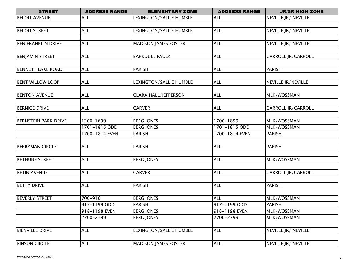| <b>STREET</b>               | <b>ADDRESS RANGE</b> | <b>ELEMENTARY ZONE</b>      | <b>ADDRESS RANGE</b> | <b>JR/SR HIGH ZONE</b>    |
|-----------------------------|----------------------|-----------------------------|----------------------|---------------------------|
| <b>BELOIT AVENUE</b>        | <b>ALL</b>           | LEXINGTON/SALLIE HUMBLE     | <b>ALL</b>           | NEVILLE JR/ NEVILLE       |
|                             |                      |                             |                      |                           |
| <b>BELOIT STREET</b>        | <b>ALL</b>           | LEXINGTON/SALLIE HUMBLE     | <b>ALL</b>           | NEVILLE JR/ NEVILLE       |
|                             |                      |                             |                      |                           |
| <b>BEN FRANKLIN DRIVE</b>   | <b>ALL</b>           | <b>MADISON JAMES FOSTER</b> | <b>ALL</b>           | NEVILLE JR/ NEVILLE       |
|                             |                      |                             |                      |                           |
| <b>BENJAMIN STREET</b>      | <b>ALL</b>           | <b>BARKDULL FAULK</b>       | <b>ALL</b>           | CARROLL JR/CARROLL        |
|                             |                      |                             |                      |                           |
| <b>BENNETT LAKE ROAD</b>    | <b>ALL</b>           | <b>PARISH</b>               | <b>ALL</b>           | <b>PARISH</b>             |
|                             |                      |                             |                      |                           |
| <b>BENT WILLOW LOOP</b>     | <b>ALL</b>           | LEXINGTON/SALLIE HUMBLE     | <b>ALL</b>           | <b>NEVILLE JR/NEVILLE</b> |
|                             |                      |                             |                      |                           |
| <b>BENTON AVENUE</b>        | <b>ALL</b>           | <b>CLARA HALL/JEFFERSON</b> | <b>ALL</b>           | MLK/WOSSMAN               |
|                             |                      |                             |                      |                           |
| <b>BERNICE DRIVE</b>        | <b>ALL</b>           | <b>CARVER</b>               | <b>ALL</b>           | CARROLL JR/CARROLL        |
|                             |                      |                             |                      |                           |
| <b>BERNSTEIN PARK DRIVE</b> | 1200-1699            | <b>BERG JONES</b>           | 1700-1899            | MLK/WOSSMAN               |
|                             | $1701 - 1815$ ODD    | <b>BERG JONES</b>           | 1701-1815 ODD        | MLK/WOSSMAN               |
|                             | 1700-1814 EVEN       | <b>PARISH</b>               | 1700-1814 EVEN       | <b>PARISH</b>             |
|                             |                      |                             |                      |                           |
| <b>BERRYMAN CIRCLE</b>      | <b>ALL</b>           | <b>PARISH</b>               | <b>ALL</b>           | <b>PARISH</b>             |
|                             |                      |                             |                      |                           |
| <b>BETHUNE STREET</b>       | <b>ALL</b>           | <b>BERG JONES</b>           | <b>ALL</b>           | MLK/WOSSMAN               |
|                             |                      |                             |                      |                           |
| <b>BETIN AVENUE</b>         | <b>ALL</b>           | <b>CARVER</b>               | <b>ALL</b>           | <b>CARROLL JR/CARROLL</b> |
|                             |                      |                             |                      |                           |
| <b>BETTY DRIVE</b>          | <b>ALL</b>           | <b>PARISH</b>               | <b>ALL</b>           | <b>PARISH</b>             |
|                             |                      |                             |                      |                           |
| <b>BEVERLY STREET</b>       | 700-916              | <b>BERG JONES</b>           | <b>ALL</b>           | MLK/WOSSMAN               |
|                             | 917-1199 ODD         | <b>PARISH</b>               | 917-1199 ODD         | <b>PARISH</b>             |
|                             | 918-1198 EVEN        | <b>BERG JONES</b>           | 918-1198 EVEN        | MLK/WOSSMAN               |
|                             | 2700-2799            | <b>BERG JONES</b>           | 2700-2799            | MLK/WOSSMAN               |
|                             |                      |                             |                      |                           |
| <b>BIENVILLE DRIVE</b>      | <b>ALL</b>           | LEXINGTON/SALLIE HUMBLE     | <b>ALL</b>           | NEVILLE JR / NEVILLE      |
|                             |                      |                             |                      |                           |
| <b>BINSON CIRCLE</b>        | <b>ALL</b>           | <b>MADISON JAMES FOSTER</b> | <b>ALL</b>           | NEVILLE JR/ NEVILLE       |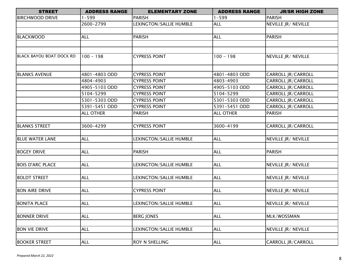| <b>STREET</b>                   | <b>ADDRESS RANGE</b> | <b>ELEMENTARY ZONE</b>  | <b>ADDRESS RANGE</b> | <b>JR/SR HIGH ZONE</b>    |
|---------------------------------|----------------------|-------------------------|----------------------|---------------------------|
| <b>BIRCHWOOD DRIVE</b>          | $-599$               | <b>PARISH</b>           | $1 - 599$            | <b>PARISH</b>             |
|                                 | 2600-2799            | LEXINGTON/SALLIE HUMBLE | <b>ALL</b>           | NEVILLE JR/ NEVILLE       |
|                                 |                      |                         |                      |                           |
| <b>BLACKWOOD</b>                | <b>ALL</b>           | <b>PARISH</b>           | <b>ALL</b>           | <b>PARISH</b>             |
|                                 |                      |                         |                      |                           |
|                                 |                      |                         |                      |                           |
| <b>BLACK BAYOU BOAT DOCK RD</b> | $100 - 198$          | <b>CYPRESS POINT</b>    | $100 - 198$          | NEVILLE JR/ NEVILLE       |
|                                 |                      |                         |                      |                           |
| <b>BLANKS AVENUE</b>            | 4801-4803 ODD        | <b>CYPRESS POINT</b>    | 4801-4803 ODD        | <b>CARROLL JR/CARROLL</b> |
|                                 | 4804-4903            | <b>CYPRESS POINT</b>    | 4803-4903            | <b>CARROLL JR/CARROLL</b> |
|                                 | 4905-5103 ODD        | <b>CYPRESS POINT</b>    | 4905-5103 ODD        | CARROLL JR/CARROLL        |
|                                 | 5104-5299            | <b>CYPRESS POINT</b>    | 5104-5299            | CARROLL JR/CARROLL        |
|                                 | 5301-5303 ODD        | <b>CYPRESS POINT</b>    | 5301-5303 ODD        | CARROLL JR/CARROLL        |
|                                 | 5391-5451 ODD        | <b>CYPRESS POINT</b>    | 5391-5451 ODD        | CARROLL JR/CARROLL        |
|                                 | <b>ALL OTHER</b>     | <b>PARISH</b>           | <b>ALL OTHER</b>     | <b>PARISH</b>             |
|                                 |                      |                         |                      |                           |
| <b>BLANKS STREET</b>            | 3600-4299            | <b>CYPRESS POINT</b>    | 3600-4199            | CARROLL JR/CARROLL        |
|                                 |                      |                         |                      |                           |
| <b>BLUE WATER LANE</b>          | <b>ALL</b>           | LEXINGTON/SALLIE HUMBLE | <b>ALL</b>           | NEVILLE JR/ NEVILLE       |
|                                 |                      |                         |                      |                           |
| <b>BOGEY DRIVE</b>              | <b>ALL</b>           | <b>PARISH</b>           | <b>ALL</b>           | <b>PARISH</b>             |
|                                 |                      |                         |                      |                           |
| <b>BOIS D'ARC PLACE</b>         | <b>ALL</b>           | LEXINGTON/SALLIE HUMBLE | <b>ALL</b>           | NEVILLE JR/ NEVILLE       |
|                                 |                      |                         |                      |                           |
| <b>BOLDT STREET</b>             | <b>ALL</b>           | LEXINGTON/SALLIE HUMBLE | <b>ALL</b>           | NEVILLE JR/ NEVILLE       |
|                                 |                      |                         |                      |                           |
| <b>BON AIRE DRIVE</b>           | <b>ALL</b>           | <b>CYPRESS POINT</b>    | <b>ALL</b>           | NEVILLE JR/ NEVILLE       |
|                                 |                      |                         |                      |                           |
| <b>BONITA PLACE</b>             | <b>ALL</b>           | LEXINGTON/SALLIE HUMBLE | <b>ALL</b>           | NEVILLE JR/ NEVILLE       |
|                                 |                      |                         |                      |                           |
| <b>BONNER DRIVE</b>             | <b>ALL</b>           | <b>BERG JONES</b>       | <b>ALL</b>           | MLK/WOSSMAN               |
|                                 |                      |                         |                      |                           |
| <b>BON VIE DRIVE</b>            | <b>ALL</b>           | LEXINGTON/SALLIE HUMBLE | <b>ALL</b>           | NEVILLE JR/ NEVILLE       |
|                                 |                      |                         |                      |                           |
| <b>BOOKER STREET</b>            | <b>ALL</b>           | ROY N SHELLING          | <b>ALL</b>           | CARROLL JR/CARROLL        |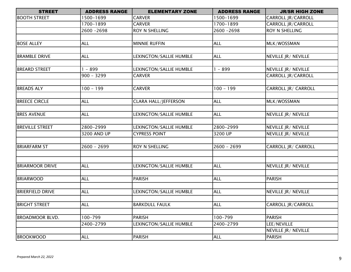| <b>STREET</b>           | <b>ADDRESS RANGE</b> | <b>ELEMENTARY ZONE</b>         | <b>ADDRESS RANGE</b> | <b>JR/SR HIGH ZONE</b>      |
|-------------------------|----------------------|--------------------------------|----------------------|-----------------------------|
| <b>BOOTH STREET</b>     | 1500-1699            | <b>CARVER</b>                  | 1500-1699            | CARROLL JR/CARROLL          |
|                         | 1700-1899            | <b>CARVER</b>                  | 1700-1899            | CARROLL JR/CARROLL          |
|                         | 2600 - 2698          | ROY N SHELLING                 | 2600 - 2698          | <b>ROY N SHELLING</b>       |
|                         |                      |                                |                      |                             |
| <b>BOSE ALLEY</b>       | <b>ALL</b>           | <b>MINNIE RUFFIN</b>           | <b>ALL</b>           | MLK/WOSSMAN                 |
|                         |                      |                                |                      |                             |
| <b>BRAMBLE DRIVE</b>    | <b>ALL</b>           | LEXINGTON/SALLIE HUMBLE        | <b>ALL</b>           | NEVILLE JR/ NEVILLE         |
|                         |                      |                                |                      |                             |
| <b>BREARD STREET</b>    | $1 - 899$            | LEXINGTON/SALLIE HUMBLE        | $1 - 899$            | NEVILLE JR/ NEVILLE         |
|                         | $900 - 3299$         | <b>CARVER</b>                  |                      | <b>CARROLL JR/CARROLL</b>   |
|                         |                      |                                |                      |                             |
| <b>BREADS ALY</b>       | $100 - 199$          | <b>CARVER</b>                  | $100 - 199$          | CARROLL JR/ CARROLL         |
|                         |                      |                                |                      |                             |
| <b>BREECE CIRCLE</b>    | <b>ALL</b>           | <b>CLARA HALL/JEFFERSON</b>    | <b>ALL</b>           | MLK/WOSSMAN                 |
|                         |                      |                                |                      |                             |
| <b>BRES AVENUE</b>      | <b>ALL</b>           | LEXINGTON/SALLIE HUMBLE        | <b>ALL</b>           | NEVILLE JR/ NEVILLE         |
|                         |                      |                                |                      |                             |
| <b>BREVILLE STREET</b>  | 2800-2999            | <b>LEXINGTON/SALLIE HUMBLE</b> | 2800-2999            | <b>NEVILLE JR / NEVILLE</b> |
|                         | 3200 AND UP          | <b>CYPRESS POINT</b>           | 3200 UP              | NEVILLE JR/ NEVILLE         |
|                         |                      |                                |                      |                             |
| <b>BRIARFARM ST</b>     | $2600 - 2699$        | ROY N SHELLING                 | $2600 - 2699$        | <b>CARROLL JR/ CARROLL</b>  |
|                         |                      |                                |                      |                             |
|                         |                      |                                |                      |                             |
| <b>BRIARMOOR DRIVE</b>  | <b>ALL</b>           | LEXINGTON/SALLIE HUMBLE        | <b>ALL</b>           | NEVILLE JR/ NEVILLE         |
|                         |                      |                                |                      |                             |
| <b>BRIARWOOD</b>        | <b>ALL</b>           | PARISH                         | <b>ALL</b>           | <b>PARISH</b>               |
|                         |                      |                                |                      |                             |
| <b>BRIERFIELD DRIVE</b> | <b>ALL</b>           | LEXINGTON/SALLIE HUMBLE        | <b>ALL</b>           | NEVILLE JR/ NEVILLE         |
|                         |                      |                                |                      |                             |
| <b>BRIGHT STREET</b>    | <b>ALL</b>           | <b>BARKDULL FAULK</b>          | <b>ALL</b>           | CARROLL JR/CARROLL          |
|                         |                      |                                |                      |                             |
| <b>BROADMOOR BLVD.</b>  | 100-799              | <b>PARISH</b>                  | 100-799              | <b>PARISH</b>               |
|                         | 2400-2799            | LEXINGTON/SALLIE HUMBLE        | 2400-2799            | LEE/NEVILLE                 |
|                         |                      |                                |                      | NEVILLE JR/ NEVILLE         |
| <b>BROOKWOOD</b>        | <b>ALL</b>           | <b>PARISH</b>                  | <b>ALL</b>           | <b>PARISH</b>               |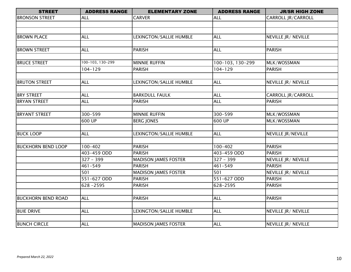| <b>STREET</b>             | <b>ADDRESS RANGE</b> | <b>ELEMENTARY ZONE</b>      | <b>ADDRESS RANGE</b> | <b>JR/SR HIGH ZONE</b>    |
|---------------------------|----------------------|-----------------------------|----------------------|---------------------------|
| <b>BRONSON STREET</b>     | <b>ALL</b>           | <b>CARVER</b>               | <b>ALL</b>           | CARROLL JR/CARROLL        |
|                           |                      |                             |                      |                           |
|                           |                      |                             |                      |                           |
| <b>BROWN PLACE</b>        | <b>ALL</b>           | LEXINGTON/SALLIE HUMBLE     | <b>ALL</b>           | NEVILLE JR/ NEVILLE       |
|                           |                      |                             |                      |                           |
| <b>BROWN STREET</b>       | <b>ALL</b>           | <b>PARISH</b>               | <b>ALL</b>           | <b>PARISH</b>             |
|                           |                      |                             |                      |                           |
| <b>BRUCE STREET</b>       | 100-103, 130-299     | <b>MINNIE RUFFIN</b>        | 100-103, 130-299     | MLK/WOSSMAN               |
|                           | $104 - 129$          | PARISH                      | $104 - 129$          | <b>PARISH</b>             |
|                           |                      |                             |                      |                           |
| <b>BRUTON STREET</b>      | <b>ALL</b>           | LEXINGTON/SALLIE HUMBLE     | <b>ALL</b>           | NEVILLE JR/ NEVILLE       |
|                           |                      |                             |                      |                           |
| <b>BRY STREET</b>         | <b>ALL</b>           | <b>BARKDULL FAULK</b>       | <b>ALL</b>           | <b>CARROLL JR/CARROLL</b> |
| <b>BRYAN STREET</b>       | <b>ALL</b>           | <b>PARISH</b>               | <b>ALL</b>           | <b>PARISH</b>             |
|                           |                      |                             |                      |                           |
| <b>BRYANT STREET</b>      | 300-599              | <b>MINNIE RUFFIN</b>        | 300-599              | MLK/WOSSMAN               |
|                           | 600 UP               | <b>BERG JONES</b>           | 600 UP               | MLK/WOSSMAN               |
|                           |                      |                             |                      |                           |
| <b>BUCK LOOP</b>          | <b>ALL</b>           | LEXINGTON/SALLIE HUMBLE     | <b>ALL</b>           | NEVILLE JR/NEVILLE        |
|                           |                      |                             |                      |                           |
| <b>BUCKHORN BEND LOOP</b> | $100 - 402$          | <b>PARISH</b>               | $100 - 402$          | <b>PARISH</b>             |
|                           | 403-459 ODD          | <b>PARISH</b>               | 403-459 ODD          | <b>PARISH</b>             |
|                           | $327 - 399$          | <b>MADISON JAMES FOSTER</b> | $327 - 399$          | NEVILLE JR/ NEVILLE       |
|                           | $461 - 549$          | <b>PARISH</b>               | $461 - 549$          | <b>PARISH</b>             |
|                           | 501                  | <b>MADISON JAMES FOSTER</b> | 501                  | NEVILLE JR/ NEVILLE       |
|                           | 551-627 ODD          | <b>PARISH</b>               | 551-627 ODD          | <b>PARISH</b>             |
|                           | 628-2595             | <b>PARISH</b>               | 628-2595             | <b>PARISH</b>             |
|                           |                      |                             |                      |                           |
| <b>BUCKHORN BEND ROAD</b> | <b>ALL</b>           | PARISH                      | <b>ALL</b>           | <b>PARISH</b>             |
|                           |                      |                             |                      |                           |
| <b>BUIE DRIVE</b>         | <b>ALL</b>           | LEXINGTON/SALLIE HUMBLE     | <b>ALL</b>           | NEVILLE JR/ NEVILLE       |
|                           |                      |                             |                      |                           |
| <b>BUNCH CIRCLE</b>       | <b>ALL</b>           | <b>MADISON JAMES FOSTER</b> | <b>ALL</b>           | NEVILLE JR/ NEVILLE       |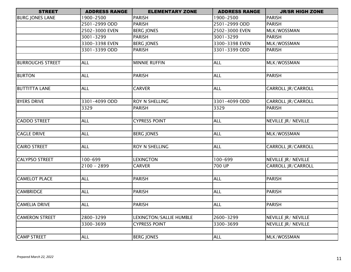| <b>STREET</b>           | <b>ADDRESS RANGE</b> | <b>ELEMENTARY ZONE</b>  | <b>ADDRESS RANGE</b> | <b>JR/SR HIGH ZONE</b>    |
|-------------------------|----------------------|-------------------------|----------------------|---------------------------|
| <b>BURG JONES LANE</b>  | 1900-2500            | <b>PARISH</b>           | 1900-2500            | <b>PARISH</b>             |
|                         | 2501-2999 ODD        | <b>PARISH</b>           | 2501-2999 ODD        | <b>PARISH</b>             |
|                         | 2502-3000 EVEN       | <b>BERG JONES</b>       | 2502-3000 EVEN       | MLK/WOSSMAN               |
|                         | 3001-3299            | <b>PARISH</b>           | 3001-3299            | <b>PARISH</b>             |
|                         | 3300-3398 EVEN       | <b>BERG JONES</b>       | 3300-3398 EVEN       | MLK/WOSSMAN               |
|                         | 3301-3399 ODD        | <b>PARISH</b>           | 3301-3399 ODD        | <b>PARISH</b>             |
|                         |                      |                         |                      |                           |
| <b>BURROUGHS STREET</b> | <b>ALL</b>           | <b>MINNIE RUFFIN</b>    | <b>ALL</b>           | MLK/WOSSMAN               |
|                         |                      |                         |                      |                           |
| <b>BURTON</b>           | <b>ALL</b>           | PARISH                  | <b>ALL</b>           | <b>PARISH</b>             |
|                         |                      |                         |                      |                           |
| <b>BUTTITTA LANE</b>    | <b>ALL</b>           | <b>CARVER</b>           | <b>ALL</b>           | CARROLL JR/CARROLL        |
|                         |                      |                         |                      |                           |
| <b>BYERS DRIVE</b>      | 3301-4099 ODD        | ROY N SHELLING          | 3301-4099 ODD        | CARROLL JR/CARROLL        |
|                         | 3329                 | <b>PARISH</b>           | 3329                 | <b>PARISH</b>             |
|                         |                      |                         |                      |                           |
| <b>CADDO STREET</b>     | <b>ALL</b>           | <b>CYPRESS POINT</b>    | <b>ALL</b>           | NEVILLE JR/ NEVILLE       |
|                         |                      |                         |                      |                           |
| <b>CAGLE DRIVE</b>      | <b>ALL</b>           | <b>BERG JONES</b>       | <b>ALL</b>           | MLK/WOSSMAN               |
|                         |                      |                         |                      |                           |
| <b>CAIRO STREET</b>     | <b>ALL</b>           | ROY N SHELLING          | <b>ALL</b>           | CARROLL JR/CARROLL        |
|                         |                      |                         |                      |                           |
| <b>CALYPSO STREET</b>   | 100-699              | <b>LEXINGTON</b>        | 100-699              | NEVILLE JR/ NEVILLE       |
|                         | $2100 - 2899$        | <b>CARVER</b>           | 700 UP               | <b>CARROLL JR/CARROLL</b> |
|                         |                      |                         |                      |                           |
| <b>CAMELOT PLACE</b>    | <b>ALL</b>           | <b>PARISH</b>           | <b>ALL</b>           | PARISH                    |
|                         |                      |                         |                      |                           |
| <b>CAMBRIDGE</b>        | <b>ALL</b>           | <b>PARISH</b>           | <b>ALL</b>           | <b>PARISH</b>             |
|                         |                      |                         |                      |                           |
| <b>CAMELIA DRIVE</b>    | <b>ALL</b>           | <b>PARISH</b>           | <b>ALL</b>           | <b>PARISH</b>             |
|                         |                      |                         |                      |                           |
| <b>CAMERON STREET</b>   | 2800-3299            | LEXINGTON/SALLIE HUMBLE | 2600-3299            | NEVILLE JR/ NEVILLE       |
|                         | 3300-3699            | <b>CYPRESS POINT</b>    | 3300-3699            | NEVILLE JR/ NEVILLE       |
|                         |                      |                         |                      |                           |
| <b>CAMP STREET</b>      | <b>ALL</b>           | <b>BERG JONES</b>       | <b>ALL</b>           | MLK/WOSSMAN               |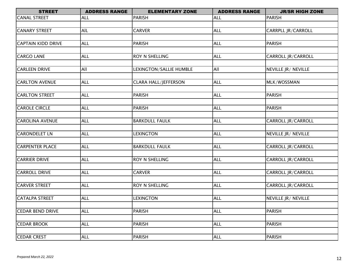| <b>STREET</b>             | <b>ADDRESS RANGE</b> | <b>ELEMENTARY ZONE</b>      | <b>ADDRESS RANGE</b> | <b>JR/SR HIGH ZONE</b>    |
|---------------------------|----------------------|-----------------------------|----------------------|---------------------------|
| <b>CANAL STREET</b>       | <b>ALL</b>           | <b>PARISH</b>               | <b>ALL</b>           | <b>PARISH</b>             |
|                           |                      |                             |                      |                           |
| <b>CANARY STREET</b>      | AIL                  | <b>CARVER</b>               | <b>ALL</b>           | CARRPLL JR/CARROLL        |
|                           |                      |                             |                      |                           |
| <b>CAPTAIN KIDD DRIVE</b> | <b>ALL</b>           | <b>PARISH</b>               | <b>ALL</b>           | <b>PARISH</b>             |
|                           |                      |                             |                      |                           |
| <b>CARGO LANE</b>         | <b>ALL</b>           | ROY N SHELLING              | <b>ALL</b>           | CARROLL JR/CARROLL        |
| <b>CARLEEN DRIVE</b>      | All                  |                             | All                  | NEVILLE JR/ NEVILLE       |
|                           |                      | LEXINGTON/SALLIE HUMBLE     |                      |                           |
| <b>CARLTON AVENUE</b>     | <b>ALL</b>           | <b>CLARA HALL/JEFFERSON</b> | <b>ALL</b>           | MLK/WOSSMAN               |
|                           |                      |                             |                      |                           |
| <b>CARLTON STREET</b>     | <b>ALL</b>           | <b>PARISH</b>               | <b>ALL</b>           | <b>PARISH</b>             |
|                           |                      |                             |                      |                           |
| <b>CAROLE CIRCLE</b>      | <b>ALL</b>           | <b>PARISH</b>               | <b>ALL</b>           | <b>PARISH</b>             |
|                           |                      |                             |                      |                           |
| <b>CAROLINA AVENUE</b>    | <b>ALL</b>           | <b>BARKDULL FAULK</b>       | <b>ALL</b>           | CARROLL JR/CARROLL        |
|                           |                      |                             |                      |                           |
| <b>CARONDELET LN</b>      | <b>ALL</b>           | <b>LEXINGTON</b>            | <b>ALL</b>           | NEVILLE JR/ NEVILLE       |
|                           |                      |                             |                      |                           |
| <b>CARPENTER PLACE</b>    | <b>ALL</b>           | <b>BARKDULL FAULK</b>       | <b>ALL</b>           | CARROLL JR/CARROLL        |
|                           |                      |                             |                      |                           |
| <b>CARRIER DRIVE</b>      | <b>ALL</b>           | ROY N SHELLING              | <b>ALL</b>           | <b>CARROLL JR/CARROLL</b> |
| <b>CARROLL DRIVE</b>      | <b>ALL</b>           | <b>CARVER</b>               | <b>ALL</b>           | <b>CARROLL JR/CARROLL</b> |
|                           |                      |                             |                      |                           |
| <b>CARVER STREET</b>      | <b>ALL</b>           | ROY N SHELLING              | <b>ALL</b>           | <b>CARROLL JR/CARROLL</b> |
|                           |                      |                             |                      |                           |
| <b>CATALPA STREET</b>     | <b>ALL</b>           | <b>LEXINGTON</b>            | <b>ALL</b>           | NEVILLE JR/ NEVILLE       |
|                           |                      |                             |                      |                           |
| <b>CEDAR BEND DRIVE</b>   | <b>ALL</b>           | <b>PARISH</b>               | <b>ALL</b>           | <b>PARISH</b>             |
|                           |                      |                             |                      |                           |
| <b>CEDAR BROOK</b>        | <b>ALL</b>           | <b>PARISH</b>               | <b>ALL</b>           | <b>PARISH</b>             |
|                           |                      |                             |                      |                           |
| <b>CEDAR CREST</b>        | <b>ALL</b>           | <b>PARISH</b>               | <b>ALL</b>           | <b>PARISH</b>             |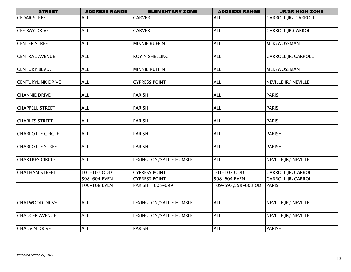| <b>STREET</b>            | <b>ADDRESS RANGE</b> | <b>ELEMENTARY ZONE</b>  | <b>ADDRESS RANGE</b> | <b>JR/SR HIGH ZONE</b>     |
|--------------------------|----------------------|-------------------------|----------------------|----------------------------|
| <b>CEDAR STREET</b>      | <b>ALL</b>           | <b>CARVER</b>           | <b>ALL</b>           | CARROLL JR/ CARROLL        |
|                          |                      |                         |                      |                            |
| <b>CEE RAY DRIVE</b>     | <b>ALL</b>           | <b>CARVER</b>           | <b>ALL</b>           | <b>CARROLL JR.CARROLL</b>  |
|                          |                      |                         |                      |                            |
| <b>CENTER STREET</b>     | <b>ALL</b>           | <b>MINNIE RUFFIN</b>    | <b>ALL</b>           | MLK/WOSSMAN                |
|                          |                      |                         |                      |                            |
| <b>CENTRAL AVENUE</b>    | ALL                  | ROY N SHELLING          | <b>ALL</b>           | <b>CARROLL JR/CARROLL</b>  |
|                          |                      |                         |                      |                            |
| <b>CENTURY BLVD.</b>     | <b>ALL</b>           | <b>MINNIE RUFFIN</b>    | <b>ALL</b>           | MLK/WOSSMAN                |
|                          |                      |                         |                      |                            |
| <b>CENTURYLINK DRIVE</b> | <b>ALL</b>           | <b>CYPRESS POINT</b>    | <b>ALL</b>           | <b>NEVILLE JR/ NEVILLE</b> |
|                          |                      |                         |                      |                            |
| <b>CHANNIE DRIVE</b>     | <b>ALL</b>           | <b>PARISH</b>           | <b>ALL</b>           | <b>PARISH</b>              |
|                          |                      |                         |                      |                            |
| <b>CHAPPELL STREET</b>   | <b>ALL</b>           | <b>PARISH</b>           | <b>ALL</b>           | <b>PARISH</b>              |
|                          |                      |                         |                      |                            |
| <b>CHARLES STREET</b>    | <b>ALL</b>           | <b>PARISH</b>           | <b>ALL</b>           | <b>PARISH</b>              |
|                          |                      |                         |                      |                            |
| <b>CHARLOTTE CIRCLE</b>  | <b>ALL</b>           | <b>PARISH</b>           | <b>ALL</b>           | <b>PARISH</b>              |
|                          |                      |                         |                      |                            |
| <b>CHARLOTTE STREET</b>  | <b>ALL</b>           | <b>PARISH</b>           | <b>ALL</b>           | <b>PARISH</b>              |
|                          |                      |                         |                      |                            |
| <b>CHARTRES CIRCLE</b>   | <b>ALL</b>           | LEXINGTON/SALLIE HUMBLE | <b>ALL</b>           | NEVILLE JR/ NEVILLE        |
| <b>CHATHAM STREET</b>    | 101-107 ODD          | <b>CYPRESS POINT</b>    | 101-107 ODD          | <b>CARROLL JR/CARROLL</b>  |
|                          | 598-604 EVEN         | <b>CYPRESS POINT</b>    | 598-604 EVEN         | <b>CARROLL JR/CARROLL</b>  |
|                          | 100-108 EVEN         | PARISH 605-699          | 109-597,599-603 OD   | <b>PARISH</b>              |
|                          |                      |                         |                      |                            |
|                          |                      |                         |                      |                            |
| <b>CHATWOOD DRIVE</b>    | <b>ALL</b>           | LEXINGTON/SALLIE HUMBLE | <b>ALL</b>           | NEVILLE JR/ NEVILLE        |
|                          |                      |                         |                      |                            |
| <b>CHAUCER AVENUE</b>    | <b>ALL</b>           | LEXINGTON/SALLIE HUMBLE | <b>ALL</b>           | NEVILLE JR/ NEVILLE        |
|                          |                      |                         |                      |                            |
| <b>CHAUVIN DRIVE</b>     | <b>ALL</b>           | <b>PARISH</b>           | <b>ALL</b>           | <b>PARISH</b>              |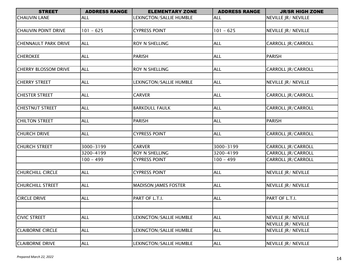| <b>STREET</b>               | <b>ADDRESS RANGE</b> | <b>ELEMENTARY ZONE</b>      | <b>ADDRESS RANGE</b> | <b>JR/SR HIGH ZONE</b>    |
|-----------------------------|----------------------|-----------------------------|----------------------|---------------------------|
| <b>CHAUVIN LANE</b>         | <b>ALL</b>           | LEXINGTON/SALLIE HUMBLE     | <b>ALL</b>           | NEVILLE JR/ NEVILLE       |
|                             |                      |                             |                      |                           |
| <b>CHAUVIN POINT DRIVE</b>  | $101 - 625$          | <b>CYPRESS POINT</b>        | $101 - 625$          | NEVILLE JR/ NEVILLE       |
|                             |                      |                             |                      |                           |
| <b>CHENNAULT PARK DRIVE</b> | <b>ALL</b>           | <b>ROY N SHELLING</b>       | <b>ALL</b>           | CARROLL JR/CARROLL        |
|                             |                      |                             |                      |                           |
| <b>CHEROKEE</b>             | <b>ALL</b>           | <b>PARISH</b>               | <b>ALL</b>           | <b>PARISH</b>             |
|                             |                      |                             |                      |                           |
| <b>CHERRY BLOSSOM DRIVE</b> | <b>ALL</b>           | <b>ROY N SHELLING</b>       | <b>ALL</b>           | CARROLL JR/CARROLL        |
|                             |                      |                             |                      |                           |
| <b>CHERRY STREET</b>        | <b>ALL</b>           | LEXINGTON/SALLIE HUMBLE     | <b>ALL</b>           | NEVILLE JR/ NEVILLE       |
|                             |                      |                             |                      |                           |
| <b>CHESTER STREET</b>       | <b>ALL</b>           | <b>CARVER</b>               | <b>ALL</b>           | CARROLL JR/CARROLL        |
|                             |                      |                             |                      |                           |
| <b>CHESTNUT STREET</b>      | <b>ALL</b>           | <b>BARKDULL FAULK</b>       | <b>ALL</b>           | CARROLL JR/CARROLL        |
|                             |                      |                             |                      |                           |
| <b>CHILTON STREET</b>       | <b>ALL</b>           | <b>PARISH</b>               | <b>ALL</b>           | <b>PARISH</b>             |
| <b>CHURCH DRIVE</b>         | <b>ALL</b>           | <b>CYPRESS POINT</b>        | <b>ALL</b>           | <b>CARROLL JR/CARROLL</b> |
|                             |                      |                             |                      |                           |
| <b>CHURCH STREET</b>        | 3000-3199            | <b>CARVER</b>               | 3000-3199            | CARROLL JR/CARROLL        |
|                             | 3200-4199            | <b>ROY N SHELLING</b>       | 3200-4199            | <b>CARROLL JR/CARROLL</b> |
|                             | $100 - 499$          | <b>CYPRESS POINT</b>        | $100 - 499$          | CARROLL JR/CARROLL        |
|                             |                      |                             |                      |                           |
| <b>CHURCHILL CIRCLE</b>     | <b>ALL</b>           | <b>CYPRESS POINT</b>        | <b>ALL</b>           | NEVILLE JR/ NEVILLE       |
|                             |                      |                             |                      |                           |
| <b>CHURCHILL STREET</b>     | <b>ALL</b>           | <b>MADISON JAMES FOSTER</b> | <b>ALL</b>           | NEVILLE JR/ NEVILLE       |
|                             |                      |                             |                      |                           |
| <b>CIRCLE DRIVE</b>         | <b>ALL</b>           | PART OF L.T.I.              | <b>ALL</b>           | PART OF L.T.I.            |
|                             |                      |                             |                      |                           |
|                             |                      |                             |                      |                           |
| <b>CIVIC STREET</b>         | <b>ALL</b>           | LEXINGTON/SALLIE HUMBLE     | <b>ALL</b>           | NEVILLE JR/ NEVILLE       |
|                             |                      |                             |                      | NEVILLE JR/ NEVILLE       |
| <b>CLAIBORNE CIRCLE</b>     | <b>ALL</b>           | LEXINGTON/SALLIE HUMBLE     | <b>ALL</b>           | NEVILLE JR/ NEVILLE       |
|                             |                      |                             |                      |                           |
| <b>CLAIBORNE DRIVE</b>      | <b>ALL</b>           | LEXINGTON/SALLIE HUMBLE     | <b>ALL</b>           | NEVILLE JR/ NEVILLE       |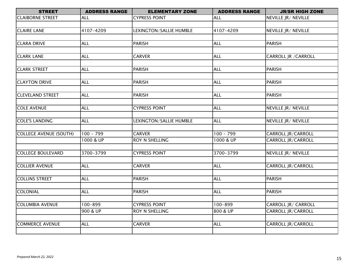| <b>STREET</b>            | <b>ADDRESS RANGE</b> | <b>ELEMENTARY ZONE</b>  | <b>ADDRESS RANGE</b> | <b>JR/SR HIGH ZONE</b>      |
|--------------------------|----------------------|-------------------------|----------------------|-----------------------------|
| <b>CLAIBORNE STREET</b>  | <b>ALL</b>           | <b>CYPRESS POINT</b>    | <b>ALL</b>           | NEVILLE JR/ NEVILLE         |
|                          |                      |                         |                      |                             |
| <b>CLAIRE LANE</b>       | 4107-4209            | LEXINGTON/SALLIE HUMBLE | 4107-4209            | NEVILLE JR/ NEVILLE         |
|                          |                      |                         |                      |                             |
| <b>CLARA DRIVE</b>       | <b>ALL</b>           | <b>PARISH</b>           | <b>ALL</b>           | <b>PARISH</b>               |
|                          |                      |                         |                      |                             |
| <b>CLARK LANE</b>        | <b>ALL</b>           | <b>CARVER</b>           | <b>ALL</b>           | <b>CARROLL JR / CARROLL</b> |
|                          |                      |                         |                      |                             |
| <b>CLARK STREET</b>      | <b>ALL</b>           | <b>PARISH</b>           | <b>ALL</b>           | <b>PARISH</b>               |
|                          |                      |                         |                      |                             |
| <b>CLAYTON DRIVE</b>     | <b>ALL</b>           | <b>PARISH</b>           | <b>ALL</b>           | <b>PARISH</b>               |
|                          |                      |                         |                      |                             |
| <b>CLEVELAND STREET</b>  | <b>ALL</b>           | <b>PARISH</b>           | <b>ALL</b>           | <b>PARISH</b>               |
|                          |                      |                         |                      |                             |
| <b>COLE AVENUE</b>       | <b>ALL</b>           | <b>CYPRESS POINT</b>    | <b>ALL</b>           | NEVILLE JR/ NEVILLE         |
|                          |                      |                         |                      |                             |
| <b>COLE'S LANDING</b>    | <b>ALL</b>           | LEXINGTON/SALLIE HUMBLE | <b>ALL</b>           | NEVILLE JR/ NEVILLE         |
| COLLEGE AVENUE (SOUTH)   | $100 - 799$          | <b>CARVER</b>           | $100 - 799$          | CARROLL JR/CARROLL          |
|                          | 1000 & UP            | <b>ROY N SHELLING</b>   | 1000 & UP            | <b>CARROLL JR/CARROLL</b>   |
|                          |                      |                         |                      |                             |
| <b>COLLEGE BOULEVARD</b> | 3700-3799            | <b>CYPRESS POINT</b>    | 3700-3799            | NEVILLE JR/ NEVILLE         |
|                          |                      |                         |                      |                             |
| <b>COLLIER AVENUE</b>    | <b>ALL</b>           | <b>CARVER</b>           | <b>ALL</b>           | CARROLL JR/CARROLL          |
|                          |                      |                         |                      |                             |
| <b>COLLINS STREET</b>    | <b>ALL</b>           | <b>PARISH</b>           | <b>ALL</b>           | <b>PARISH</b>               |
|                          |                      |                         |                      |                             |
| COLONIAL                 | <b>ALL</b>           | <b>PARISH</b>           | <b>ALL</b>           | <b>PARISH</b>               |
|                          |                      |                         |                      |                             |
| <b>COLUMBIA AVENUE</b>   | 100-899              | <b>CYPRESS POINT</b>    | $100 - 899$          | CARROLL JR/ CARROLL         |
|                          | 900 & UP             | <b>ROY N SHELLING</b>   | 800 & UP             | CARROLL JR/CARROLL          |
|                          |                      |                         |                      |                             |
| <b>COMMERCE AVENUE</b>   | <b>ALL</b>           | <b>CARVER</b>           | <b>ALL</b>           | <b>CARROLL JR/CARROLL</b>   |
|                          |                      |                         |                      |                             |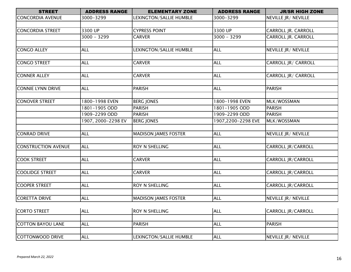| <b>STREET</b>           | <b>ADDRESS RANGE</b><br><b>ELEMENTARY ZONE</b><br><b>ADDRESS RANGE</b> |                             | <b>JR/SR HIGH ZONE</b> |                           |
|-------------------------|------------------------------------------------------------------------|-----------------------------|------------------------|---------------------------|
| <b>CONCORDIA AVENUE</b> | 3000-3299                                                              | LEXINGTON/SALLIE HUMBLE     | 3000-3299              | NEVILLE JR/ NEVILLE       |
|                         |                                                                        |                             |                        |                           |
| <b>CONCORDIA STREET</b> | 3300 UP                                                                | <b>CYPRESS POINT</b>        | 3300 UP                | CARROLL JR. CARROLL       |
|                         | $3000 - 3299$                                                          | <b>CARVER</b>               | $3000 - 3299$          | CARROLL JR. CARROLL       |
|                         |                                                                        |                             |                        |                           |
| CONGO ALLEY             | <b>ALL</b>                                                             | LEXINGTON/SALLIE HUMBLE     | <b>ALL</b>             | NEVILLE JR/ NEVILLE       |
|                         |                                                                        |                             |                        |                           |
| CONGO STREET            | <b>ALL</b>                                                             | <b>CARVER</b>               | <b>ALL</b>             | CARROLL JR/ CARROLL       |
|                         |                                                                        |                             |                        |                           |
| <b>CONNER ALLEY</b>     | <b>ALL</b>                                                             | <b>CARVER</b>               | <b>ALL</b>             | CARROLL JR/ CARROLL       |
|                         |                                                                        |                             |                        |                           |
| CONNIE LYNN DRIVE       | <b>ALL</b>                                                             | PARISH                      | <b>ALL</b>             | <b>PARISH</b>             |
|                         |                                                                        |                             |                        |                           |
| <b>CONOVER STREET</b>   | 1800-1998 EVEN                                                         | <b>BERG JONES</b>           | 1800-1998 EVEN         | MLK/WOSSMAN               |
|                         | 1801-1905 ODD                                                          | <b>PARISH</b>               | 1801-1905 ODD          | <b>PARISH</b>             |
|                         | 1909-2299 ODD                                                          | <b>PARISH</b>               | 1909-2299 ODD          | <b>PARISH</b>             |
|                         | 1907, 2000-2298 EV                                                     | <b>BERG JONES</b>           | 1907,2200-2298 EVE     | MLK/WOSSMAN               |
|                         |                                                                        |                             |                        |                           |
| <b>CONRAD DRIVE</b>     | <b>ALL</b>                                                             | <b>MADISON JAMES FOSTER</b> | <b>ALL</b>             | NEVILLE JR/ NEVILLE       |
|                         |                                                                        |                             |                        |                           |
| CONSTRUCTION AVENUE     | <b>ALL</b>                                                             | <b>ROY N SHELLING</b>       | <b>ALL</b>             | <b>CARROLL JR/CARROLL</b> |
|                         |                                                                        |                             |                        |                           |
| <b>COOK STREET</b>      | <b>ALL</b>                                                             | <b>CARVER</b>               | <b>ALL</b>             | CARROLL JR/CARROLL        |
|                         |                                                                        |                             |                        |                           |
| <b>COOLIDGE STREET</b>  | <b>ALL</b>                                                             | <b>CARVER</b>               | <b>ALL</b>             | CARROLL JR/CARROLL        |
|                         |                                                                        |                             |                        |                           |
| <b>COOPER STREET</b>    | <b>ALL</b>                                                             | ROY N SHELLING              | <b>ALL</b>             | CARROLL JR/CARROLL        |
|                         |                                                                        |                             |                        |                           |
| CORETTA DRIVE           | <b>ALL</b>                                                             | <b>MADISON JAMES FOSTER</b> | <b>ALL</b>             | NEVILLE JR/ NEVILLE       |
|                         |                                                                        |                             |                        |                           |
| CORTO STREET            | <b>ALL</b>                                                             | ROY N SHELLING              | <b>ALL</b>             | <b>CARROLL JR/CARROLL</b> |
|                         |                                                                        |                             |                        |                           |
| COTTON BAYOU LANE       | <b>ALL</b>                                                             | <b>PARISH</b>               | <b>ALL</b>             | <b>PARISH</b>             |
|                         |                                                                        |                             |                        |                           |
| COTTONWOOD DRIVE        | <b>ALL</b>                                                             | LEXINGTON/SALLIE HUMBLE     | <b>ALL</b>             | NEVILLE JR/ NEVILLE       |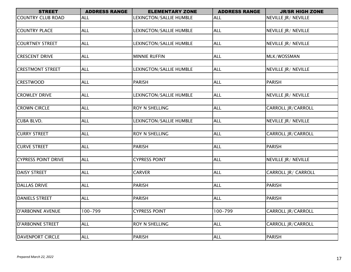| <b>STREET</b>              | <b>ADDRESS RANGE</b> | <b>ELEMENTARY ZONE</b>  | <b>ADDRESS RANGE</b> | <b>JR/SR HIGH ZONE</b>     |
|----------------------------|----------------------|-------------------------|----------------------|----------------------------|
| <b>COUNTRY CLUB ROAD</b>   | <b>ALL</b>           | LEXINGTON/SALLIE HUMBLE | <b>ALL</b>           | NEVILLE JR/ NEVILLE        |
|                            |                      |                         |                      |                            |
| <b>COUNTRY PLACE</b>       | <b>ALL</b>           | LEXINGTON/SALLIE HUMBLE | <b>ALL</b>           | NEVILLE JR/ NEVILLE        |
|                            |                      |                         |                      |                            |
| <b>COURTNEY STREET</b>     | <b>ALL</b>           | LEXINGTON/SALLIE HUMBLE | <b>ALL</b>           | NEVILLE JR/ NEVILLE        |
|                            |                      |                         |                      |                            |
| <b>CRESCENT DRIVE</b>      | <b>ALL</b>           | <b>MINNIE RUFFIN</b>    | <b>ALL</b>           | MLK/WOSSMAN                |
|                            |                      |                         |                      |                            |
| <b>CRESTMONT STREET</b>    | <b>ALL</b>           | LEXINGTON/SALLIE HUMBLE | <b>ALL</b>           | NEVILLE JR/ NEVILLE        |
|                            |                      |                         |                      |                            |
| <b>CRESTWOOD</b>           | <b>ALL</b>           | <b>PARISH</b>           | <b>ALL</b>           | <b>PARISH</b>              |
|                            |                      |                         |                      |                            |
| <b>CROWLEY DRIVE</b>       | <b>ALL</b>           | LEXINGTON/SALLIE HUMBLE | <b>ALL</b>           | NEVILLE JR/ NEVILLE        |
|                            |                      |                         |                      |                            |
| <b>CROWN CIRCLE</b>        | <b>ALL</b>           | ROY N SHELLING          | <b>ALL</b>           | <b>CARROLL JR/CARROLL</b>  |
|                            |                      |                         |                      |                            |
| <b>CUBA BLVD.</b>          | <b>ALL</b>           | LEXINGTON/SALLIE HUMBLE | <b>ALL</b>           | NEVILLE JR/ NEVILLE        |
|                            |                      |                         |                      |                            |
| <b>CURRY STREET</b>        | <b>ALL</b>           | <b>ROY N SHELLING</b>   | <b>ALL</b>           | <b>CARROLL JR/CARROLL</b>  |
|                            |                      |                         |                      |                            |
| <b>CURVE STREET</b>        | <b>ALL</b>           | <b>PARISH</b>           | <b>ALL</b>           | <b>PARISH</b>              |
|                            |                      |                         |                      |                            |
| <b>CYPRESS POINT DRIVE</b> | <b>ALL</b>           | <b>CYPRESS POINT</b>    | <b>ALL</b>           | NEVILLE JR/ NEVILLE        |
|                            |                      |                         |                      |                            |
| <b>DAISY STREET</b>        | <b>ALL</b>           | <b>CARVER</b>           | <b>ALL</b>           | <b>CARROLL JR/ CARROLL</b> |
|                            |                      |                         |                      |                            |
| <b>DALLAS DRIVE</b>        | <b>ALL</b>           | <b>PARISH</b>           | <b>ALL</b>           | <b>PARISH</b>              |
|                            |                      |                         |                      |                            |
| <b>DANIELS STREET</b>      | <b>ALL</b>           | <b>PARISH</b>           | <b>ALL</b>           | <b>PARISH</b>              |
|                            | 100-799              |                         | 100-799              |                            |
| <b>D'ARBONNE AVENUE</b>    |                      | <b>CYPRESS POINT</b>    |                      | CARROLL JR/CARROLL         |
| <b>D'ARBONNE STREET</b>    | <b>ALL</b>           | <b>ROY N SHELLING</b>   | <b>ALL</b>           | CARROLL JR/CARROLL         |
|                            |                      |                         |                      |                            |
| <b>DAVENPORT CIRCLE</b>    | <b>ALL</b>           | <b>PARISH</b>           | <b>ALL</b>           | <b>PARISH</b>              |
|                            |                      |                         |                      |                            |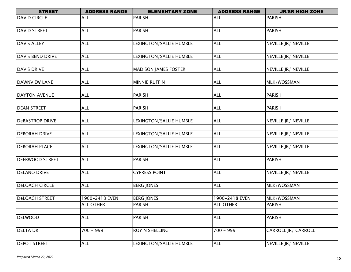| <b>STREET</b>           | <b>ADDRESS RANGE</b><br><b>ADDRESS RANGE</b><br><b>ELEMENTARY ZONE</b> |                             | <b>JR/SR HIGH ZONE</b> |                     |
|-------------------------|------------------------------------------------------------------------|-----------------------------|------------------------|---------------------|
| <b>DAVID CIRCLE</b>     | <b>ALL</b>                                                             | <b>PARISH</b>               | <b>ALL</b>             | <b>PARISH</b>       |
|                         |                                                                        |                             |                        |                     |
| <b>DAVID STREET</b>     | <b>ALL</b>                                                             | <b>PARISH</b>               | <b>ALL</b>             | <b>PARISH</b>       |
|                         |                                                                        |                             |                        |                     |
| <b>DAVIS ALLEY</b>      | <b>ALL</b>                                                             | LEXINGTON/SALLIE HUMBLE     | <b>ALL</b>             | NEVILLE JR/ NEVILLE |
|                         |                                                                        |                             |                        |                     |
| <b>DAVIS BEND DRIVE</b> | <b>ALL</b>                                                             | LEXINGTON/SALLIE HUMBLE     | <b>ALL</b>             | NEVILLE JR/ NEVILLE |
|                         |                                                                        |                             |                        |                     |
| <b>DAVIS DRIVE</b>      | <b>ALL</b>                                                             | <b>MADISON JAMES FOSTER</b> | <b>ALL</b>             | NEVILLE JR/ NEVILLE |
|                         |                                                                        |                             |                        |                     |
| <b>DAWNVIEW LANE</b>    | <b>ALL</b>                                                             | <b>MINNIE RUFFIN</b>        | <b>ALL</b>             | MLK/WOSSMAN         |
| <b>DAYTON AVENUE</b>    | <b>ALL</b>                                                             | <b>PARISH</b>               | <b>ALL</b>             | <b>PARISH</b>       |
|                         |                                                                        |                             |                        |                     |
| <b>DEAN STREET</b>      | <b>ALL</b>                                                             | <b>PARISH</b>               | <b>ALL</b>             | <b>PARISH</b>       |
|                         |                                                                        |                             |                        |                     |
| <b>DeBASTROP DRIVE</b>  | <b>ALL</b>                                                             | LEXINGTON/SALLIE HUMBLE     | <b>ALL</b>             | NEVILLE JR/ NEVILLE |
|                         |                                                                        |                             |                        |                     |
| <b>DEBORAH DRIVE</b>    | <b>ALL</b>                                                             | LEXINGTON/SALLIE HUMBLE     | <b>ALL</b>             | NEVILLE JR/ NEVILLE |
|                         |                                                                        |                             |                        |                     |
| <b>DEBORAH PLACE</b>    | <b>ALL</b>                                                             | LEXINGTON/SALLIE HUMBLE     | <b>ALL</b>             | NEVILLE JR/ NEVILLE |
|                         |                                                                        |                             |                        |                     |
| <b>DEERWOOD STREET</b>  | <b>ALL</b>                                                             | <b>PARISH</b>               | <b>ALL</b>             | <b>PARISH</b>       |
|                         |                                                                        |                             |                        |                     |
| <b>DELANO DRIVE</b>     | <b>ALL</b>                                                             | <b>CYPRESS POINT</b>        | <b>ALL</b>             | NEVILLE JR/ NEVILLE |
| <b>DeLOACH CIRCLE</b>   | <b>ALL</b>                                                             |                             |                        |                     |
|                         |                                                                        | <b>BERG JONES</b>           | <b>ALL</b>             | MLK/WOSSMAN         |
| <b>DeLOACH STREET</b>   | 1900-2418 EVEN                                                         | <b>BERG JONES</b>           | 1900-2418 EVEN         | MLK/WOSSMAN         |
|                         | <b>ALL OTHER</b>                                                       | <b>PARISH</b>               | <b>ALL OTHER</b>       | PARISH              |
|                         |                                                                        |                             |                        |                     |
| <b>DELWOOD</b>          | <b>ALL</b>                                                             | <b>PARISH</b>               | <b>ALL</b>             | <b>PARISH</b>       |
|                         |                                                                        |                             |                        |                     |
| <b>DELTA DR</b>         | $700 - 999$                                                            | <b>ROY N SHELLING</b>       | $700 - 999$            | CARROLL JR/ CARROLL |
|                         |                                                                        |                             |                        |                     |
| <b>DEPOT STREET</b>     | <b>ALL</b>                                                             | LEXINGTON/SALLIE HUMBLE     | <b>ALL</b>             | NEVILLE JR/ NEVILLE |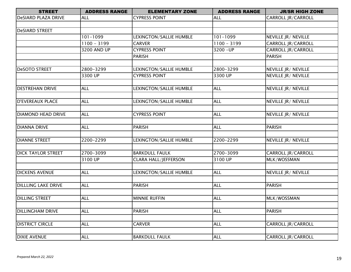| <b>STREET</b>              | <b>ADDRESS RANGE</b> | <b>ELEMENTARY ZONE</b>      | <b>ADDRESS RANGE</b> | <b>JR/SR HIGH ZONE</b>    |  |
|----------------------------|----------------------|-----------------------------|----------------------|---------------------------|--|
| DeSIARD PLAZA DRIVE        | ALL                  | <b>CYPRESS POINT</b>        | <b>ALL</b>           | CARROLL JR/CARROLL        |  |
|                            |                      |                             |                      |                           |  |
| <b>DeSIARD STREET</b>      |                      |                             |                      |                           |  |
|                            | $101 - 1099$         | LEXINGTON/SALLIE HUMBLE     | $101 - 1099$         | NEVILLE JR/ NEVILLE       |  |
|                            | $1100 - 3199$        | <b>CARVER</b>               | $1100 - 3199$        | CARROLL JR/CARROLL        |  |
|                            | <b>3200 AND UP</b>   | <b>CYPRESS POINT</b>        | $3200 - UP$          | CARROLL JR/CARROLL        |  |
|                            |                      | <b>PARISH</b>               |                      | <b>PARISH</b>             |  |
|                            |                      |                             |                      |                           |  |
| <b>DeSOTO STREET</b>       | 2800-3299            | LEXINGTON/SALLIE HUMBLE     | 2800-3299            | NEVILLE JR/ NEVILLE       |  |
|                            | 3300 UP              | <b>CYPRESS POINT</b>        | 3300 UP              | NEVILLE JR/ NEVILLE       |  |
|                            |                      |                             |                      |                           |  |
| <b>DESTREHAN DRIVE</b>     | <b>ALL</b>           | LEXINGTON/SALLIE HUMBLE     | <b>ALL</b>           | NEVILLE JR/ NEVILLE       |  |
|                            |                      |                             |                      |                           |  |
| <b>D'EVEREAUX PLACE</b>    | <b>ALL</b>           | LEXINGTON/SALLIE HUMBLE     | <b>ALL</b>           | NEVILLE JR/ NEVILLE       |  |
|                            |                      |                             |                      |                           |  |
| <b>DIAMOND HEAD DRIVE</b>  | <b>ALL</b>           | <b>CYPRESS POINT</b>        | <b>ALL</b>           | NEVILLE JR/ NEVILLE       |  |
|                            |                      |                             |                      |                           |  |
| <b>DIANNA DRIVE</b>        | <b>ALL</b>           | <b>PARISH</b>               | <b>ALL</b>           | <b>PARISH</b>             |  |
|                            |                      |                             |                      |                           |  |
| <b>DIANNE STREET</b>       | 2200-2299            | LEXINGTON/SALLIE HUMBLE     | 2200-2299            | NEVILLE JR/ NEVILLE       |  |
|                            |                      |                             |                      |                           |  |
| <b>DICK TAYLOR STREET</b>  | 2700-3099            | <b>BARKDULL FAULK</b>       | 2700-3099            | <b>CARROLL JR/CARROLL</b> |  |
|                            | 3100 UP              | <b>CLARA HALL/JEFFERSON</b> | 3100 UP              | MLK/WOSSMAN               |  |
|                            |                      |                             |                      |                           |  |
| <b>DICKENS AVENUE</b>      | <b>ALL</b>           | LEXINGTON/SALLIE HUMBLE     | <b>ALL</b>           | NEVILLE JR/ NEVILLE       |  |
|                            |                      |                             |                      |                           |  |
| <b>DILLLING LAKE DRIVE</b> | <b>ALL</b>           | PARISH                      | <b>ALL</b>           | <b>PARISH</b>             |  |
|                            |                      |                             |                      |                           |  |
| <b>DILLING STREET</b>      | <b>ALL</b>           | <b>MINNIE RUFFIN</b>        | <b>ALL</b>           | MLK/WOSSMAN               |  |
|                            |                      |                             |                      |                           |  |
| <b>DILLINGHAM DRIVE</b>    | <b>ALL</b>           | PARISH                      | <b>ALL</b>           | <b>PARISH</b>             |  |
|                            |                      |                             |                      |                           |  |
| <b>DISTRICT CIRCLE</b>     | <b>ALL</b>           | <b>CARVER</b>               | <b>ALL</b>           | CARROLL JR/CARROLL        |  |
|                            |                      |                             |                      |                           |  |
| <b>DIXIE AVENUE</b>        | <b>ALL</b>           | <b>BARKDULL FAULK</b>       | <b>ALL</b>           | <b>CARROLL JR/CARROLL</b> |  |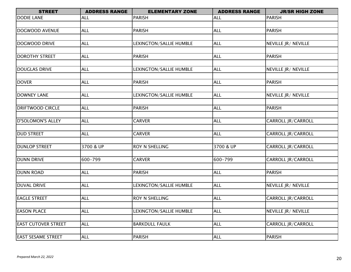| <b>STREET</b>              | <b>ADDRESS RANGE</b> | <b>ELEMENTARY ZONE</b>  | <b>ADDRESS RANGE</b> | <b>JR/SR HIGH ZONE</b>    |
|----------------------------|----------------------|-------------------------|----------------------|---------------------------|
| <b>DODIE LANE</b>          | ALL                  | PARISH                  | <b>ALL</b>           | <b>PARISH</b>             |
|                            |                      |                         |                      |                           |
| DOGWOOD AVENUE             | <b>ALL</b>           | PARISH                  | <b>ALL</b>           | <b>PARISH</b>             |
|                            |                      |                         |                      |                           |
| <b>DOGWOOD DRIVE</b>       | <b>ALL</b>           | LEXINGTON/SALLIE HUMBLE | <b>ALL</b>           | NEVILLE JR/ NEVILLE       |
|                            |                      |                         |                      |                           |
| <b>DOROTHY STREET</b>      | <b>ALL</b>           | <b>PARISH</b>           | <b>ALL</b>           | <b>PARISH</b>             |
|                            |                      |                         |                      |                           |
| <b>DOUGLAS DRIVE</b>       | <b>ALL</b>           | LEXINGTON/SALLIE HUMBLE | <b>ALL</b>           | NEVILLE JR/ NEVILLE       |
|                            |                      |                         |                      |                           |
| <b>DOVER</b>               | <b>ALL</b>           | <b>PARISH</b>           | <b>ALL</b>           | <b>PARISH</b>             |
|                            |                      |                         |                      |                           |
| <b>DOWNEY LANE</b>         | <b>ALL</b>           | LEXINGTON/SALLIE HUMBLE | <b>ALL</b>           | NEVILLE JR/ NEVILLE       |
|                            |                      |                         |                      |                           |
| <b>DRIFTWOOD CIRCLE</b>    | <b>ALL</b>           | <b>PARISH</b>           | <b>ALL</b>           | <b>PARISH</b>             |
|                            |                      |                         |                      |                           |
| <b>D'SOLOMON'S ALLEY</b>   | <b>ALL</b>           | <b>CARVER</b>           | <b>ALL</b>           | <b>CARROLL JR/CARROLL</b> |
| <b>DUD STREET</b>          | <b>ALL</b>           | <b>CARVER</b>           | <b>ALL</b>           | <b>CARROLL JR/CARROLL</b> |
|                            |                      |                         |                      |                           |
| <b>DUNLOP STREET</b>       | 3700 & UP            | <b>ROY N SHELLING</b>   | 3700 & UP            | CARROLL JR/CARROLL        |
|                            |                      |                         |                      |                           |
| <b>DUNN DRIVE</b>          | 600-799              | <b>CARVER</b>           | 600-799              | <b>CARROLL JR/CARROLL</b> |
|                            |                      |                         |                      |                           |
| <b>DUNN ROAD</b>           | <b>ALL</b>           | <b>PARISH</b>           | <b>ALL</b>           | <b>PARISH</b>             |
|                            |                      |                         |                      |                           |
| <b>DUVAL DRIVE</b>         | <b>ALL</b>           | LEXINGTON/SALLIE HUMBLE | <b>ALL</b>           | NEVILLE JR/ NEVILLE       |
|                            |                      |                         |                      |                           |
| <b>EAGLE STREET</b>        | <b>ALL</b>           | ROY N SHELLING          | <b>ALL</b>           | <b>CARROLL JR/CARROLL</b> |
|                            |                      |                         |                      |                           |
| <b>EASON PLACE</b>         | <b>ALL</b>           | LEXINGTON/SALLIE HUMBLE | <b>ALL</b>           | NEVILLE JR/ NEVILLE       |
|                            |                      |                         |                      |                           |
| <b>EAST CUTOVER STREET</b> | <b>ALL</b>           | <b>BARKDULL FAULK</b>   | <b>ALL</b>           | CARROLL JR/CARROLL        |
|                            |                      |                         |                      |                           |
| <b>EAST SESAME STREET</b>  | <b>ALL</b>           | <b>PARISH</b>           | <b>ALL</b>           | PARISH                    |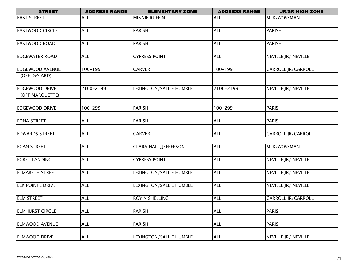| <b>STREET</b>          | <b>ADDRESS RANGE</b> | <b>ELEMENTARY ZONE</b>      | <b>ADDRESS RANGE</b> | <b>JR/SR HIGH ZONE</b> |
|------------------------|----------------------|-----------------------------|----------------------|------------------------|
| <b>EAST STREET</b>     | <b>ALL</b>           | <b>MINNIE RUFFIN</b>        | <b>ALL</b>           | MLK/WOSSMAN            |
|                        |                      |                             |                      |                        |
| <b>EASTWOOD CIRCLE</b> | <b>ALL</b>           | <b>PARISH</b>               | <b>ALL</b>           | <b>PARISH</b>          |
|                        |                      |                             |                      |                        |
| <b>EASTWOOD ROAD</b>   | <b>ALL</b>           | PARISH                      | <b>ALL</b>           | PARISH                 |
|                        |                      |                             |                      |                        |
| <b>EDGEWATER ROAD</b>  | <b>ALL</b>           | <b>CYPRESS POINT</b>        | <b>ALL</b>           | NEVILLE JR/ NEVILLE    |
|                        |                      |                             |                      |                        |
| <b>EDGEWOOD AVENUE</b> | $100 - 199$          | <b>CARVER</b>               | $100 - 199$          | CARROLL JR/CARROLL     |
| (OFF DeSIARD)          |                      |                             |                      |                        |
|                        |                      |                             |                      |                        |
| <b>EDGEWOOD DRIVE</b>  | 2100-2199            | LEXINGTON/SALLIE HUMBLE     | 2100-2199            | NEVILLE JR / NEVILLE   |
| (OFF MARQUETTE)        |                      |                             |                      |                        |
|                        |                      |                             |                      |                        |
| <b>EDGEWOOD DRIVE</b>  | $100 - 299$          | PARISH                      | 100-299              | PARISH                 |
|                        |                      |                             |                      |                        |
| <b>EDNA STREET</b>     | <b>ALL</b>           | PARISH                      | <b>ALL</b>           | <b>PARISH</b>          |
|                        |                      |                             |                      |                        |
| <b>EDWARDS STREET</b>  | <b>ALL</b>           | <b>CARVER</b>               | <b>ALL</b>           | CARROLL JR/CARROLL     |
| <b>EGAN STREET</b>     | <b>ALL</b>           | <b>CLARA HALL/JEFFERSON</b> | <b>ALL</b>           | MLK/WOSSMAN            |
|                        |                      |                             |                      |                        |
|                        |                      |                             |                      |                        |

| <b>EGRET LANDING</b>    | ALL         | <b>CYPRESS POINT</b>    | <b>ALL</b> | NEVILLE JR/ NEVILLE       |
|-------------------------|-------------|-------------------------|------------|---------------------------|
|                         |             |                         |            |                           |
| <b>ELIZABETH STREET</b> | ALL         | LEXINGTON/SALLIE HUMBLE | <b>ALL</b> | NEVILLE JR/ NEVILLE       |
|                         |             |                         |            |                           |
| <b>ELK POINTE DRIVE</b> | <b>ALL</b>  | LEXINGTON/SALLIE HUMBLE | <b>ALL</b> | NEVILLE JR/ NEVILLE       |
|                         |             |                         |            |                           |
| <b>ELM STREET</b>       | ALL         | <b>ROY N SHELLING</b>   | <b>ALL</b> | <b>CARROLL JR/CARROLL</b> |
|                         |             |                         |            |                           |
| <b>ELMHURST CIRCLE</b>  | <b>IALL</b> | <b>PARISH</b>           | <b>ALL</b> | <b>PARISH</b>             |
|                         |             |                         |            |                           |
| <b>ELMWOOD AVENUE</b>   | <b>ALL</b>  | <b>PARISH</b>           | <b>ALL</b> | <b>PARISH</b>             |
|                         |             |                         |            |                           |
| <b>ELMWOOD DRIVE</b>    | ALL         | LEXINGTON/SALLIE HUMBLE | <b>ALL</b> | NEVILLE JR/ NEVILLE       |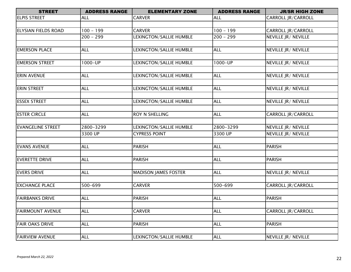| <b>STREET</b>              | <b>ADDRESS RANGE</b> | <b>ELEMENTARY ZONE</b>      | <b>ADDRESS RANGE</b> | <b>JR/SR HIGH ZONE</b>    |
|----------------------------|----------------------|-----------------------------|----------------------|---------------------------|
| <b>ELPIS STREET</b>        | <b>ALL</b>           | <b>CARVER</b>               | <b>ALL</b>           | CARROLL JR/CARROLL        |
|                            |                      |                             |                      |                           |
| <b>ELYSIAN FIELDS ROAD</b> | $100 - 199$          | <b>CARVER</b>               | $100 - 199$          | CARROLL JR/CARROLL        |
|                            | $200 - 299$          | LEXINGTON/SALLIE HUMBLE     | $200 - 299$          | NEVILLE JR/ NEVILLE       |
|                            |                      |                             |                      |                           |
| <b>EMERSON PLACE</b>       | <b>ALL</b>           | LEXINGTON/SALLIE HUMBLE     | <b>ALL</b>           | NEVILLE JR/ NEVILLE       |
|                            |                      |                             |                      |                           |
| <b>EMERSON STREET</b>      | 1000-UP              | LEXINGTON/SALLIE HUMBLE     | 1000-UP              | NEVILLE JR/ NEVILLE       |
|                            |                      |                             |                      |                           |
| <b>ERIN AVENUE</b>         | <b>ALL</b>           | LEXINGTON/SALLIE HUMBLE     | <b>ALL</b>           | NEVILLE JR/ NEVILLE       |
|                            |                      |                             |                      |                           |
| ERIN STREET                | <b>ALL</b>           | LEXINGTON/SALLIE HUMBLE     | <b>ALL</b>           | NEVILLE JR/ NEVILLE       |
|                            |                      |                             |                      |                           |
| <b>ESSEX STREET</b>        | ALL                  | LEXINGTON/SALLIE HUMBLE     | <b>ALL</b>           | NEVILLE JR/ NEVILLE       |
|                            |                      |                             |                      |                           |
| <b>ESTER CIRCLE</b>        | <b>ALL</b>           | ROY N SHELLING              | <b>ALL</b>           | CARROLL JR/CARROLL        |
|                            |                      |                             |                      |                           |
| <b>EVANGELINE STREET</b>   | 2800-3299            | LEXINGTON/SALLIE HUMBLE     | 2800-3299            | NEVILLE JR/ NEVILLE       |
|                            | 3300 UP              | <b>CYPRESS POINT</b>        | 3300 UP              | NEVILLE JR/ NEVILLE       |
|                            |                      |                             |                      |                           |
| <b>EVANS AVENUE</b>        | <b>ALL</b>           | PARISH                      | <b>ALL</b>           | <b>PARISH</b>             |
|                            |                      |                             |                      |                           |
| <b>EVERETTE DRIVE</b>      | <b>ALL</b>           | PARISH                      | <b>ALL</b>           | <b>PARISH</b>             |
|                            |                      |                             |                      |                           |
| <b>EVERS DRIVE</b>         | <b>ALL</b>           | <b>MADISON JAMES FOSTER</b> | <b>ALL</b>           | NEVILLE JR/ NEVILLE       |
|                            |                      |                             |                      |                           |
| <b>EXCHANGE PLACE</b>      | 500-699              | <b>CARVER</b>               | 500-699              | CARROLL JR/CARROLL        |
|                            |                      |                             |                      |                           |
| <b>FAIRBANKS DRIVE</b>     | <b>ALL</b>           | <b>PARISH</b>               | <b>ALL</b>           | <b>PARISH</b>             |
|                            |                      |                             |                      |                           |
| <b>FAIRMOUNT AVENUE</b>    | <b>ALL</b>           | <b>CARVER</b>               | <b>ALL</b>           | <b>CARROLL JR/CARROLL</b> |
|                            |                      |                             |                      |                           |
| <b>FAIR OAKS DRIVE</b>     | <b>ALL</b>           | <b>PARISH</b>               | <b>ALL</b>           | <b>PARISH</b>             |
|                            |                      |                             |                      |                           |
| <b>FAIRVIEW AVENUE</b>     | <b>ALL</b>           | LEXINGTON/SALLIE HUMBLE     | <b>ALL</b>           | NEVILLE JR/ NEVILLE       |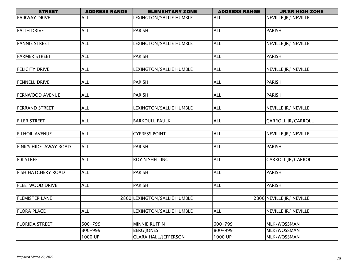| <b>STREET</b>          | <b>ADDRESS RANGE</b> | <b>ELEMENTARY ZONE</b>  | <b>ADDRESS RANGE</b> | <b>JR/SR HIGH ZONE</b> |
|------------------------|----------------------|-------------------------|----------------------|------------------------|
| <b>FAIRWAY DRIVE</b>   | <b>ALL</b>           | LEXINGTON/SALLIE HUMBLE | <b>ALL</b>           | NEVILLE JR/ NEVILLE    |
|                        |                      |                         |                      |                        |
| <b>FAITH DRIVE</b>     | <b>ALL</b>           | <b>PARISH</b>           | <b>ALL</b>           | PARISH                 |
|                        |                      |                         |                      |                        |
| <b>FANNIE STREET</b>   | <b>ALL</b>           | LEXINGTON/SALLIE HUMBLE | <b>ALL</b>           | NEVILLE JR/ NEVILLE    |
|                        |                      |                         |                      |                        |
| <b>FARMER STREET</b>   | <b>ALL</b>           | <b>PARISH</b>           | <b>ALL</b>           | <b>PARISH</b>          |
|                        |                      |                         |                      |                        |
| <b>FELICITY DRIVE</b>  | <b>ALL</b>           | LEXINGTON/SALLIE HUMBLE | <b>ALL</b>           | NEVILLE JR/ NEVILLE    |
|                        |                      |                         |                      |                        |
| <b>FENNELL DRIVE</b>   | <b>ALL</b>           | <b>PARISH</b>           | <b>ALL</b>           | <b>PARISH</b>          |
|                        |                      |                         |                      |                        |
| <b>FERNWOOD AVENUE</b> | <b>ALL</b>           | <b>PARISH</b>           | <b>ALL</b>           | <b>PARISH</b>          |
|                        |                      |                         |                      |                        |
| <b>FERRAND STREET</b>  | <b>ALL</b>           | LEXINGTON/SALLIE HUMBLE | <b>ALL</b>           | NEVILLE JR/ NEVILLE    |
|                        |                      |                         |                      |                        |
| <b>FILER STREET</b>    | <b>ALL</b>           | <b>BARKDULL FAULK</b>   | <b>ALL</b>           | CARROLL JR/CARROLL     |

| <b>FILHOIL AVENUE</b>        | <b>ALL</b> | <b>CYPRESS POINT</b>         | <b>ALL</b> | NEVILLE JR/ NEVILLE       |
|------------------------------|------------|------------------------------|------------|---------------------------|
|                              |            |                              |            |                           |
| <b>FINK'S HIDE-AWAY ROAD</b> | <b>ALL</b> | <b>PARISH</b>                | <b>ALL</b> | <b>PARISH</b>             |
|                              |            |                              |            |                           |
| <b>FIR STREET</b>            | <b>ALL</b> | <b>ROY N SHELLING</b>        | <b>ALL</b> | <b>CARROLL JR/CARROLL</b> |
|                              |            |                              |            |                           |
| <b>FISH HATCHERY ROAD</b>    | <b>ALL</b> | <b>PARISH</b>                | <b>ALL</b> | <b>PARISH</b>             |
|                              |            |                              |            |                           |
| <b>FLEETWOOD DRIVE</b>       | <b>ALL</b> | <b>PARISH</b>                | <b>ALL</b> | <b>PARISH</b>             |
|                              |            |                              |            |                           |
| <b>FLEMISTER LANE</b>        |            | 2800 LEXINGTON/SALLIE HUMBLE |            | 2800 NEVILLE JR/ NEVILLE  |
|                              |            |                              |            |                           |
| <b>FLORA PLACE</b>           | <b>ALL</b> | LEXINGTON/SALLIE HUMBLE      | <b>ALL</b> | NEVILLE JR/ NEVILLE       |
|                              |            |                              |            |                           |
| <b>FLORIDA STREET</b>        | 600-799    | <b>MINNIE RUFFIN</b>         | 600-799    | MLK/WOSSMAN               |
|                              | 800-999    | <b>BERG JONES</b>            | 800-999    | MLK/WOSSMAN               |
|                              | 1000 UP    | <b>CLARA HALL/JEFFERSON</b>  | 1000 UP    | MLK/WOSSMAN               |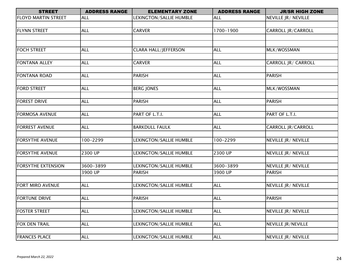| <b>STREET</b>              | <b>ADDRESS RANGE</b> | <b>ELEMENTARY ZONE</b>      | <b>ADDRESS RANGE</b> | <b>JR/SR HIGH ZONE</b>      |
|----------------------------|----------------------|-----------------------------|----------------------|-----------------------------|
| <b>FLOYD MARTIN STREET</b> | <b>ALL</b>           | LEXINGTON/SALLIE HUMBLE     | <b>ALL</b>           | NEVILLE JR/ NEVILLE         |
|                            |                      |                             |                      |                             |
| <b>FLYNN STREET</b>        | <b>ALL</b>           | <b>CARVER</b>               | 1700-1900            | <b>CARROLL JR/CARROLL</b>   |
|                            |                      |                             |                      |                             |
|                            |                      |                             |                      |                             |
| <b>FOCH STREET</b>         | <b>ALL</b>           | <b>CLARA HALL/JEFFERSON</b> | <b>ALL</b>           | MLK/WOSSMAN                 |
|                            |                      |                             |                      |                             |
| <b>FONTANA ALLEY</b>       | <b>ALL</b>           | <b>CARVER</b>               | <b>ALL</b>           | CARROLL JR/ CARROLL         |
|                            |                      |                             |                      |                             |
| <b>FONTANA ROAD</b>        | <b>ALL</b>           | <b>PARISH</b>               | <b>ALL</b>           | <b>PARISH</b>               |
|                            |                      |                             |                      |                             |
| <b>FORD STREET</b>         | <b>ALL</b>           | <b>BERG JONES</b>           | <b>ALL</b>           | MLK/WOSSMAN                 |
|                            |                      |                             |                      |                             |
| <b>FOREST DRIVE</b>        | <b>ALL</b>           | <b>PARISH</b>               | <b>ALL</b>           | <b>PARISH</b>               |
|                            |                      |                             |                      |                             |
| <b>FORMOSA AVENUE</b>      | <b>ALL</b>           | PART OF L.T.I.              | <b>ALL</b>           | PART OF L.T.I.              |
|                            |                      |                             |                      |                             |
| <b>FORREST AVENUE</b>      | <b>ALL</b>           | <b>BARKDULL FAULK</b>       | <b>ALL</b>           | CARROLL JR/CARROLL          |
|                            |                      |                             |                      |                             |
| <b>FORSYTHE AVENUE</b>     | 100-2299             | LEXINGTON/SALLIE HUMBLE     | 100-2299             | NEVILLE JR/ NEVILLE         |
|                            |                      |                             |                      |                             |
| <b>FORSYTHE AVENUE</b>     | 2300 UP              | LEXINGTON/SALLIE HUMBLE     | 2300 UP              | <b>NEVILLE JR / NEVILLE</b> |
|                            |                      |                             |                      |                             |
| <b>FORSYTHE EXTENSION</b>  | 3600-3899            | LEXINGTON/SALLIE HUMBLE     | 3600-3899            | NEVILLE JR/ NEVILLE         |
|                            | 3900 UP              | PARISH                      | 3900 UP              | <b>PARISH</b>               |
|                            |                      |                             |                      |                             |
| <b>FORT MIRO AVENUE</b>    | <b>ALL</b>           | LEXINGTON/SALLIE HUMBLE     | <b>ALL</b>           | NEVILLE JR/ NEVILLE         |
|                            |                      |                             |                      |                             |
| <b>FORTUNE DRIVE</b>       | <b>ALL</b>           | <b>PARISH</b>               | <b>ALL</b>           | <b>PARISH</b>               |
|                            |                      |                             |                      |                             |
| <b>FOSTER STREET</b>       | <b>ALL</b>           | LEXINGTON/SALLIE HUMBLE     | <b>ALL</b>           | NEVILLE JR/ NEVILLE         |
|                            |                      |                             |                      |                             |
| <b>FOX DEN TRAIL</b>       | <b>ALL</b>           | LEXINGTON/SALLIE HUMBLE     | <b>ALL</b>           | NEVILLE JR/NEVILLE          |
|                            |                      |                             |                      |                             |
| <b>FRANCES PLACE</b>       | <b>ALL</b>           | LEXINGTON/SALLIE HUMBLE     | <b>ALL</b>           | NEVILLE JR/ NEVILLE         |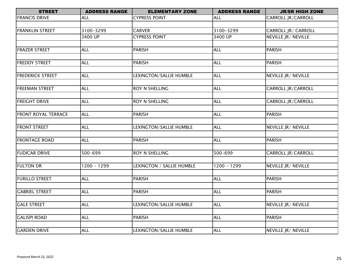| <b>STREET</b>              | <b>ADDRESS RANGE</b> | <b>ELEMENTARY ZONE</b>    | <b>ADDRESS RANGE</b> | <b>JR/SR HIGH ZONE</b>    |
|----------------------------|----------------------|---------------------------|----------------------|---------------------------|
| <b>FRANCIS DRIVE</b>       | ALL                  | <b>CYPRESS POINT</b>      | <b>ALL</b>           | CARROLL JR/CARROLL        |
|                            |                      |                           |                      |                           |
| <b>FRANKLIN STREET</b>     | 3100-3299            | <b>CARVER</b>             | 3100-3299            | CARROLL JR/ CARROLL       |
|                            | 3400 UP              | <b>CYPRESS POINT</b>      | 3400 UP              | NEVILLE JR/ NEVILLE       |
|                            |                      |                           |                      |                           |
| <b>FRAZER STREET</b>       | <b>ALL</b>           | <b>PARISH</b>             | <b>ALL</b>           | <b>PARISH</b>             |
|                            |                      |                           |                      |                           |
| <b>FREDDY STREET</b>       | <b>ALL</b>           | <b>PARISH</b>             | <b>ALL</b>           | <b>PARISH</b>             |
| <b>FREDERICK STREET</b>    | <b>ALL</b>           | LEXINGTON/SALLIE HUMBLE   | <b>ALL</b>           | NEVILLE JR/ NEVILLE       |
|                            |                      |                           |                      |                           |
| <b>FREEMAN STREET</b>      | <b>ALL</b>           | ROY N SHELLING            | <b>ALL</b>           | <b>CARROLL JR/CARROLL</b> |
|                            |                      |                           |                      |                           |
| <b>FREIGHT DRIVE</b>       | <b>ALL</b>           | <b>ROY N SHELLING</b>     | <b>ALL</b>           | CARROLL JR/CARROLL        |
|                            |                      |                           |                      |                           |
| <b>FRONT ROYAL TERRACE</b> | <b>ALL</b>           | <b>PARISH</b>             | <b>ALL</b>           | <b>PARISH</b>             |
|                            |                      |                           |                      |                           |
| <b>FRONT STREET</b>        | <b>ALL</b>           | LEXINGTON/SALLIE HUMBLE   | <b>ALL</b>           | NEVILLE JR/ NEVILLE       |
| <b>FRONTAGE ROAD</b>       | <b>ALL</b>           | <b>PARISH</b>             | <b>ALL</b>           | <b>PARISH</b>             |
|                            |                      |                           |                      |                           |
| <b>FUDICAR DRIVE</b>       | 500-699              | ROY N SHELLING            | 500-699              | CARROLL JR/CARROLL        |
|                            |                      |                           |                      |                           |
| <b>FULTON DR</b>           | 1200 - 1299          | LEXINGTON / SALLIE HUMBLE | $1200 - 1299$        | NEVILLE JR/ NEVILLE       |
|                            |                      |                           |                      |                           |
| <b>FURILLO STREET</b>      | <b>ALL</b>           | <b>PARISH</b>             | <b>ALL</b>           | <b>PARISH</b>             |
| <b>GABRIEL STREET</b>      | <b>ALL</b>           | <b>PARISH</b>             | <b>ALL</b>           | <b>PARISH</b>             |
|                            |                      |                           |                      |                           |
| <b>GALE STREET</b>         | <b>ALL</b>           | LEXINGTON/SALLIE HUMBLE   | <b>ALL</b>           | NEVILLE JR/ NEVILLE       |
|                            |                      |                           |                      |                           |
| <b>GALISPI ROAD</b>        | <b>ALL</b>           | <b>PARISH</b>             | <b>ALL</b>           | <b>PARISH</b>             |
|                            |                      |                           |                      |                           |
| <b>GARDEN DRIVE</b>        | <b>ALL</b>           | LEXINGTON/SALLIE HUMBLE   | <b>ALL</b>           | NEVILLE JR/ NEVILLE       |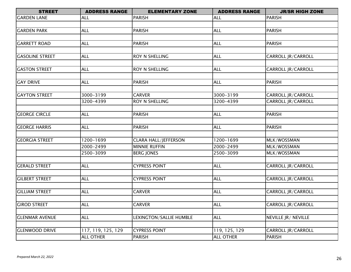| <b>STREET</b>          | <b>ADDRESS RANGE</b> | <b>ELEMENTARY ZONE</b>      | <b>ADDRESS RANGE</b> | <b>JR/SR HIGH ZONE</b>    |
|------------------------|----------------------|-----------------------------|----------------------|---------------------------|
| <b>GARDEN LANE</b>     | <b>ALL</b>           | <b>PARISH</b>               | <b>ALL</b>           | <b>PARISH</b>             |
|                        |                      |                             |                      |                           |
| <b>GARDEN PARK</b>     | <b>ALL</b>           | <b>PARISH</b>               | <b>ALL</b>           | <b>PARISH</b>             |
|                        |                      |                             |                      |                           |
| <b>GARRETT ROAD</b>    | <b>ALL</b>           | <b>PARISH</b>               | ALL                  | <b>PARISH</b>             |
|                        |                      |                             |                      |                           |
| <b>GASOLINE STREET</b> | <b>ALL</b>           | ROY N SHELLING              | <b>ALL</b>           | CARROLL JR/CARROLL        |
|                        |                      |                             |                      |                           |
| <b>GASTON STREET</b>   | <b>ALL</b>           | ROY N SHELLING              | <b>ALL</b>           | CARROLL JR/CARROLL        |
|                        |                      |                             |                      |                           |
| <b>GAY DRIVE</b>       | <b>ALL</b>           | <b>PARISH</b>               | <b>ALL</b>           | <b>PARISH</b>             |
|                        |                      |                             |                      |                           |
| <b>GAYTON STREET</b>   | 3000-3199            | <b>CARVER</b>               | 3000-3199            | CARROLL JR/CARROLL        |
|                        | 3200-4399            | ROY N SHELLING              | 3200-4399            | CARROLL JR/CARROLL        |
|                        |                      |                             |                      |                           |
| <b>GEORGE CIRCLE</b>   | <b>ALL</b>           | <b>PARISH</b>               | <b>ALL</b>           | <b>PARISH</b>             |
|                        |                      |                             |                      |                           |
| <b>GEORGE HARRIS</b>   | <b>ALL</b>           | <b>PARISH</b>               | <b>ALL</b>           | <b>PARISH</b>             |
|                        |                      |                             |                      |                           |
| <b>GEORGIA STREET</b>  | 1200-1699            | <b>CLARA HALL/JEFFERSON</b> | 1200-1699            | MLK/WOSSMAN               |
|                        | 2000-2499            | <b>MINNIE RUFFIN</b>        | 2000-2499            | MLK/WOSSMAN               |
|                        | 2500-3099            | <b>BERG JONES</b>           | 2500-3099            | MLK/WOSSMAN               |
|                        |                      |                             |                      |                           |
| <b>GERALD STREET</b>   | <b>ALL</b>           | <b>CYPRESS POINT</b>        | ALL                  | CARROLL JR/CARROLL        |
|                        |                      |                             |                      |                           |
| <b>GILBERT STREET</b>  | <b>ALL</b>           | <b>CYPRESS POINT</b>        | <b>ALL</b>           | CARROLL JR/CARROLL        |
| <b>GILLIAM STREET</b>  | <b>ALL</b>           | <b>CARVER</b>               | <b>ALL</b>           | CARROLL JR/CARROLL        |
|                        |                      |                             |                      |                           |
| <b>GIROD STREET</b>    | <b>ALL</b>           | <b>CARVER</b>               | <b>ALL</b>           | <b>CARROLL JR/CARROLL</b> |
|                        |                      |                             |                      |                           |
| <b>GLENMAR AVENUE</b>  | <b>ALL</b>           | LEXINGTON/SALLIE HUMBLE     | <b>ALL</b>           | NEVILLE JR/ NEVILLE       |
|                        |                      |                             |                      |                           |
| <b>GLENWOOD DRIVE</b>  | 117, 119, 125, 129   | <b>CYPRESS POINT</b>        | 119, 125, 129        | CARROLL JR/CARROLL        |
|                        | <b>ALL OTHER</b>     | <b>PARISH</b>               | <b>ALL OTHER</b>     | <b>PARISH</b>             |
|                        |                      |                             |                      |                           |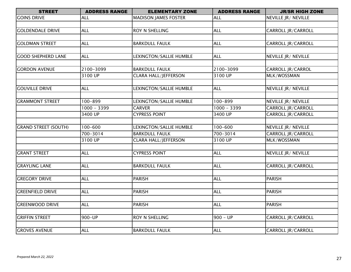| <b>STREET</b>               | <b>ADDRESS RANGE</b> | <b>ELEMENTARY ZONE</b>      | <b>ADDRESS RANGE</b> | <b>JR/SR HIGH ZONE</b>    |
|-----------------------------|----------------------|-----------------------------|----------------------|---------------------------|
| <b>GOINS DRIVE</b>          | ALL                  | <b>MADISON JAMES FOSTER</b> | <b>ALL</b>           | NEVILLE JR/ NEVILLE       |
|                             |                      |                             |                      |                           |
| <b>GOLDENDALE DRIVE</b>     | <b>ALL</b>           | ROY N SHELLING              | <b>ALL</b>           | CARROLL JR/CARROLL        |
|                             |                      |                             |                      |                           |
| <b>GOLDMAN STREET</b>       | <b>ALL</b>           | <b>BARKDULL FAULK</b>       | <b>ALL</b>           | CARROLL JR/CARROLL        |
|                             |                      |                             |                      |                           |
| <b>GOOD SHEPHERD LANE</b>   | <b>ALL</b>           | LEXINGTON/SALLIE HUMBLE     | <b>ALL</b>           | NEVILLE JR/ NEVILLE       |
|                             |                      |                             |                      |                           |
| <b>GORDON AVENUE</b>        | 2100-3099            | <b>BARKDULL FAULK</b>       | 2100-3099            | CARROLL JR/CARROL         |
|                             | 3100 UP              | <b>CLARA HALL/JEFFERSON</b> | 3100 UP              | MLK/WOSSMAN               |
|                             |                      |                             |                      |                           |
| <b>GOUVILLE DRIVE</b>       | <b>ALL</b>           | LEXINGTON/SALLIE HUMBLE     | <b>ALL</b>           | NEVILLE JR/ NEVILLE       |
|                             |                      |                             |                      |                           |
| <b>GRAMMONT STREET</b>      | 100-899              | LEXINGTON/SALLIE HUMBLE     | 100-899              | NEVILLE JR/ NEVILLE       |
|                             | $1000 - 3399$        | <b>CARVER</b>               | $1000 - 3399$        | CARROLL JR/CARROLL        |
|                             | 3400 UP              | <b>CYPRESS POINT</b>        | 3400 UP              | CARROLL JR/CARROLL        |
|                             |                      |                             |                      |                           |
| <b>GRAND STREET (SOUTH)</b> | $100 - 600$          | LEXINGTON/SALLIE HUMBLE     | 100-600              | NEVILLE JR/ NEVILLE       |
|                             | $700 - 3014$         | <b>BARKDULL FAULK</b>       | $700 - 3014$         | <b>CARROLL JR/CARROLL</b> |
|                             | 3100 UP              | <b>CLARA HALL/JEFFERSON</b> | 3100 UP              | MLK/WOSSMAN               |
|                             |                      |                             |                      |                           |
| <b>GRANT STREET</b>         | <b>ALL</b>           | <b>CYPRESS POINT</b>        | <b>ALL</b>           | NEVILLE JR/ NEVILLE       |
|                             |                      |                             |                      |                           |
| <b>GRAYLING LANE</b>        | <b>ALL</b>           | <b>BARKDULL FAULK</b>       | <b>ALL</b>           | CARROLL JR/CARROLL        |
|                             |                      |                             |                      |                           |
| <b>GREGORY DRIVE</b>        | <b>ALL</b>           | <b>PARISH</b>               | <b>ALL</b>           | <b>PARISH</b>             |
|                             |                      |                             |                      |                           |
| <b>GREENFIELD DRIVE</b>     | <b>ALL</b>           | <b>PARISH</b>               | <b>ALL</b>           | <b>PARISH</b>             |
|                             |                      |                             |                      |                           |
| <b>GREENWOOD DRIVE</b>      | <b>ALL</b>           | <b>PARISH</b>               | <b>ALL</b>           | <b>PARISH</b>             |
|                             |                      |                             |                      |                           |
| <b>GRIFFIN STREET</b>       | 900-UP               | ROY N SHELLING              | $900 - UP$           | <b>CARROLL JR/CARROLL</b> |
|                             |                      |                             |                      |                           |
| <b>GROVES AVENUE</b>        | <b>ALL</b>           | <b>BARKDULL FAULK</b>       | <b>ALL</b>           | CARROLL JR/CARROLL        |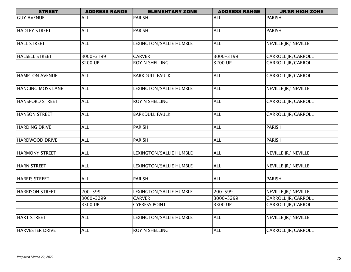| <b>STREET</b>          | <b>ADDRESS RANGE</b> | <b>ELEMENTARY ZONE</b>  | <b>ADDRESS RANGE</b> | <b>JR/SR HIGH ZONE</b>    |
|------------------------|----------------------|-------------------------|----------------------|---------------------------|
| <b>GUY AVENUE</b>      | <b>ALL</b>           | <b>PARISH</b>           | <b>ALL</b>           | <b>PARISH</b>             |
|                        |                      |                         |                      |                           |
| <b>HADLEY STREET</b>   | <b>ALL</b>           | <b>PARISH</b>           | <b>ALL</b>           | <b>PARISH</b>             |
|                        |                      |                         |                      |                           |
| <b>HALL STREET</b>     | <b>ALL</b>           | LEXINGTON/SALLIE HUMBLE | <b>ALL</b>           | NEVILLE JR/ NEVILLE       |
|                        |                      |                         |                      |                           |
| <b>HALSELL STREET</b>  | 3000-3199            | <b>CARVER</b>           | 3000-3199            | CARROLL JR/CARROLL        |
|                        | 3200 UP              | ROY N SHELLING          | 3200 UP              | CARROLL JR/CARROLL        |
|                        |                      |                         |                      |                           |
| <b>HAMPTON AVENUE</b>  | <b>ALL</b>           | <b>BARKDULL FAULK</b>   | <b>ALL</b>           | CARROLL JR/CARROLL        |
|                        |                      |                         |                      |                           |
| HANGING MOSS LANE      | <b>ALL</b>           | LEXINGTON/SALLIE HUMBLE | <b>ALL</b>           | NEVILLE JR/ NEVILLE       |
|                        |                      |                         |                      |                           |
| <b>HANSFORD STREET</b> | <b>ALL</b>           | ROY N SHELLING          | <b>ALL</b>           | CARROLL JR/CARROLL        |
| HANSON STREET          | <b>ALL</b>           | <b>BARKDULL FAULK</b>   | <b>ALL</b>           | CARROLL JR/CARROLL        |
|                        |                      |                         |                      |                           |
| <b>HARDING DRIVE</b>   | <b>ALL</b>           | <b>PARISH</b>           | <b>ALL</b>           | <b>PARISH</b>             |
|                        |                      |                         |                      |                           |
| <b>HARDWOOD DRIVE</b>  | <b>ALL</b>           | <b>PARISH</b>           | <b>ALL</b>           | <b>PARISH</b>             |
|                        |                      |                         |                      |                           |
| <b>HARMONY STREET</b>  | <b>ALL</b>           | LEXINGTON/SALLIE HUMBLE | <b>ALL</b>           | NEVILLE JR/ NEVILLE       |
|                        |                      |                         |                      |                           |
| HARN STREET            | <b>ALL</b>           | LEXINGTON/SALLIE HUMBLE | <b>ALL</b>           | NEVILLE JR/ NEVILLE       |
|                        |                      |                         |                      |                           |
| <b>HARRIS STREET</b>   | <b>ALL</b>           | <b>PARISH</b>           | <b>ALL</b>           | <b>PARISH</b>             |
|                        |                      |                         |                      |                           |
| <b>HARRISON STREET</b> | 200-599              | LEXINGTON/SALLIE HUMBLE | 200-599              | NEVILLE JR/ NEVILLE       |
|                        | 3000-3299            | <b>CARVER</b>           | 3000-3299            | CARROLL JR/CARROLL        |
|                        | 3300 UP              | <b>CYPRESS POINT</b>    | 3300 UP              | <b>CARROLL JR/CARROLL</b> |
|                        |                      |                         |                      |                           |
| HART STREET            | <b>ALL</b>           | LEXINGTON/SALLIE HUMBLE | <b>ALL</b>           | NEVILLE JR/ NEVILLE       |
|                        |                      |                         |                      |                           |
| HARVESTER DRIVE        | <b>ALL</b>           | ROY N SHELLING          | <b>ALL</b>           | <b>CARROLL JR/CARROLL</b> |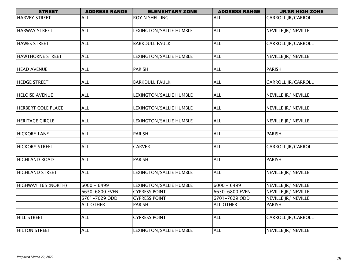| <b>STREET</b>             | <b>ADDRESS RANGE</b> | <b>ELEMENTARY ZONE</b>         | <b>ADDRESS RANGE</b> | <b>JR/SR HIGH ZONE</b>    |
|---------------------------|----------------------|--------------------------------|----------------------|---------------------------|
| <b>HARVEY STREET</b>      | <b>ALL</b>           | ROY N SHELLING                 | <b>ALL</b>           | CARROLL JR/CARROLL        |
|                           |                      |                                |                      |                           |
| <b>HARWAY STREET</b>      | <b>ALL</b>           | LEXINGTON/SALLIE HUMBLE        | <b>ALL</b>           | NEVILLE JR/ NEVILLE       |
|                           |                      |                                |                      |                           |
| <b>HAWES STREET</b>       | <b>ALL</b>           | <b>BARKDULL FAULK</b>          | <b>ALL</b>           | <b>CARROLL JR/CARROLL</b> |
|                           |                      |                                |                      |                           |
| <b>HAWTHORNE STREET</b>   | <b>ALL</b>           | LEXINGTON/SALLIE HUMBLE        | <b>ALL</b>           | NEVILLE JR/ NEVILLE       |
|                           |                      |                                |                      |                           |
| <b>HEAD AVENUE</b>        | <b>ALL</b>           | PARISH                         | <b>ALL</b>           | <b>PARISH</b>             |
|                           |                      |                                |                      |                           |
| <b>HEDGE STREET</b>       | <b>ALL</b>           | <b>BARKDULL FAULK</b>          | <b>ALL</b>           | <b>CARROLL JR/CARROLL</b> |
|                           |                      |                                |                      |                           |
| <b>HELOISE AVENUE</b>     | <b>ALL</b>           | LEXINGTON/SALLIE HUMBLE        | <b>ALL</b>           | NEVILLE JR/ NEVILLE       |
|                           |                      |                                |                      |                           |
| <b>HERBERT COLE PLACE</b> | <b>ALL</b>           | LEXINGTON/SALLIE HUMBLE        | <b>ALL</b>           | NEVILLE JR/ NEVILLE       |
|                           |                      |                                |                      |                           |
| <b>HERITAGE CIRCLE</b>    | <b>ALL</b>           | LEXINGTON/SALLIE HUMBLE        | <b>ALL</b>           | NEVILLE JR/ NEVILLE       |
|                           |                      |                                |                      |                           |
| <b>HICKORY LANE</b>       | <b>ALL</b>           | <b>PARISH</b>                  | <b>ALL</b>           | <b>PARISH</b>             |
|                           |                      |                                |                      |                           |
| <b>HICKORY STREET</b>     | <b>ALL</b>           | <b>CARVER</b>                  | <b>ALL</b>           | CARROLL JR/CARROLL        |
|                           |                      |                                |                      |                           |
| <b>HIGHLAND ROAD</b>      | <b>ALL</b>           | PARISH                         | <b>ALL</b>           | <b>PARISH</b>             |
|                           |                      |                                |                      |                           |
| <b>HIGHLAND STREET</b>    | <b>ALL</b>           | LEXINGTON/SALLIE HUMBLE        | <b>ALL</b>           | NEVILLE JR/ NEVILLE       |
| HIGHWAY 165 (NORTH)       | $6000 - 6499$        | <b>LEXINGTON/SALLIE HUMBLE</b> | $6000 - 6499$        | NEVILLE JR/ NEVILLE       |
|                           | 6630-6800 EVEN       | <b>CYPRESS POINT</b>           | 6630-6800 EVEN       | NEVILLE JR/ NEVILLE       |
|                           | 6701-7029 ODD        | <b>CYPRESS POINT</b>           | 6701-7029 ODD        | NEVILLE JR/ NEVILLE       |
|                           | <b>ALL OTHER</b>     | <b>PARISH</b>                  | <b>ALL OTHER</b>     | <b>PARISH</b>             |
|                           |                      |                                |                      |                           |
| <b>HILL STREET</b>        | <b>ALL</b>           | <b>CYPRESS POINT</b>           | ALL                  | CARROLL JR/CARROLL        |
|                           |                      |                                |                      |                           |
| <b>HILTON STREET</b>      | <b>ALL</b>           | <b>LEXINGTON/SALLIE HUMBLE</b> | <b>ALL</b>           | NEVILLE JR/ NEVILLE       |
|                           |                      |                                |                      |                           |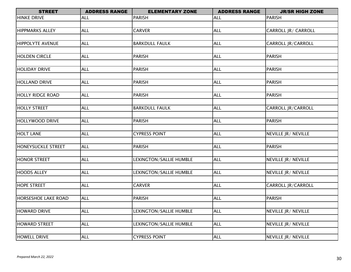| <b>STREET</b>              | <b>ADDRESS RANGE</b> | <b>ELEMENTARY ZONE</b>  | <b>ADDRESS RANGE</b> | <b>JR/SR HIGH ZONE</b>    |
|----------------------------|----------------------|-------------------------|----------------------|---------------------------|
| <b>HINKE DRIVE</b>         | <b>ALL</b>           | <b>PARISH</b>           | <b>ALL</b>           | <b>PARISH</b>             |
|                            |                      |                         |                      |                           |
| <b>HIPPMARKS ALLEY</b>     | <b>ALL</b>           | <b>CARVER</b>           | <b>ALL</b>           | CARROLL JR/ CARROLL       |
|                            |                      |                         |                      |                           |
| <b>HIPPOLYTE AVENUE</b>    | <b>ALL</b>           | <b>BARKDULL FAULK</b>   | <b>ALL</b>           | CARROLL JR/CARROLL        |
|                            |                      |                         |                      |                           |
| <b>HOLDEN CIRCLE</b>       | <b>ALL</b>           | <b>PARISH</b>           | <b>ALL</b>           | <b>PARISH</b>             |
|                            |                      |                         |                      |                           |
| <b>HOLIDAY DRIVE</b>       | <b>ALL</b>           | <b>PARISH</b>           | <b>ALL</b>           | <b>PARISH</b>             |
|                            |                      |                         |                      |                           |
| <b>HOLLAND DRIVE</b>       | <b>ALL</b>           | <b>PARISH</b>           | <b>ALL</b>           | <b>PARISH</b>             |
|                            |                      |                         |                      |                           |
| <b>HOLLY RIDGE ROAD</b>    | <b>ALL</b>           | <b>PARISH</b>           | <b>ALL</b>           | <b>PARISH</b>             |
| <b>HOLLY STREET</b>        | <b>ALL</b>           | <b>BARKDULL FAULK</b>   | <b>ALL</b>           | CARROLL JR/CARROLL        |
|                            |                      |                         |                      |                           |
| HOLLYWOOD DRIVE            | <b>ALL</b>           | <b>PARISH</b>           | <b>ALL</b>           | <b>PARISH</b>             |
|                            |                      |                         |                      |                           |
| <b>HOLT LANE</b>           | <b>ALL</b>           | <b>CYPRESS POINT</b>    | <b>ALL</b>           | NEVILLE JR/ NEVILLE       |
|                            |                      |                         |                      |                           |
| HONEYSUCKLE STREET         | <b>ALL</b>           | <b>PARISH</b>           | <b>ALL</b>           | <b>PARISH</b>             |
|                            |                      |                         |                      |                           |
| <b>HONOR STREET</b>        | <b>ALL</b>           | LEXINGTON/SALLIE HUMBLE | <b>ALL</b>           | NEVILLE JR/ NEVILLE       |
|                            |                      |                         |                      |                           |
| <b>HOODS ALLEY</b>         | <b>ALL</b>           | LEXINGTON/SALLIE HUMBLE | <b>ALL</b>           | NEVILLE JR/ NEVILLE       |
|                            |                      |                         |                      |                           |
| <b>HOPE STREET</b>         | <b>ALL</b>           | <b>CARVER</b>           | <b>ALL</b>           | <b>CARROLL JR/CARROLL</b> |
|                            |                      |                         |                      |                           |
| <b>HORSESHOE LAKE ROAD</b> | <b>ALL</b>           | <b>PARISH</b>           | <b>ALL</b>           | <b>PARISH</b>             |
|                            |                      |                         |                      |                           |
| <b>HOWARD DRIVE</b>        | <b>ALL</b>           | LEXINGTON/SALLIE HUMBLE | <b>ALL</b>           | NEVILLE JR/ NEVILLE       |
|                            |                      |                         |                      |                           |
| <b>HOWARD STREET</b>       | <b>ALL</b>           | LEXINGTON/SALLIE HUMBLE | <b>ALL</b>           | NEVILLE JR/ NEVILLE       |
|                            |                      |                         |                      |                           |
| <b>HOWELL DRIVE</b>        | <b>ALL</b>           | <b>CYPRESS POINT</b>    | <b>ALL</b>           | NEVILLE JR/ NEVILLE       |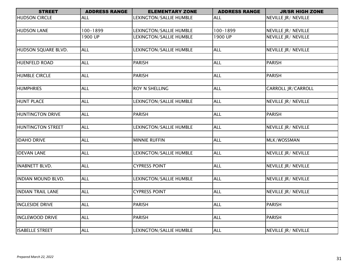| <b>STREET</b>             | <b>ADDRESS RANGE</b> | <b>ELEMENTARY ZONE</b>  | <b>ADDRESS RANGE</b> | <b>JR/SR HIGH ZONE</b>     |
|---------------------------|----------------------|-------------------------|----------------------|----------------------------|
| <b>HUDSON CIRCLE</b>      | <b>ALL</b>           | LEXINGTON/SALLIE HUMBLE | <b>ALL</b>           | NEVILLE JR/ NEVILLE        |
|                           |                      |                         |                      |                            |
| <b>HUDSON LANE</b>        | 100-1899             | LEXINGTON/SALLIE HUMBLE | 100-1899             | NEVILLE JR/ NEVILLE        |
|                           | 1900 UP              | LEXINGTON/SALLIE HUMBLE | 1900 UP              | NEVILLE JR/ NEVILLE        |
|                           |                      |                         |                      |                            |
| HUDSON SQUARE BLVD.       | <b>ALL</b>           | LEXINGTON/SALLIE HUMBLE | <b>ALL</b>           | NEVILLE JR/ NEVILLE        |
|                           |                      |                         |                      |                            |
| HUENFELD ROAD             | <b>ALL</b>           | PARISH                  | <b>ALL</b>           | <b>PARISH</b>              |
|                           |                      |                         |                      |                            |
| <b>HUMBLE CIRCLE</b>      | <b>ALL</b>           | <b>PARISH</b>           | <b>ALL</b>           | <b>PARISH</b>              |
|                           |                      |                         |                      |                            |
| <b>HUMPHRIES</b>          | <b>ALL</b>           | <b>ROY N SHELLING</b>   | <b>ALL</b>           | <b>CARROLL JR/CARROLL</b>  |
|                           |                      |                         |                      |                            |
| <b>HUNT PLACE</b>         | <b>ALL</b>           | LEXINGTON/SALLIE HUMBLE | <b>ALL</b>           | NEVILLE JR/ NEVILLE        |
|                           |                      |                         |                      |                            |
| <b>HUNTINGTON DRIVE</b>   | <b>ALL</b>           | <b>PARISH</b>           | <b>ALL</b>           | <b>PARISH</b>              |
| <b>HUNTINGTON STREET</b>  | <b>ALL</b>           | LEXINGTON/SALLIE HUMBLE | <b>ALL</b>           | NEVILLE JR/ NEVILLE        |
|                           |                      |                         |                      |                            |
| <b>IDAHO DRIVE</b>        | <b>ALL</b>           | <b>MINNIE RUFFIN</b>    | <b>ALL</b>           | MLK/WOSSMAN                |
|                           |                      |                         |                      |                            |
| <b>IDEVAN LANE</b>        | <b>ALL</b>           | LEXINGTON/SALLIE HUMBLE | <b>ALL</b>           | NEVILLE JR/ NEVILLE        |
|                           |                      |                         |                      |                            |
| <b>INABNETT BLVD.</b>     | <b>ALL</b>           | <b>CYPRESS POINT</b>    | <b>ALL</b>           | NEVILLE JR/ NEVILLE        |
|                           |                      |                         |                      |                            |
| <b>INDIAN MOUND BLVD.</b> | <b>ALL</b>           | LEXINGTON/SALLIE HUMBLE | <b>ALL</b>           | NEVILLE JR/ NEVILLE        |
|                           |                      |                         |                      |                            |
| <b>INDIAN TRAIL LANE</b>  | <b>ALL</b>           | <b>CYPRESS POINT</b>    | <b>ALL</b>           | <b>NEVILLE JR/ NEVILLE</b> |
|                           |                      |                         |                      |                            |
| <b>INGLESIDE DRIVE</b>    | <b>ALL</b>           | <b>PARISH</b>           | <b>ALL</b>           | <b>PARISH</b>              |
|                           |                      |                         |                      |                            |
| <b>INGLEWOOD DRIVE</b>    | <b>ALL</b>           | <b>PARISH</b>           | <b>ALL</b>           | <b>PARISH</b>              |
|                           |                      |                         |                      |                            |
| <b>ISABELLE STREET</b>    | <b>ALL</b>           | LEXINGTON/SALLIE HUMBLE | <b>ALL</b>           | NEVILLE JR/ NEVILLE        |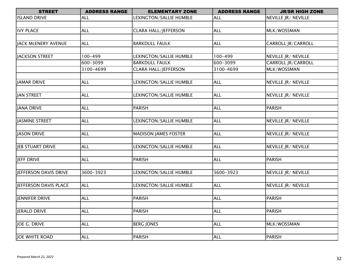| <b>STREET</b>         | <b>ADDRESS RANGE</b> | <b>ELEMENTARY ZONE</b>      | <b>ADDRESS RANGE</b> | <b>JR/SR HIGH ZONE</b>    |
|-----------------------|----------------------|-----------------------------|----------------------|---------------------------|
| <b>ISLAND DRIVE</b>   | <b>ALL</b>           | LEXINGTON/SALLIE HUMBLE     | <b>ALL</b>           | NEVILLE JR/ NEVILLE       |
|                       |                      |                             |                      |                           |
| <b>IVY PLACE</b>      | <b>ALL</b>           | <b>CLARA HALL/JEFFERSON</b> | <b>ALL</b>           | MLK/WOSSMAN               |
|                       |                      |                             |                      |                           |
| JACK MCENERY AVENUE   | <b>ALL</b>           | <b>BARKDULL FAULK</b>       | <b>ALL</b>           | <b>CARROLL JR/CARROLL</b> |
|                       |                      |                             |                      |                           |
| JACKSON STREET        | 100-499              | LEXINGTON/SALLIE HUMBLE     | 100-499              | NEVILLE JR/ NEVILLE       |
|                       | 600-3099             | <b>BARKDULL FAULK</b>       | 600-3099             | <b>CARROLL JR/CARROLL</b> |
|                       | 3100-4699            | <b>CLARA HALL/JEFFERSON</b> | 3100-4699            | MLK/WOSSMAN               |
|                       |                      |                             |                      |                           |
| JAMAR DRIVE           | <b>ALL</b>           | LEXINGTON/SALLIE HUMBLE     | <b>ALL</b>           | NEVILLE JR/ NEVILLE       |
|                       |                      |                             |                      |                           |
| JAN STREET            | <b>ALL</b>           | LEXINGTON/SALLIE HUMBLE     | <b>ALL</b>           | NEVILLE JR/ NEVILLE       |
|                       |                      |                             |                      |                           |
| JANA DRIVE            | <b>ALL</b>           | <b>PARISH</b>               | <b>ALL</b>           | <b>PARISH</b>             |
|                       |                      |                             |                      |                           |
| JASMINE STREET        | <b>ALL</b>           | LEXINGTON/SALLIE HUMBLE     | <b>ALL</b>           | NEVILLE JR/ NEVILLE       |
|                       |                      |                             |                      |                           |
| JASON DRIVE           | <b>ALL</b>           | <b>MADISON JAMES FOSTER</b> | <b>ALL</b>           | NEVILLE JR/ NEVILLE       |
|                       |                      |                             |                      |                           |
| JEB STUART DRIVE      | <b>ALL</b>           | LEXINGTON/SALLIE HUMBLE     | <b>ALL</b>           | NEVILLE JR/ NEVILLE       |
|                       |                      |                             |                      |                           |
| JEFF DRIVE            | <b>ALL</b>           | <b>PARISH</b>               | <b>ALL</b>           | <b>PARISH</b>             |
|                       |                      |                             |                      |                           |
| JEFFERSON DAVIS DRIVE | 3600-3923            | LEXINGTON/SALLIE HUMBLE     | 3600-3923            | NEVILLE JR/ NEVILLE       |
|                       |                      |                             |                      |                           |
| JEFFERSON DAVIS PLACE | <b>ALL</b>           | LEXINGTON/SALLIE HUMBLE     | <b>ALL</b>           | NEVILLE JR/ NEVILLE       |
|                       |                      |                             |                      |                           |
| JENNIFER DRIVE        | <b>ALL</b>           | <b>PARISH</b>               | <b>ALL</b>           | <b>PARISH</b>             |
|                       |                      |                             |                      |                           |
| JERALD DRIVE          | <b>ALL</b>           | <b>PARISH</b>               | <b>ALL</b>           | <b>PARISH</b>             |
|                       |                      |                             |                      |                           |
| JOE G. DRIVE          | <b>ALL</b>           | <b>BERG JONES</b>           | <b>ALL</b>           | MLK/WOSSMAN               |
|                       |                      |                             |                      |                           |
| JOE WHITE ROAD        | <b>ALL</b>           | <b>PARISH</b>               | <b>ALL</b>           | <b>PARISH</b>             |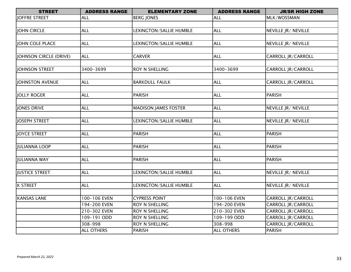| <b>STREET</b>          | <b>ADDRESS RANGE</b> | <b>ELEMENTARY ZONE</b>                  | <b>ADDRESS RANGE</b> | <b>JR/SR HIGH ZONE</b>                   |
|------------------------|----------------------|-----------------------------------------|----------------------|------------------------------------------|
| JOFFRE STREET          | ALL                  | <b>BERG JONES</b>                       | <b>ALL</b>           | MLK/WOSSMAN                              |
|                        |                      |                                         |                      |                                          |
| JOHN CIRCLE            | <b>ALL</b>           | LEXINGTON/SALLIE HUMBLE                 | <b>ALL</b>           | NEVILLE JR/ NEVILLE                      |
|                        |                      |                                         |                      |                                          |
| JOHN COLE PLACE        | <b>ALL</b>           | LEXINGTON/SALLIE HUMBLE                 | <b>ALL</b>           | NEVILLE JR/ NEVILLE                      |
|                        |                      |                                         |                      |                                          |
| JOHNSON CIRCLE (DRIVE) | <b>ALL</b>           | <b>CARVER</b>                           | <b>ALL</b>           | <b>CARROLL JR/CARROLL</b>                |
|                        |                      |                                         |                      |                                          |
| JOHNSON STREET         | 3400-3699            | ROY N SHELLING                          | 3400-3699            | <b>CARROLL JR/CARROLL</b>                |
|                        |                      |                                         |                      |                                          |
| JOHNSTON AVENUE        | <b>ALL</b>           | <b>BARKDULL FAULK</b>                   | <b>ALL</b>           | <b>CARROLL JR/CARROLL</b>                |
|                        |                      |                                         |                      |                                          |
| <b>JOLLY ROGER</b>     | <b>ALL</b>           | <b>PARISH</b>                           | <b>ALL</b>           | <b>PARISH</b>                            |
|                        |                      |                                         |                      |                                          |
| JONES DRIVE            | <b>ALL</b>           | <b>MADISON JAMES FOSTER</b>             | <b>ALL</b>           | NEVILLE JR/ NEVILLE                      |
|                        |                      |                                         |                      |                                          |
| JOSEPH STREET          | <b>ALL</b>           | LEXINGTON/SALLIE HUMBLE                 | <b>ALL</b>           | NEVILLE JR/ NEVILLE                      |
|                        |                      |                                         |                      |                                          |
| JOYCE STREET           | <b>ALL</b>           | PARISH                                  | <b>ALL</b>           | <b>PARISH</b>                            |
|                        |                      |                                         |                      |                                          |
| JULIANNA LOOP          | <b>ALL</b>           | PARISH                                  | <b>ALL</b>           | <b>PARISH</b>                            |
|                        |                      |                                         |                      |                                          |
| JULIANNA WAY           | <b>ALL</b>           | <b>PARISH</b>                           | <b>ALL</b>           | <b>PARISH</b>                            |
|                        |                      |                                         |                      |                                          |
| <b>JUSTICE STREET</b>  | <b>ALL</b>           | LEXINGTON/SALLIE HUMBLE                 | <b>ALL</b>           | NEVILLE JR/ NEVILLE                      |
|                        |                      |                                         | <b>ALL</b>           |                                          |
| <b>K STREET</b>        | <b>ALL</b>           | LEXINGTON/SALLIE HUMBLE                 |                      | NEVILLE JR/ NEVILLE                      |
| <b>KANSAS LANE</b>     | 100-106 EVEN         | <b>CYPRESS POINT</b>                    | 100-106 EVEN         | CARROLL JR/CARROLL                       |
|                        | 194-200 EVEN         | <b>ROY N SHELLING</b>                   | 194-200 EVEN         | CARROLL JR/CARROLL                       |
|                        | 210-302 EVEN         |                                         | 210-302 EVEN         |                                          |
|                        | 109-191 ODD          | ROY N SHELLING<br><b>ROY N SHELLING</b> | 109-199 ODD          | CARROLL JR/CARROLL<br>CARROLL JR/CARROLL |
|                        | 308-998              | <b>ROY N SHELLING</b>                   | 308-998              | <b>CARROLL JR/CARROLL</b>                |
|                        | <b>ALL OTHERS</b>    | PARISH                                  | <b>ALL OTHERS</b>    | <b>PARISH</b>                            |
|                        |                      |                                         |                      |                                          |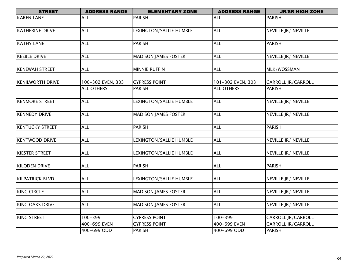| <b>STREET</b>           | <b>ADDRESS RANGE</b> | <b>ELEMENTARY ZONE</b>      | <b>ADDRESS RANGE</b> | <b>JR/SR HIGH ZONE</b>      |
|-------------------------|----------------------|-----------------------------|----------------------|-----------------------------|
| <b>KAREN LANE</b>       | <b>ALL</b>           | <b>PARISH</b>               | <b>ALL</b>           | <b>PARISH</b>               |
|                         |                      |                             |                      |                             |
| <b>KATHERINE DRIVE</b>  | <b>ALL</b>           | LEXINGTON/SALLIE HUMBLE     | <b>ALL</b>           | NEVILLE JR/ NEVILLE         |
|                         |                      |                             |                      |                             |
| <b>KATHY LANE</b>       | <b>ALL</b>           | <b>PARISH</b>               | <b>ALL</b>           | <b>PARISH</b>               |
|                         |                      |                             |                      |                             |
| <b>KEEBLE DRIVE</b>     | <b>ALL</b>           | <b>MADISON JAMES FOSTER</b> | <b>ALL</b>           | NEVILLE JR/ NEVILLE         |
|                         |                      |                             |                      |                             |
| <b>KENEWAH STREET</b>   | <b>ALL</b>           | <b>MINNIE RUFFIN</b>        | <b>ALL</b>           | MLK/WOSSMAN                 |
|                         |                      |                             |                      |                             |
| <b>KENILWORTH DRIVE</b> | 100-302 EVEN, 303    | <b>CYPRESS POINT</b>        | 101-302 EVEN, 303    | <b>CARROLL JR/CARROLL</b>   |
|                         | <b>ALL OTHERS</b>    | <b>PARISH</b>               | <b>ALL OTHERS</b>    | <b>PARISH</b>               |
|                         |                      |                             |                      |                             |
| <b>KENMORE STREET</b>   | <b>ALL</b>           | LEXINGTON/SALLIE HUMBLE     | <b>ALL</b>           | NEVILLE JR/ NEVILLE         |
|                         |                      |                             |                      |                             |
| <b>KENNEDY DRIVE</b>    | <b>ALL</b>           | <b>MADISON JAMES FOSTER</b> | <b>ALL</b>           | NEVILLE JR/ NEVILLE         |
|                         |                      |                             |                      |                             |
| <b>KENTUCKY STREET</b>  | <b>ALL</b>           | <b>PARISH</b>               | <b>ALL</b>           | <b>PARISH</b>               |
|                         |                      |                             |                      |                             |
| <b>KENTWOOD DRIVE</b>   | <b>ALL</b>           | LEXINGTON/SALLIE HUMBLE     | <b>ALL</b>           | NEVILLE JR/ NEVILLE         |
|                         |                      |                             |                      |                             |
| <b>KIESTER STREET</b>   | <b>ALL</b>           | LEXINGTON/SALLIE HUMBLE     | <b>ALL</b>           | NEVILLE JR/ NEVILLE         |
|                         |                      |                             |                      |                             |
| <b>KILODEN DRIVE</b>    | <b>ALL</b>           | <b>PARISH</b>               | <b>ALL</b>           | <b>PARISH</b>               |
|                         |                      |                             |                      |                             |
| <b>KILPATRICK BLVD.</b> | <b>ALL</b>           | LEXINGTON/SALLIE HUMBLE     | <b>ALL</b>           | <b>NEVILLE JR / NEVILLE</b> |
|                         |                      |                             |                      |                             |
| <b>KING CIRCLE</b>      | <b>ALL</b>           | <b>MADISON JAMES FOSTER</b> | <b>ALL</b>           | NEVILLE JR/ NEVILLE         |
|                         |                      |                             |                      |                             |
| <b>KING OAKS DRIVE</b>  | <b>ALL</b>           | <b>MADISON JAMES FOSTER</b> | <b>ALL</b>           | NEVILLE JR/ NEVILLE         |
|                         |                      |                             |                      |                             |
| <b>KING STREET</b>      | 100-399              | <b>CYPRESS POINT</b>        | 100-399              | <b>CARROLL JR/CARROLL</b>   |
|                         | 400-699 EVEN         | <b>CYPRESS POINT</b>        | 400-699 EVEN         | <b>CARROLL JR/CARROLL</b>   |
|                         | 400-699 ODD          | PARISH                      | 400-699 ODD          | <b>PARISH</b>               |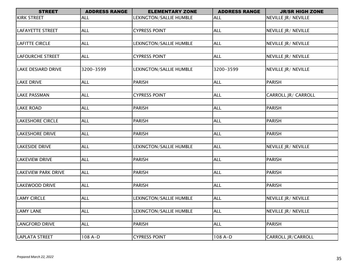| <b>STREET</b>              | <b>ADDRESS RANGE</b> | <b>ELEMENTARY ZONE</b>  | <b>ADDRESS RANGE</b> | <b>JR/SR HIGH ZONE</b>     |
|----------------------------|----------------------|-------------------------|----------------------|----------------------------|
| <b>KIRK STREET</b>         | <b>ALL</b>           | LEXINGTON/SALLIE HUMBLE | <b>ALL</b>           | NEVILLE JR/ NEVILLE        |
|                            |                      |                         |                      |                            |
| <b>LAFAYETTE STREET</b>    | <b>ALL</b>           | <b>CYPRESS POINT</b>    | <b>ALL</b>           | NEVILLE JR/ NEVILLE        |
|                            |                      |                         |                      |                            |
| LAFITTE CIRCLE             | <b>ALL</b>           | LEXINGTON/SALLIE HUMBLE | <b>ALL</b>           | NEVILLE JR/ NEVILLE        |
|                            |                      |                         |                      |                            |
| <b>LAFOURCHE STREET</b>    | <b>ALL</b>           | <b>CYPRESS POINT</b>    | <b>ALL</b>           | NEVILLE JR/ NEVILLE        |
|                            |                      |                         |                      |                            |
| <b>LAKE DESIARD DRIVE</b>  | 3200-3599            | LEXINGTON/SALLIE HUMBLE | 3200-3599            | NEVILLE JR/ NEVILLE        |
| <b>LAKE DRIVE</b>          | <b>ALL</b>           | <b>PARISH</b>           | <b>ALL</b>           | <b>PARISH</b>              |
|                            |                      |                         |                      |                            |
| <b>LAKE PASSMAN</b>        | <b>ALL</b>           | <b>CYPRESS POINT</b>    | <b>ALL</b>           | <b>CARROLL JR/ CARROLL</b> |
|                            |                      |                         |                      |                            |
| <b>LAKE ROAD</b>           | <b>ALL</b>           | <b>PARISH</b>           | <b>ALL</b>           | <b>PARISH</b>              |
|                            |                      |                         |                      |                            |
| <b>LAKESHORE CIRCLE</b>    | <b>ALL</b>           | <b>PARISH</b>           | <b>ALL</b>           | <b>PARISH</b>              |
|                            |                      |                         |                      |                            |
| <b>LAKESHORE DRIVE</b>     | <b>ALL</b>           | <b>PARISH</b>           | <b>ALL</b>           | <b>PARISH</b>              |
|                            |                      |                         |                      |                            |
| <b>LAKESIDE DRIVE</b>      | <b>ALL</b>           | LEXINGTON/SALLIE HUMBLE | <b>ALL</b>           | NEVILLE JR/ NEVILLE        |
|                            |                      |                         |                      |                            |
| <b>LAKEVIEW DRIVE</b>      | <b>ALL</b>           | <b>PARISH</b>           | <b>ALL</b>           | <b>PARISH</b>              |
|                            |                      |                         |                      |                            |
| <b>LAKEVIEW PARK DRIVE</b> | <b>ALL</b>           | <b>PARISH</b>           | <b>ALL</b>           | <b>PARISH</b>              |
|                            |                      |                         |                      |                            |
| LAKEWOOD DRIVE             | <b>ALL</b>           | <b>PARISH</b>           | <b>ALL</b>           | <b>PARISH</b>              |
| <b>LAMY CIRCLE</b>         | <b>ALL</b>           | LEXINGTON/SALLIE HUMBLE | <b>ALL</b>           | NEVILLE JR/ NEVILLE        |
|                            |                      |                         |                      |                            |
| <b>LAMY LANE</b>           | <b>ALL</b>           | LEXINGTON/SALLIE HUMBLE | <b>ALL</b>           | NEVILLE JR/ NEVILLE        |
|                            |                      |                         |                      |                            |
| <b>LANGFORD DRIVE</b>      | <b>ALL</b>           | <b>PARISH</b>           | <b>ALL</b>           | <b>PARISH</b>              |
|                            |                      |                         |                      |                            |
| LAPLATA STREET             | 108 A-D              | <b>CYPRESS POINT</b>    | 108 A-D              | CARROLL JR/CARROLL         |
|                            |                      |                         |                      |                            |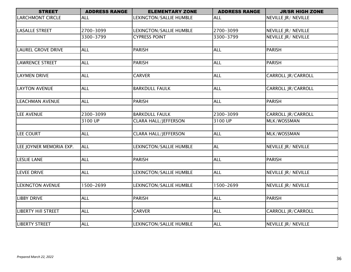| <b>STREET</b>              | <b>ADDRESS RANGE</b> | <b>ELEMENTARY ZONE</b>      | <b>ADDRESS RANGE</b> | <b>JR/SR HIGH ZONE</b> |
|----------------------------|----------------------|-----------------------------|----------------------|------------------------|
| <b>LARCHMONT CIRCLE</b>    | <b>ALL</b>           | LEXINGTON/SALLIE HUMBLE     | <b>ALL</b>           | NEVILLE JR/ NEVILLE    |
|                            |                      |                             |                      |                        |
| <b>LASALLE STREET</b>      | 2700-3099            | LEXINGTON/SALLIE HUMBLE     | 2700-3099            | NEVILLE JR/ NEVILLE    |
|                            | 3300-3799            | <b>CYPRESS POINT</b>        | 3300-3799            | NEVILLE JR/ NEVILLE    |
|                            |                      |                             |                      |                        |
| <b>LAUREL GROVE DRIVE</b>  | <b>ALL</b>           | PARISH                      | <b>ALL</b>           | <b>PARISH</b>          |
|                            |                      |                             |                      |                        |
| <b>LAWRENCE STREET</b>     | <b>ALL</b>           | <b>PARISH</b>               | <b>ALL</b>           | <b>PARISH</b>          |
|                            |                      |                             |                      |                        |
| <b>LAYMEN DRIVE</b>        | <b>ALL</b>           | <b>CARVER</b>               | <b>ALL</b>           | CARROLL JR/CARROLL     |
|                            |                      |                             |                      |                        |
| <b>LAYTON AVENUE</b>       | <b>ALL</b>           | <b>BARKDULL FAULK</b>       | <b>ALL</b>           | CARROLL JR/CARROLL     |
|                            |                      |                             |                      |                        |
| <b>LEACHMAN AVENUE</b>     | <b>ALL</b>           | <b>PARISH</b>               | <b>ALL</b>           | <b>PARISH</b>          |
|                            |                      |                             |                      |                        |
| <b>LEE AVENUE</b>          | 2300-3099            | <b>BARKDULL FAULK</b>       | 2300-3099            | CARROLL JR/CARROLL     |
|                            | 3100 UP              | <b>CLARA HALL/JEFFERSON</b> | 3100 UP              | MLK/WOSSMAN            |
|                            |                      |                             |                      |                        |
| LEE COURT                  | <b>ALL</b>           | <b>CLARA HALL/JEFFERSON</b> | <b>ALL</b>           | MLK/WOSSMAN            |
| LEE JOYNER MEMORIA EXP.    | <b>ALL</b>           | LEXINGTON/SALLIE HUMBLE     | <b>AL</b>            | NEVILLE JR/ NEVILLE    |
|                            |                      |                             |                      |                        |
| <b>LESLIE LANE</b>         | <b>ALL</b>           | <b>PARISH</b>               | <b>ALL</b>           | <b>PARISH</b>          |
|                            |                      |                             |                      |                        |
| <b>LEVEE DRIVE</b>         | <b>ALL</b>           | LEXINGTON/SALLIE HUMBLE     | <b>ALL</b>           | NEVILLE JR/ NEVILLE    |
|                            |                      |                             |                      |                        |
| <b>LEXINGTON AVENUE</b>    | 1500-2699            | LEXINGTON/SALLIE HUMBLE     | 1500-2699            | NEVILLE JR/ NEVILLE    |
|                            |                      |                             |                      |                        |
| <b>LIBBY DRIVE</b>         | <b>ALL</b>           | PARISH                      | <b>ALL</b>           | <b>PARISH</b>          |
|                            |                      |                             |                      |                        |
| <b>LIBERTY Hill STREET</b> | <b>ALL</b>           | <b>CARVER</b>               | <b>ALL</b>           | CARROLL JR/CARROLL     |
|                            |                      |                             |                      |                        |
| <b>LIBERTY STREET</b>      | <b>ALL</b>           | LEXINGTON/SALLIE HUMBLE     | <b>ALL</b>           | NEVILLE JR/ NEVILLE    |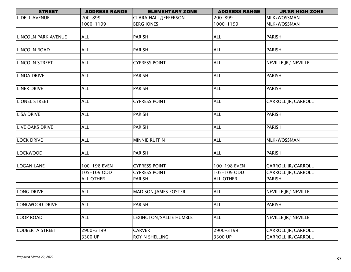| <b>STREET</b>              | <b>ADDRESS RANGE</b> | <b>ELEMENTARY ZONE</b>      | <b>ADDRESS RANGE</b> | <b>JR/SR HIGH ZONE</b> |
|----------------------------|----------------------|-----------------------------|----------------------|------------------------|
| LIDELL AVENUE              | 200-899              | <b>CLARA HALL/JEFFERSON</b> | 200-899              | MLK/WOSSMAN            |
|                            | 1000-1199            | <b>BERG JONES</b>           | 1000-1199            | MLK/WOSSMAN            |
|                            |                      |                             |                      |                        |
| <b>LINCOLN PARK AVENUE</b> | <b>ALL</b>           | <b>PARISH</b>               | <b>ALL</b>           | <b>PARISH</b>          |
|                            |                      |                             |                      |                        |
| <b>LINCOLN ROAD</b>        | <b>ALL</b>           | <b>PARISH</b>               | <b>ALL</b>           | <b>PARISH</b>          |
|                            |                      |                             |                      |                        |
| <b>LINCOLN STREET</b>      | <b>ALL</b>           | <b>CYPRESS POINT</b>        | <b>ALL</b>           | NEVILLE JR/ NEVILLE    |
|                            |                      |                             |                      |                        |
| <b>LINDA DRIVE</b>         | <b>ALL</b>           | <b>PARISH</b>               | <b>ALL</b>           | <b>PARISH</b>          |
|                            |                      |                             |                      |                        |
| <b>LINER DRIVE</b>         | <b>ALL</b>           | <b>PARISH</b>               | <b>ALL</b>           | <b>PARISH</b>          |
|                            |                      |                             |                      |                        |
| <b>LIONEL STREET</b>       | <b>ALL</b>           | <b>CYPRESS POINT</b>        | <b>ALL</b>           | CARROLL JR/CARROLL     |
|                            |                      |                             |                      |                        |
| <b>LISA DRIVE</b>          | <b>ALL</b>           | <b>PARISH</b>               | <b>ALL</b>           | <b>PARISH</b>          |
|                            |                      |                             |                      |                        |
| <b>LIVE OAKS DRIVE</b>     | <b>ALL</b>           | <b>PARISH</b>               | <b>ALL</b>           | <b>PARISH</b>          |
|                            |                      |                             |                      |                        |
| <b>LOCK DRIVE</b>          | <b>ALL</b>           | <b>MINNIE RUFFIN</b>        | <b>ALL</b>           | MLK/WOSSMAN            |
|                            |                      |                             |                      |                        |
| <b>LOCKWOOD</b>            | <b>ALL</b>           | <b>PARISH</b>               | <b>ALL</b>           | <b>PARISH</b>          |
|                            |                      |                             |                      |                        |
| LOGAN LANE                 | 100-198 EVEN         | <b>CYPRESS POINT</b>        | 100-198 EVEN         | CARROLL JR/CARROLL     |
|                            | 105-109 ODD          | <b>CYPRESS POINT</b>        | 105-109 ODD          | CARROLL JR/CARROLL     |
|                            | <b>ALL OTHER</b>     | <b>PARISH</b>               | <b>ALL OTHER</b>     | <b>PARISH</b>          |
|                            |                      |                             |                      |                        |
| <b>LONG DRIVE</b>          | <b>ALL</b>           | <b>MADISON JAMES FOSTER</b> | <b>ALL</b>           | NEVILLE JR/ NEVILLE    |
|                            |                      |                             |                      |                        |
| LONGWOOD DRIVE             | <b>ALL</b>           | <b>PARISH</b>               | <b>ALL</b>           | <b>PARISH</b>          |
|                            |                      |                             |                      |                        |
| LOOP ROAD                  | <b>ALL</b>           | LEXINGTON/SALLIE HUMBLE     | <b>ALL</b>           | NEVILLE JR/ NEVILLE    |
|                            |                      |                             |                      |                        |
| <b>LOUBERTA STREET</b>     | 2900-3199            | <b>CARVER</b>               | 2900-3199            | CARROLL JR/CARROLL     |
|                            | 3300 UP              | ROY N SHELLING              | 3300 UP              | CARROLL JR/CARROLL     |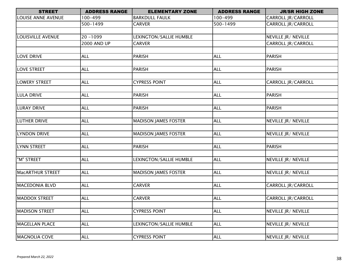| <b>STREET</b>           | <b>ADDRESS RANGE</b> | <b>ELEMENTARY ZONE</b>      | <b>ADDRESS RANGE</b> | <b>JR/SR HIGH ZONE</b>    |
|-------------------------|----------------------|-----------------------------|----------------------|---------------------------|
| LOUISE ANNE AVENUE      | 100-499              | <b>BARKDULL FAULK</b>       | 100-499              | CARROLL JR/CARROLL        |
|                         | 500-1499             | <b>CARVER</b>               | 500-1499             | <b>CARROLL JR/CARROLL</b> |
|                         |                      |                             |                      |                           |
| LOUISVILLE AVENUE       | $20 - 1099$          | LEXINGTON/SALLIE HUMBLE     |                      | NEVILLE JR/ NEVILLE       |
|                         | <b>2000 AND UP</b>   | <b>CARVER</b>               |                      | <b>CARROLL JR/CARROLL</b> |
|                         |                      |                             |                      |                           |
| <b>LOVE DRIVE</b>       | <b>ALL</b>           | <b>PARISH</b>               | <b>ALL</b>           | <b>PARISH</b>             |
|                         |                      |                             |                      |                           |
| <b>LOVE STREET</b>      | <b>ALL</b>           | <b>PARISH</b>               | <b>ALL</b>           | <b>PARISH</b>             |
|                         |                      |                             |                      |                           |
| <b>LOWERY STREET</b>    | <b>ALL</b>           | <b>CYPRESS POINT</b>        | <b>ALL</b>           | CARROLL JR/CARROLL        |
|                         |                      |                             |                      |                           |
| <b>LULA DRIVE</b>       | <b>ALL</b>           | <b>PARISH</b>               | <b>ALL</b>           | <b>PARISH</b>             |
|                         |                      |                             |                      |                           |
| <b>LURAY DRIVE</b>      | <b>ALL</b>           | <b>PARISH</b>               | <b>ALL</b>           | <b>PARISH</b>             |
|                         |                      |                             |                      |                           |
| <b>LUTHER DRIVE</b>     | <b>ALL</b>           | <b>MADISON JAMES FOSTER</b> | <b>ALL</b>           | NEVILLE JR/ NEVILLE       |
|                         |                      |                             |                      |                           |
| <b>LYNDON DRIVE</b>     | <b>ALL</b>           | <b>MADISON JAMES FOSTER</b> | <b>ALL</b>           | NEVILLE JR/ NEVILLE       |
|                         |                      |                             |                      |                           |
| <b>LYNN STREET</b>      | <b>ALL</b>           | <b>PARISH</b>               | <b>ALL</b>           | <b>PARISH</b>             |
|                         |                      |                             |                      |                           |
| "M" STREET              | <b>ALL</b>           | LEXINGTON/SALLIE HUMBLE     | <b>ALL</b>           | NEVILLE JR/ NEVILLE       |
|                         |                      |                             |                      |                           |
| <b>MacARTHUR STREET</b> | <b>ALL</b>           | <b>MADISON JAMES FOSTER</b> | <b>ALL</b>           | NEVILLE JR/ NEVILLE       |
|                         |                      |                             |                      |                           |
| <b>MACEDONIA BLVD</b>   | <b>ALL</b>           | <b>CARVER</b>               | <b>ALL</b>           | <b>CARROLL JR/CARROLL</b> |
|                         |                      |                             |                      |                           |
| <b>MADDOX STREET</b>    | <b>ALL</b>           | <b>CARVER</b>               | <b>ALL</b>           | <b>CARROLL JR/CARROLL</b> |
|                         |                      |                             |                      |                           |
| <b>MADISON STREET</b>   | <b>ALL</b>           | <b>CYPRESS POINT</b>        | <b>ALL</b>           | NEVILLE JR/ NEVILLE       |
| <b>MAGELLAN PLACE</b>   | <b>ALL</b>           |                             |                      |                           |
|                         |                      | LEXINGTON/SALLIE HUMBLE     | <b>ALL</b>           | NEVILLE JR/ NEVILLE       |
|                         |                      |                             |                      |                           |
| <b>MAGNOLIA COVE</b>    | <b>ALL</b>           | <b>CYPRESS POINT</b>        | <b>ALL</b>           | NEVILLE JR/ NEVILLE       |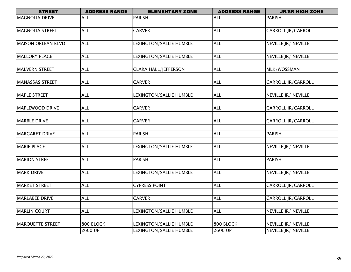| <b>STREET</b>             | <b>ADDRESS RANGE</b> | <b>ELEMENTARY ZONE</b>      | <b>ADDRESS RANGE</b> | <b>JR/SR HIGH ZONE</b>    |
|---------------------------|----------------------|-----------------------------|----------------------|---------------------------|
| <b>MAGNOLIA DRIVE</b>     | <b>ALL</b>           | <b>PARISH</b>               | <b>ALL</b>           | <b>PARISH</b>             |
|                           |                      |                             |                      |                           |
| <b>MAGNOLIA STREET</b>    | <b>ALL</b>           | <b>CARVER</b>               | <b>ALL</b>           | CARROLL JR/CARROLL        |
|                           |                      |                             |                      |                           |
| <b>MAISON ORLEAN BLVD</b> | <b>ALL</b>           | LEXINGTON/SALLIE HUMBLE     | <b>ALL</b>           | NEVILLE JR/ NEVILLE       |
|                           |                      |                             |                      |                           |
| <b>MALLORY PLACE</b>      | <b>ALL</b>           | LEXINGTON/SALLIE HUMBLE     | <b>ALL</b>           | NEVILLE JR/ NEVILLE       |
|                           |                      |                             |                      |                           |
| <b>MALVERN STREET</b>     | <b>ALL</b>           | <b>CLARA HALL/JEFFERSON</b> | <b>ALL</b>           | MLK/WOSSMAN               |
|                           |                      |                             |                      |                           |
| <b>MANASSAS STREET</b>    | <b>ALL</b>           | <b>CARVER</b>               | <b>ALL</b>           | CARROLL JR/CARROLL        |
|                           |                      |                             |                      |                           |
| <b>MAPLE STREET</b>       | <b>ALL</b>           | LEXINGTON/SALLIE HUMBLE     | <b>ALL</b>           | NEVILLE JR/ NEVILLE       |
|                           |                      |                             |                      |                           |
| MAPLEWOOD DRIVE           | <b>ALL</b>           | <b>CARVER</b>               | <b>ALL</b>           | <b>CARROLL JR/CARROLL</b> |
|                           |                      |                             |                      |                           |
| <b>MARBLE DRIVE</b>       | <b>ALL</b>           | <b>CARVER</b>               | <b>ALL</b>           | CARROLL JR/CARROLL        |
|                           |                      |                             |                      |                           |
| <b>MARGARET DRIVE</b>     | <b>ALL</b>           | <b>PARISH</b>               | <b>ALL</b>           | <b>PARISH</b>             |
|                           |                      |                             |                      |                           |
| <b>MARIE PLACE</b>        | <b>ALL</b>           | LEXINGTON/SALLIE HUMBLE     | <b>ALL</b>           | NEVILLE JR/ NEVILLE       |
|                           |                      |                             |                      |                           |
| <b>MARION STREET</b>      | <b>ALL</b>           | PARISH                      | <b>ALL</b>           | <b>PARISH</b>             |
|                           |                      |                             |                      |                           |
| <b>MARK DRIVE</b>         | <b>ALL</b>           | LEXINGTON/SALLIE HUMBLE     | <b>ALL</b>           | NEVILLE JR/ NEVILLE       |
|                           |                      |                             |                      |                           |
| <b>MARKET STREET</b>      | <b>ALL</b>           | <b>CYPRESS POINT</b>        | <b>ALL</b>           | <b>CARROLL JR/CARROLL</b> |
|                           |                      |                             |                      |                           |
| <b>MARLABEE DRIVE</b>     | <b>ALL</b>           | <b>CARVER</b>               | <b>ALL</b>           | <b>CARROLL JR/CARROLL</b> |
|                           |                      |                             |                      |                           |
| <b>MARLIN COURT</b>       | <b>ALL</b>           | LEXINGTON/SALLIE HUMBLE     | <b>ALL</b>           | NEVILLE JR/ NEVILLE       |
|                           |                      |                             |                      |                           |
| <b>MARQUETTE STREET</b>   | 800 BLOCK            | LEXINGTON/SALLIE HUMBLE     | 800 BLOCK            | NEVILLE JR/ NEVILLE       |
|                           | 2600 UP              | LEXINGTON/SALLIE HUMBLE     | 2600 UP              | NEVILLE JR/ NEVILLE       |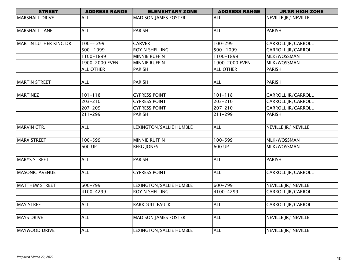| <b>STREET</b>          | <b>ADDRESS RANGE</b> | <b>ELEMENTARY ZONE</b>      | <b>ADDRESS RANGE</b> | <b>JR/SR HIGH ZONE</b>    |
|------------------------|----------------------|-----------------------------|----------------------|---------------------------|
| MARSHALL DRIVE         | <b>ALL</b>           | <b>MADISON JAMES FOSTER</b> | <b>ALL</b>           | NEVILLE JR/ NEVILLE       |
|                        |                      |                             |                      |                           |
| MARSHALL LANE          | <b>ALL</b>           | <b>PARISH</b>               | <b>ALL</b>           | <b>PARISH</b>             |
|                        |                      |                             |                      |                           |
| MARTIN LUTHER KING DR. | $100--299$           | <b>CARVER</b>               | 100-299              | CARROLL JR/CARROLL        |
|                        | $500 - 1099$         | ROY N SHELLING              | $500 - 1099$         | CARROLL JR/CARROLL        |
|                        | 1100-1899            | <b>MINNIE RUFFIN</b>        | 1100-1899            | MLK/WOSSMAN               |
|                        | 1900-2000 EVEN       | <b>MINNIE RUFFIN</b>        | 1900-2000 EVEN       | MLK/WOSSMAN               |
|                        | <b>ALL OTHER</b>     | <b>PARISH</b>               | <b>ALL OTHER</b>     | <b>PARISH</b>             |
|                        |                      |                             |                      |                           |
| <b>MARTIN STREET</b>   | <b>ALL</b>           | <b>PARISH</b>               | <b>ALL</b>           | <b>PARISH</b>             |
| MARTINEZ               | $101 - 118$          | <b>CYPRESS POINT</b>        | $101 - 118$          | CARROLL JR/CARROLL        |
|                        | 203-210              | <b>CYPRESS POINT</b>        | $203 - 210$          | CARROLL JR/CARROLL        |
|                        | 207-209              | <b>CYPRESS POINT</b>        | 207-210              | CARROLL JR/CARROLL        |
|                        | $211 - 299$          | <b>PARISH</b>               | $211 - 299$          | <b>PARISH</b>             |
|                        |                      |                             |                      |                           |
| MARVIN CTR.            | <b>ALL</b>           | LEXINGTON/SALLIE HUMBLE     | <b>ALL</b>           | NEVILLE JR/ NEVILLE       |
|                        |                      |                             |                      |                           |
| <b>MARX STREET</b>     | 100-599              | <b>MINNIE RUFFIN</b>        | 100-599              | MLK/WOSSMAN               |
|                        | 600 UP               | <b>BERG JONES</b>           | 600 UP               | MLK/WOSSMAN               |
|                        |                      |                             |                      |                           |
| <b>MARYS STREET</b>    | <b>ALL</b>           | <b>PARISH</b>               | <b>ALL</b>           | <b>PARISH</b>             |
| <b>MASONIC AVENUE</b>  | <b>ALL</b>           | <b>CYPRESS POINT</b>        | ALL                  | CARROLL JR/CARROLL        |
|                        |                      |                             |                      |                           |
| <b>MATTHEW STREET</b>  | 600-799              | LEXINGTON/SALLIE HUMBLE     | 600-799              | NEVILLE JR/ NEVILLE       |
|                        | 4100-4299            | ROY N SHELLING              | 4100-4299            | CARROLL JR/CARROLL        |
|                        |                      |                             |                      |                           |
| MAY STREET             | <b>ALL</b>           | <b>BARKDULL FAULK</b>       | <b>ALL</b>           | <b>CARROLL JR/CARROLL</b> |
| <b>MAYS DRIVE</b>      | <b>ALL</b>           | <b>MADISON JAMES FOSTER</b> | <b>ALL</b>           | NEVILLE JR/ NEVILLE       |
|                        |                      |                             |                      |                           |
| MAYWOOD DRIVE          | <b>ALL</b>           | LEXINGTON/SALLIE HUMBLE     | <b>ALL</b>           | NEVILLE JR/ NEVILLE       |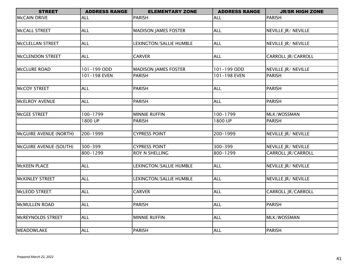| <b>STREET</b>          | <b>ADDRESS RANGE</b> | <b>ELEMENTARY ZONE</b>      | <b>ADDRESS RANGE</b> | <b>JR/SR HIGH ZONE</b>     |
|------------------------|----------------------|-----------------------------|----------------------|----------------------------|
| <b>MCCAIN DRIVE</b>    | <b>ALL</b>           | <b>PARISH</b>               | <b>ALL</b>           | <b>PARISH</b>              |
|                        |                      |                             |                      |                            |
| <b>MCCALL STREET</b>   | <b>ALL</b>           | <b>MADISON JAMES FOSTER</b> | <b>ALL</b>           | NEVILLE JR/ NEVILLE        |
|                        |                      |                             |                      |                            |
| MCCLELLAN STREET       | <b>ALL</b>           | LEXINGTON/SALLIE HUMBLE     | <b>ALL</b>           | NEVILLE JR/ NEVILLE        |
|                        |                      |                             |                      |                            |
| MCCLENDON STREET       | <b>ALL</b>           | <b>CARVER</b>               | <b>ALL</b>           | CARROLL JR/CARROLL         |
|                        |                      |                             |                      |                            |
| MCCLURE ROAD           | 101-199 ODD          | <b>MADISON JAMES FOSTER</b> | 101-199 ODD          | NEVILLE JR/ NEVILLE        |
|                        | 101-198 EVEN         | <b>PARISH</b>               | 101-198 EVEN         | <b>PARISH</b>              |
|                        |                      |                             |                      |                            |
| MCCOY STREET           | <b>ALL</b>           | <b>PARISH</b>               | <b>ALL</b>           | <b>PARISH</b>              |
|                        |                      |                             |                      |                            |
| MCELROY AVENUE         | <b>ALL</b>           | <b>PARISH</b>               | ALL                  | <b>PARISH</b>              |
|                        |                      |                             |                      |                            |
| MCGEE STREET           | 100-1799             | <b>MINNIE RUFFIN</b>        | 100-1799             | MLK/WOSSMAN                |
|                        | 1800 UP              | <b>PARISH</b>               | 1800 UP              | <b>PARISH</b>              |
|                        |                      |                             |                      |                            |
| McGUIRE AVENUE (NORTH) | 200-1999             | <b>CYPRESS POINT</b>        | 200-1999             | NEVILLE JR/ NEVILLE        |
|                        |                      |                             |                      |                            |
| McGUIRE AVENUE (SOUTH) | 300-399              | <b>CYPRESS POINT</b>        | 300-399              | <b>NEVILLE JR/ NEVILLE</b> |
|                        | 800-1299             | ROY N SHELLING              | 800-1299             | CARROLL JR/CARROLL         |
|                        |                      |                             |                      |                            |
| <b>MCKEEN PLACE</b>    | <b>ALL</b>           | LEXINGTON/SALLIE HUMBLE     | <b>ALL</b>           | NEVILLE JR/ NEVILLE        |
|                        |                      |                             |                      |                            |
| <b>MCKINLEY STREET</b> | <b>ALL</b>           | LEXINGTON/SALLIE HUMBLE     | <b>ALL</b>           | NEVILLE JR/ NEVILLE        |
|                        |                      |                             |                      |                            |
| McLEOD STREET          | <b>ALL</b>           | <b>CARVER</b>               | <b>ALL</b>           | <b>CARROLL JR/CARROLL</b>  |
|                        |                      |                             |                      |                            |
| MCMULLEN ROAD          | <b>ALL</b>           | <b>PARISH</b>               | <b>ALL</b>           | <b>PARISH</b>              |
|                        |                      |                             |                      |                            |
| MCREYNOLDS STREET      | <b>ALL</b>           | <b>MINNIE RUFFIN</b>        | ALL                  | MLK/WOSSMAN                |
|                        |                      |                             |                      |                            |
| MEADOWLAKE             | <b>ALL</b>           | <b>PARISH</b>               | <b>ALL</b>           | <b>PARISH</b>              |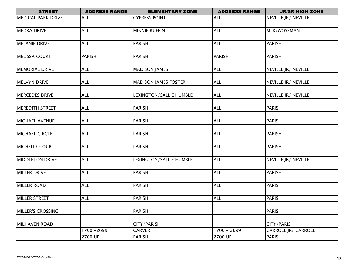| <b>MEDICAL PARK DRIVE</b><br><b>CYPRESS POINT</b><br>NEVILLE JR/ NEVILLE<br><b>ALL</b><br><b>ALL</b><br><b>MEDRA DRIVE</b><br><b>ALL</b><br><b>ALL</b><br><b>MINNIE RUFFIN</b><br>MLK/WOSSMAN<br><b>MELANIE DRIVE</b><br><b>ALL</b><br><b>PARISH</b><br><b>ALL</b><br><b>PARISH</b><br><b>MELISSA COURT</b><br><b>PARISH</b><br><b>PARISH</b><br><b>PARISH</b><br><b>PARISH</b><br><b>ALL</b><br><b>MEMORIAL DRIVE</b><br><b>MADISON JAMES</b><br><b>ALL</b><br>NEVILLE JR/ NEVILLE<br><b>MELVYN DRIVE</b><br><b>ALL</b><br><b>MADISON JAMES FOSTER</b><br><b>ALL</b><br>NEVILLE JR/ NEVILLE<br><b>ALL</b><br>LEXINGTON/SALLIE HUMBLE<br><b>ALL</b><br><b>MERCEDES DRIVE</b><br>NEVILLE JR/ NEVILLE<br><b>MEREDITH STREET</b><br><b>PARISH</b><br><b>PARISH</b><br><b>ALL</b><br><b>ALL</b><br><b>MICHAEL AVENUE</b><br><b>ALL</b><br><b>ALL</b><br><b>PARISH</b><br><b>PARISH</b><br><b>MICHAEL CIRCLE</b><br><b>ALL</b><br><b>PARISH</b><br><b>ALL</b><br><b>PARISH</b><br><b>MICHELLE COURT</b><br><b>ALL</b><br><b>ALL</b><br><b>PARISH</b><br><b>PARISH</b><br><b>MIDDLETON DRIVE</b><br><b>ALL</b><br>LEXINGTON/SALLIE HUMBLE<br><b>ALL</b><br>NEVILLE JR/ NEVILLE<br><b>MILLER DRIVE</b><br><b>ALL</b><br><b>PARISH</b><br><b>ALL</b><br><b>PARISH</b><br><b>ALL</b><br><b>PARISH</b><br><b>ALL</b><br><b>PARISH</b><br><b>MILLER ROAD</b><br><b>MILLER STREET</b><br><b>ALL</b><br><b>PARISH</b><br><b>ALL</b><br><b>PARISH</b><br><b>MILLER'S CROSSING</b><br><b>PARISH</b><br><b>PARISH</b><br>CITY/PARISH<br><b>MILHAVEN ROAD</b><br>CITY/PARISH<br>1700 - 2699<br>1700 - 2699<br><b>CARVER</b><br>CARROLL JR/ CARROLL<br>2700 UP<br>2700 UP<br><b>PARISH</b><br><b>PARISH</b> | <b>STREET</b> | <b>ADDRESS RANGE</b> | <b>ELEMENTARY ZONE</b> | <b>ADDRESS RANGE</b> | <b>JR/SR HIGH ZONE</b> |
|-------------------------------------------------------------------------------------------------------------------------------------------------------------------------------------------------------------------------------------------------------------------------------------------------------------------------------------------------------------------------------------------------------------------------------------------------------------------------------------------------------------------------------------------------------------------------------------------------------------------------------------------------------------------------------------------------------------------------------------------------------------------------------------------------------------------------------------------------------------------------------------------------------------------------------------------------------------------------------------------------------------------------------------------------------------------------------------------------------------------------------------------------------------------------------------------------------------------------------------------------------------------------------------------------------------------------------------------------------------------------------------------------------------------------------------------------------------------------------------------------------------------------------------------------------------------------------------------------------------------------------------------------------------------------------------------|---------------|----------------------|------------------------|----------------------|------------------------|
|                                                                                                                                                                                                                                                                                                                                                                                                                                                                                                                                                                                                                                                                                                                                                                                                                                                                                                                                                                                                                                                                                                                                                                                                                                                                                                                                                                                                                                                                                                                                                                                                                                                                                           |               |                      |                        |                      |                        |
|                                                                                                                                                                                                                                                                                                                                                                                                                                                                                                                                                                                                                                                                                                                                                                                                                                                                                                                                                                                                                                                                                                                                                                                                                                                                                                                                                                                                                                                                                                                                                                                                                                                                                           |               |                      |                        |                      |                        |
|                                                                                                                                                                                                                                                                                                                                                                                                                                                                                                                                                                                                                                                                                                                                                                                                                                                                                                                                                                                                                                                                                                                                                                                                                                                                                                                                                                                                                                                                                                                                                                                                                                                                                           |               |                      |                        |                      |                        |
|                                                                                                                                                                                                                                                                                                                                                                                                                                                                                                                                                                                                                                                                                                                                                                                                                                                                                                                                                                                                                                                                                                                                                                                                                                                                                                                                                                                                                                                                                                                                                                                                                                                                                           |               |                      |                        |                      |                        |
|                                                                                                                                                                                                                                                                                                                                                                                                                                                                                                                                                                                                                                                                                                                                                                                                                                                                                                                                                                                                                                                                                                                                                                                                                                                                                                                                                                                                                                                                                                                                                                                                                                                                                           |               |                      |                        |                      |                        |
|                                                                                                                                                                                                                                                                                                                                                                                                                                                                                                                                                                                                                                                                                                                                                                                                                                                                                                                                                                                                                                                                                                                                                                                                                                                                                                                                                                                                                                                                                                                                                                                                                                                                                           |               |                      |                        |                      |                        |
|                                                                                                                                                                                                                                                                                                                                                                                                                                                                                                                                                                                                                                                                                                                                                                                                                                                                                                                                                                                                                                                                                                                                                                                                                                                                                                                                                                                                                                                                                                                                                                                                                                                                                           |               |                      |                        |                      |                        |
|                                                                                                                                                                                                                                                                                                                                                                                                                                                                                                                                                                                                                                                                                                                                                                                                                                                                                                                                                                                                                                                                                                                                                                                                                                                                                                                                                                                                                                                                                                                                                                                                                                                                                           |               |                      |                        |                      |                        |
|                                                                                                                                                                                                                                                                                                                                                                                                                                                                                                                                                                                                                                                                                                                                                                                                                                                                                                                                                                                                                                                                                                                                                                                                                                                                                                                                                                                                                                                                                                                                                                                                                                                                                           |               |                      |                        |                      |                        |
|                                                                                                                                                                                                                                                                                                                                                                                                                                                                                                                                                                                                                                                                                                                                                                                                                                                                                                                                                                                                                                                                                                                                                                                                                                                                                                                                                                                                                                                                                                                                                                                                                                                                                           |               |                      |                        |                      |                        |
|                                                                                                                                                                                                                                                                                                                                                                                                                                                                                                                                                                                                                                                                                                                                                                                                                                                                                                                                                                                                                                                                                                                                                                                                                                                                                                                                                                                                                                                                                                                                                                                                                                                                                           |               |                      |                        |                      |                        |
|                                                                                                                                                                                                                                                                                                                                                                                                                                                                                                                                                                                                                                                                                                                                                                                                                                                                                                                                                                                                                                                                                                                                                                                                                                                                                                                                                                                                                                                                                                                                                                                                                                                                                           |               |                      |                        |                      |                        |
|                                                                                                                                                                                                                                                                                                                                                                                                                                                                                                                                                                                                                                                                                                                                                                                                                                                                                                                                                                                                                                                                                                                                                                                                                                                                                                                                                                                                                                                                                                                                                                                                                                                                                           |               |                      |                        |                      |                        |
|                                                                                                                                                                                                                                                                                                                                                                                                                                                                                                                                                                                                                                                                                                                                                                                                                                                                                                                                                                                                                                                                                                                                                                                                                                                                                                                                                                                                                                                                                                                                                                                                                                                                                           |               |                      |                        |                      |                        |
|                                                                                                                                                                                                                                                                                                                                                                                                                                                                                                                                                                                                                                                                                                                                                                                                                                                                                                                                                                                                                                                                                                                                                                                                                                                                                                                                                                                                                                                                                                                                                                                                                                                                                           |               |                      |                        |                      |                        |
|                                                                                                                                                                                                                                                                                                                                                                                                                                                                                                                                                                                                                                                                                                                                                                                                                                                                                                                                                                                                                                                                                                                                                                                                                                                                                                                                                                                                                                                                                                                                                                                                                                                                                           |               |                      |                        |                      |                        |
|                                                                                                                                                                                                                                                                                                                                                                                                                                                                                                                                                                                                                                                                                                                                                                                                                                                                                                                                                                                                                                                                                                                                                                                                                                                                                                                                                                                                                                                                                                                                                                                                                                                                                           |               |                      |                        |                      |                        |
|                                                                                                                                                                                                                                                                                                                                                                                                                                                                                                                                                                                                                                                                                                                                                                                                                                                                                                                                                                                                                                                                                                                                                                                                                                                                                                                                                                                                                                                                                                                                                                                                                                                                                           |               |                      |                        |                      |                        |
|                                                                                                                                                                                                                                                                                                                                                                                                                                                                                                                                                                                                                                                                                                                                                                                                                                                                                                                                                                                                                                                                                                                                                                                                                                                                                                                                                                                                                                                                                                                                                                                                                                                                                           |               |                      |                        |                      |                        |
|                                                                                                                                                                                                                                                                                                                                                                                                                                                                                                                                                                                                                                                                                                                                                                                                                                                                                                                                                                                                                                                                                                                                                                                                                                                                                                                                                                                                                                                                                                                                                                                                                                                                                           |               |                      |                        |                      |                        |
|                                                                                                                                                                                                                                                                                                                                                                                                                                                                                                                                                                                                                                                                                                                                                                                                                                                                                                                                                                                                                                                                                                                                                                                                                                                                                                                                                                                                                                                                                                                                                                                                                                                                                           |               |                      |                        |                      |                        |
|                                                                                                                                                                                                                                                                                                                                                                                                                                                                                                                                                                                                                                                                                                                                                                                                                                                                                                                                                                                                                                                                                                                                                                                                                                                                                                                                                                                                                                                                                                                                                                                                                                                                                           |               |                      |                        |                      |                        |
|                                                                                                                                                                                                                                                                                                                                                                                                                                                                                                                                                                                                                                                                                                                                                                                                                                                                                                                                                                                                                                                                                                                                                                                                                                                                                                                                                                                                                                                                                                                                                                                                                                                                                           |               |                      |                        |                      |                        |
|                                                                                                                                                                                                                                                                                                                                                                                                                                                                                                                                                                                                                                                                                                                                                                                                                                                                                                                                                                                                                                                                                                                                                                                                                                                                                                                                                                                                                                                                                                                                                                                                                                                                                           |               |                      |                        |                      |                        |
|                                                                                                                                                                                                                                                                                                                                                                                                                                                                                                                                                                                                                                                                                                                                                                                                                                                                                                                                                                                                                                                                                                                                                                                                                                                                                                                                                                                                                                                                                                                                                                                                                                                                                           |               |                      |                        |                      |                        |
|                                                                                                                                                                                                                                                                                                                                                                                                                                                                                                                                                                                                                                                                                                                                                                                                                                                                                                                                                                                                                                                                                                                                                                                                                                                                                                                                                                                                                                                                                                                                                                                                                                                                                           |               |                      |                        |                      |                        |
|                                                                                                                                                                                                                                                                                                                                                                                                                                                                                                                                                                                                                                                                                                                                                                                                                                                                                                                                                                                                                                                                                                                                                                                                                                                                                                                                                                                                                                                                                                                                                                                                                                                                                           |               |                      |                        |                      |                        |
|                                                                                                                                                                                                                                                                                                                                                                                                                                                                                                                                                                                                                                                                                                                                                                                                                                                                                                                                                                                                                                                                                                                                                                                                                                                                                                                                                                                                                                                                                                                                                                                                                                                                                           |               |                      |                        |                      |                        |
|                                                                                                                                                                                                                                                                                                                                                                                                                                                                                                                                                                                                                                                                                                                                                                                                                                                                                                                                                                                                                                                                                                                                                                                                                                                                                                                                                                                                                                                                                                                                                                                                                                                                                           |               |                      |                        |                      |                        |
|                                                                                                                                                                                                                                                                                                                                                                                                                                                                                                                                                                                                                                                                                                                                                                                                                                                                                                                                                                                                                                                                                                                                                                                                                                                                                                                                                                                                                                                                                                                                                                                                                                                                                           |               |                      |                        |                      |                        |
|                                                                                                                                                                                                                                                                                                                                                                                                                                                                                                                                                                                                                                                                                                                                                                                                                                                                                                                                                                                                                                                                                                                                                                                                                                                                                                                                                                                                                                                                                                                                                                                                                                                                                           |               |                      |                        |                      |                        |
|                                                                                                                                                                                                                                                                                                                                                                                                                                                                                                                                                                                                                                                                                                                                                                                                                                                                                                                                                                                                                                                                                                                                                                                                                                                                                                                                                                                                                                                                                                                                                                                                                                                                                           |               |                      |                        |                      |                        |
|                                                                                                                                                                                                                                                                                                                                                                                                                                                                                                                                                                                                                                                                                                                                                                                                                                                                                                                                                                                                                                                                                                                                                                                                                                                                                                                                                                                                                                                                                                                                                                                                                                                                                           |               |                      |                        |                      |                        |
|                                                                                                                                                                                                                                                                                                                                                                                                                                                                                                                                                                                                                                                                                                                                                                                                                                                                                                                                                                                                                                                                                                                                                                                                                                                                                                                                                                                                                                                                                                                                                                                                                                                                                           |               |                      |                        |                      |                        |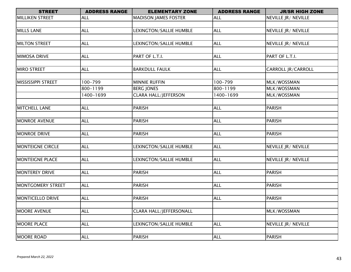| <b>STREET</b>             | <b>ADDRESS RANGE</b> | <b>ELEMENTARY ZONE</b>         | <b>ADDRESS RANGE</b> | <b>JR/SR HIGH ZONE</b>    |
|---------------------------|----------------------|--------------------------------|----------------------|---------------------------|
| <b>MILLIKEN STREET</b>    | <b>ALL</b>           | <b>MADISON JAMES FOSTER</b>    | <b>ALL</b>           | NEVILLE JR/ NEVILLE       |
|                           |                      |                                |                      |                           |
| <b>MILLS LANE</b>         | <b>ALL</b>           | LEXINGTON/SALLIE HUMBLE        | <b>ALL</b>           | NEVILLE JR/ NEVILLE       |
|                           |                      |                                |                      |                           |
| <b>MILTON STREET</b>      | <b>ALL</b>           | LEXINGTON/SALLIE HUMBLE        | <b>ALL</b>           | NEVILLE JR/ NEVILLE       |
|                           |                      |                                |                      |                           |
| <b>MIMOSA DRIVE</b>       | <b>ALL</b>           | PART OF L.T.I.                 | <b>ALL</b>           | PART OF L.T.I.            |
|                           |                      |                                |                      |                           |
| <b>MIRO STREET</b>        | <b>ALL</b>           | <b>BARKDULL FAULK</b>          | <b>ALL</b>           | <b>CARROLL JR/CARROLL</b> |
|                           |                      |                                |                      |                           |
| <b>MISSISSIPPI STREET</b> | 100-799              | <b>MINNIE RUFFIN</b>           | 100-799              | MLK/WOSSMAN               |
|                           | 800-1199             | <b>BERG JONES</b>              | 800-1199             | MLK/WOSSMAN               |
|                           | 1400-1699            | <b>CLARA HALL/JEFFERSON</b>    | 1400-1699            | MLK/WOSSMAN               |
|                           |                      |                                |                      |                           |
| <b>MITCHELL LANE</b>      | <b>ALL</b>           | <b>PARISH</b>                  | <b>ALL</b>           | <b>PARISH</b>             |
|                           |                      |                                |                      |                           |
| <b>MONROE AVENUE</b>      | <b>ALL</b>           | <b>PARISH</b>                  | <b>ALL</b>           | <b>PARISH</b>             |
|                           |                      |                                |                      |                           |
| <b>MONROE DRIVE</b>       | <b>ALL</b>           | <b>PARISH</b>                  | <b>ALL</b>           | <b>PARISH</b>             |
|                           |                      |                                |                      |                           |
| <b>MONTEIGNE CIRCLE</b>   | <b>ALL</b>           | LEXINGTON/SALLIE HUMBLE        | <b>ALL</b>           | NEVILLE JR/ NEVILLE       |
|                           |                      |                                |                      |                           |
| <b>MONTEIGNE PLACE</b>    | <b>ALL</b>           | LEXINGTON/SALLIE HUMBLE        | <b>ALL</b>           | NEVILLE JR/ NEVILLE       |
|                           |                      |                                |                      |                           |
| <b>MONTEREY DRIVE</b>     | <b>ALL</b>           | <b>PARISH</b>                  | <b>ALL</b>           | <b>PARISH</b>             |
|                           |                      |                                |                      |                           |
| <b>MONTGOMERY STREET</b>  | ALL                  | PARISH                         | <b>ALL</b>           | <b>PARISH</b>             |
|                           |                      |                                |                      |                           |
| <b>MONTICELLO DRIVE</b>   | <b>ALL</b>           | <b>PARISH</b>                  | <b>ALL</b>           | <b>PARISH</b>             |
|                           |                      |                                |                      |                           |
| <b>MOORE AVENUE</b>       | <b>ALL</b>           | <b>CLARA HALL/JEFFERSONALL</b> |                      | MLK/WOSSMAN               |
|                           |                      |                                |                      |                           |
| <b>MOORE PLACE</b>        | <b>ALL</b>           | LEXINGTON/SALLIE HUMBLE        | <b>ALL</b>           | NEVILLE JR/ NEVILLE       |
|                           |                      |                                |                      |                           |
| <b>MOORE ROAD</b>         | <b>ALL</b>           | <b>PARISH</b>                  | <b>ALL</b>           | <b>PARISH</b>             |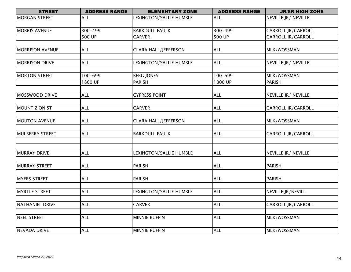| <b>STREET</b>          | <b>ADDRESS RANGE</b> | <b>ELEMENTARY ZONE</b>      | <b>ADDRESS RANGE</b> | <b>JR/SR HIGH ZONE</b>    |
|------------------------|----------------------|-----------------------------|----------------------|---------------------------|
| <b>MORGAN STREET</b>   | <b>ALL</b>           | LEXINGTON/SALLIE HUMBLE     | <b>ALL</b>           | NEVILLE JR/ NEVILLE       |
|                        |                      |                             |                      |                           |
| <b>MORRIS AVENUE</b>   | 300-499              | <b>BARKDULL FAULK</b>       | 300-499              | <b>CARROLL JR/CARROLL</b> |
|                        | $\overline{500}$ UP  | <b>CARVER</b>               | 500 UP               | <b>CARROLL JR/CARROLL</b> |
|                        |                      |                             |                      |                           |
| <b>MORRISON AVENUE</b> | <b>ALL</b>           | <b>CLARA HALL/JEFFERSON</b> | <b>ALL</b>           | MLK/WOSSMAN               |
|                        |                      |                             |                      |                           |
| <b>MORRISON DRIVE</b>  | <b>ALL</b>           | LEXINGTON/SALLIE HUMBLE     | ALL                  | NEVILLE JR/ NEVILLE       |
|                        |                      |                             |                      |                           |
| <b>MORTON STREET</b>   | 100-699              | <b>BERG JONES</b>           | 100-699              | MLK/WOSSMAN               |
|                        | 1800 UP              | <b>PARISH</b>               | 1800 UP              | <b>PARISH</b>             |
|                        |                      |                             |                      |                           |
| <b>MOSSWOOD DRIVE</b>  | <b>ALL</b>           | <b>CYPRESS POINT</b>        | <b>ALL</b>           | NEVILLE JR/ NEVILLE       |
| MOUNT ZION ST          | <b>ALL</b>           | <b>CARVER</b>               | <b>ALL</b>           | <b>CARROLL JR/CARROLL</b> |
|                        |                      |                             |                      |                           |
| <b>MOUTON AVENUE</b>   | <b>ALL</b>           | <b>CLARA HALL/JEFFERSON</b> | <b>ALL</b>           | MLK/WOSSMAN               |
|                        |                      |                             |                      |                           |
| <b>MULBERRY STREET</b> | <b>ALL</b>           | <b>BARKDULL FAULK</b>       | <b>ALL</b>           | CARROLL JR/CARROLL        |
|                        |                      |                             |                      |                           |
|                        |                      |                             |                      |                           |
| <b>MURRAY DRIVE</b>    | <b>ALL</b>           | LEXINGTON/SALLIE HUMBLE     | <b>ALL</b>           | NEVILLE JR/ NEVILLE       |
|                        |                      |                             |                      |                           |
| <b>MURRAY STREET</b>   | <b>ALL</b>           | PARISH                      | <b>ALL</b>           | <b>PARISH</b>             |
|                        |                      |                             |                      |                           |
| <b>MYERS STREET</b>    | <b>ALL</b>           | <b>PARISH</b>               | <b>ALL</b>           | <b>PARISH</b>             |
|                        |                      |                             |                      |                           |
| <b>MYRTLE STREET</b>   | <b>ALL</b>           | LEXINGTON/SALLIE HUMBLE     | <b>ALL</b>           | NEVILLE JR/NEVILL         |
|                        |                      |                             |                      |                           |
| NATHANIEL DRIVE        | <b>ALL</b>           | <b>CARVER</b>               | <b>ALL</b>           | <b>CARROLL JR/CARROLL</b> |
|                        |                      |                             |                      |                           |
| <b>NEEL STREET</b>     | <b>ALL</b>           | <b>MINNIE RUFFIN</b>        | <b>ALL</b>           | MLK/WOSSMAN               |
|                        |                      |                             |                      |                           |
| NEVADA DRIVE           | <b>ALL</b>           | <b>MINNIE RUFFIN</b>        | <b>ALL</b>           | MLK/WOSSMAN               |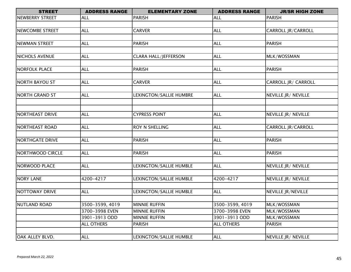| <b>STREET</b>           | <b>ADDRESS RANGE</b> | <b>ELEMENTARY ZONE</b>      | <b>ADDRESS RANGE</b> | <b>JR/SR HIGH ZONE</b>     |
|-------------------------|----------------------|-----------------------------|----------------------|----------------------------|
| NEWBERRY STREET         | <b>ALL</b>           | <b>PARISH</b>               | <b>ALL</b>           | <b>PARISH</b>              |
|                         |                      |                             |                      |                            |
| <b>NEWCOMBE STREET</b>  | <b>ALL</b>           | <b>CARVER</b>               | <b>ALL</b>           | CARROLL JR/CARROLL         |
|                         |                      |                             |                      |                            |
| NEWMAN STREET           | <b>ALL</b>           | <b>PARISH</b>               | <b>ALL</b>           | <b>PARISH</b>              |
|                         |                      |                             |                      |                            |
| <b>NICHOLS AVENUE</b>   | <b>ALL</b>           | <b>CLARA HALL/JEFFERSON</b> | <b>ALL</b>           | MLK/WOSSMAN                |
|                         |                      |                             |                      |                            |
| <b>NORFOLK PLACE</b>    | <b>ALL</b>           | <b>PARISH</b>               | <b>ALL</b>           | <b>PARISH</b>              |
|                         |                      |                             |                      |                            |
| <b>NORTH BAYOU ST</b>   | <b>ALL</b>           | <b>CARVER</b>               | <b>ALL</b>           | <b>CARROLL JR/ CARROLL</b> |
|                         |                      |                             |                      |                            |
| <b>NORTH GRAND ST</b>   | <b>ALL</b>           | LEXINGTON/SALLIE HUMBRE     | <b>ALL</b>           | NEVILLE JR/ NEVILLE        |
|                         |                      |                             |                      |                            |
|                         |                      |                             |                      |                            |
| NORTHEAST DRIVE         | <b>ALL</b>           | <b>CYPRESS POINT</b>        | <b>ALL</b>           | NEVILLE JR/ NEVILLE        |
|                         |                      |                             |                      |                            |
| NORTHEAST ROAD          | <b>ALL</b>           | <b>ROY N SHELLING</b>       | <b>ALL</b>           | <b>CARROLL JR/CARROLL</b>  |
|                         |                      |                             |                      |                            |
| <b>NORTHGATE DRIVE</b>  | <b>ALL</b>           | <b>PARISH</b>               | <b>ALL</b>           | <b>PARISH</b>              |
|                         |                      |                             |                      |                            |
| <b>NORTHWOOD CIRCLE</b> | <b>ALL</b>           | <b>PARISH</b>               | <b>ALL</b>           | <b>PARISH</b>              |
|                         |                      |                             |                      |                            |
| NORWOOD PLACE           | <b>ALL</b>           | LEXINGTON/SALLIE HUMBLE     | <b>ALL</b>           | NEVILLE JR/ NEVILLE        |
|                         |                      |                             |                      |                            |
| <b>NORY LANE</b>        | 4200-4217            | LEXINGTON/SALLIE HUMBLE     | 4200-4217            | NEVILLE JR/ NEVILLE        |
|                         |                      |                             |                      |                            |
| NOTTOWAY DRIVE          | <b>ALL</b>           | LEXINGTON/SALLIE HUMBLE     | ALL                  | NEVILLE JR/NEVILLE         |
|                         |                      |                             |                      |                            |
| NUTLAND ROAD            | 3500-3599, 4019      | <b>MINNIE RUFFIN</b>        | 3500-3599, 4019      | MLK/WOSSMAN                |
|                         | 3700-3998 EVEN       | <b>MINNIE RUFFIN</b>        | 3700-3998 EVEN       | MLK/WOSSMAN                |
|                         | 3901-3913 ODD        | <b>MINNIE RUFFIN</b>        | 3901-3913 ODD        | MLK/WOSSMAN                |
|                         | <b>ALL OTHERS</b>    | <b>PARISH</b>               | <b>ALL OTHERS</b>    | <b>PARISH</b>              |
|                         |                      |                             |                      |                            |
| OAK ALLEY BLVD.         | <b>ALL</b>           | LEXINGTON/SALLIE HUMBLE     | <b>ALL</b>           | NEVILLE JR/ NEVILLE        |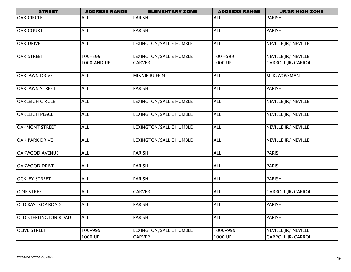| <b>STREET</b>               | <b>ADDRESS RANGE</b> | <b>ELEMENTARY ZONE</b>  | <b>ADDRESS RANGE</b> | <b>JR/SR HIGH ZONE</b>    |
|-----------------------------|----------------------|-------------------------|----------------------|---------------------------|
| <b>OAK CIRCLE</b>           | <b>ALL</b>           | <b>PARISH</b>           | <b>ALL</b>           | <b>PARISH</b>             |
|                             |                      |                         |                      |                           |
| <b>OAK COURT</b>            | <b>ALL</b>           | <b>PARISH</b>           | <b>ALL</b>           | <b>PARISH</b>             |
|                             |                      |                         |                      |                           |
| <b>OAK DRIVE</b>            | <b>ALL</b>           | LEXINGTON/SALLIE HUMBLE | <b>ALL</b>           | NEVILLE JR/ NEVILLE       |
|                             |                      |                         |                      |                           |
| <b>OAK STREET</b>           | 100-599              | LEXINGTON/SALLIE HUMBLE | $100 - 599$          | NEVILLE JR/ NEVILLE       |
|                             | 1000 AND UP          | <b>CARVER</b>           | 1000 UP              | <b>CARROLL JR/CARROLL</b> |
|                             |                      |                         |                      |                           |
| <b>OAKLAWN DRIVE</b>        | <b>ALL</b>           | <b>MINNIE RUFFIN</b>    | <b>ALL</b>           | MLK/WOSSMAN               |
|                             |                      |                         |                      |                           |
| <b>OAKLAWN STREET</b>       | <b>ALL</b>           | <b>PARISH</b>           | <b>ALL</b>           | <b>PARISH</b>             |
| <b>OAKLEIGH CIRCLE</b>      |                      |                         |                      | NEVILLE JR/ NEVILLE       |
|                             | <b>ALL</b>           | LEXINGTON/SALLIE HUMBLE | <b>ALL</b>           |                           |
| <b>OAKLEIGH PLACE</b>       | <b>ALL</b>           | LEXINGTON/SALLIE HUMBLE | <b>ALL</b>           | NEVILLE JR/ NEVILLE       |
|                             |                      |                         |                      |                           |
| <b>OAKMONT STREET</b>       | <b>ALL</b>           | LEXINGTON/SALLIE HUMBLE | <b>ALL</b>           | NEVILLE JR/ NEVILLE       |
|                             |                      |                         |                      |                           |
| <b>OAK PARK DRIVE</b>       | <b>ALL</b>           | LEXINGTON/SALLIE HUMBLE | <b>ALL</b>           | NEVILLE JR/ NEVILLE       |
|                             |                      |                         |                      |                           |
| <b>OAKWOOD AVENUE</b>       | <b>ALL</b>           | <b>PARISH</b>           | <b>ALL</b>           | <b>PARISH</b>             |
|                             |                      |                         |                      |                           |
| <b>OAKWOOD DRIVE</b>        | <b>ALL</b>           | <b>PARISH</b>           | <b>ALL</b>           | <b>PARISH</b>             |
|                             |                      |                         |                      |                           |
| <b>OCKLEY STREET</b>        | <b>ALL</b>           | <b>PARISH</b>           | <b>ALL</b>           | <b>PARISH</b>             |
|                             |                      |                         |                      |                           |
| <b>ODIE STREET</b>          | <b>ALL</b>           | <b>CARVER</b>           | <b>ALL</b>           | <b>CARROLL JR/CARROLL</b> |
|                             |                      |                         |                      |                           |
| <b>OLD BASTROP ROAD</b>     | <b>ALL</b>           | <b>PARISH</b>           | <b>ALL</b>           | <b>PARISH</b>             |
|                             |                      |                         |                      |                           |
| <b>OLD STERLINGTON ROAD</b> | <b>ALL</b>           | <b>PARISH</b>           | <b>ALL</b>           | <b>PARISH</b>             |
|                             |                      |                         |                      |                           |
| <b>OLIVE STREET</b>         | 100-999              | LEXINGTON/SALLIE HUMBLE | 1000-999             | NEVILLE JR/ NEVILLE       |
|                             | 1000 UP              | <b>CARVER</b>           | 1000 UP              | CARROLL JR/CARROLL        |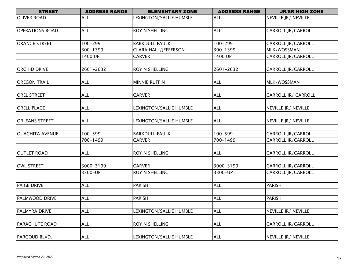| <b>STREET</b>          | <b>ADDRESS RANGE</b> | <b>ELEMENTARY ZONE</b>      | <b>ADDRESS RANGE</b> | <b>JR/SR HIGH ZONE</b>    |
|------------------------|----------------------|-----------------------------|----------------------|---------------------------|
| <b>OLIVER ROAD</b>     | ALL                  | LEXINGTON/SALLIE HUMBLE     | <b>ALL</b>           | NEVILLE JR/ NEVILLE       |
|                        |                      |                             |                      |                           |
| <b>OPERATIONS ROAD</b> | <b>ALL</b>           | ROY N SHELLING              | <b>ALL</b>           | CARROLL JR/CARROLL        |
|                        |                      |                             |                      |                           |
| <b>ORANGE STREET</b>   | 100-299              | <b>BARKDULL FAULK</b>       | 100-299              | <b>CARROLL JR/CARROLL</b> |
|                        | 300-1399             | <b>CLARA HALL/JEFFERSON</b> | 300-1399             | MLK/WOSSMAN               |
|                        | 1400 UP              | <b>CARVER</b>               | 1400 UP              | <b>CARROLL JR/CARROLL</b> |
|                        |                      |                             |                      |                           |
| <b>ORCHID DRIVE</b>    | 2601-2632            | <b>ROY N SHELLING</b>       | 2601-2632            | <b>CARROLL JR/CARROLL</b> |
|                        |                      |                             |                      |                           |
| <b>OREGON TRAIL</b>    | <b>ALL</b>           | <b>MINNIE RUFFIN</b>        | <b>ALL</b>           | MLK/WOSSMAN               |
|                        |                      |                             |                      |                           |
| <b>OREL STREET</b>     | <b>ALL</b>           | <b>CARVER</b>               | <b>ALL</b>           | CARROLL JR/ CARROLL       |
|                        |                      |                             |                      |                           |
| <b>ORELL PLACE</b>     | <b>ALL</b>           | LEXINGTON/SALLIE HUMBLE     | <b>ALL</b>           | NEVILLE JR/ NEVILLE       |
|                        |                      |                             |                      |                           |
| <b>ORLEANS STREET</b>  | <b>ALL</b>           | LEXINGTON/SALLIE HUMBLE     | <b>ALL</b>           | NEVILLE JR/ NEVILLE       |
|                        |                      |                             |                      |                           |
| <b>OUACHITA AVENUE</b> | 100-599              | <b>BARKDULL FAULK</b>       | $100 - 599$          | CARROLL JR/CARROLL        |
|                        | 700-1499             | <b>CARVER</b>               | 700-1499             | CARROLL JR/CARROLL        |
|                        |                      |                             |                      |                           |
| <b>OUTLET ROAD</b>     | <b>ALL</b>           | <b>ROY N SHELLING</b>       | <b>ALL</b>           | <b>CARROLL JR/CARROLL</b> |
|                        |                      |                             |                      |                           |
| OWL STREET             | 3000-3199            | <b>CARVER</b>               | 3000-3199            | CARROLL JR/CARROLL        |
|                        | 3300-UP              | <b>ROY N SHELLING</b>       | 3300-UP              | CARROLL JR/CARROLL        |
|                        |                      |                             |                      |                           |
| <b>PAIGE DRIVE</b>     | <b>ALL</b>           | <b>PARISH</b>               | <b>ALL</b>           | <b>PARISH</b>             |
|                        |                      |                             |                      |                           |
| PALMWOOD DRIVE         | <b>ALL</b>           | <b>PARISH</b>               | <b>ALL</b>           | <b>PARISH</b>             |
|                        |                      |                             |                      |                           |
| <b>PALMYRA DRIVE</b>   | <b>ALL</b>           | LEXINGTON/SALLIE HUMBLE     | <b>ALL</b>           | NEVILLE JR/ NEVILLE       |
|                        |                      |                             |                      |                           |
| <b>PARACHUTE ROAD</b>  | <b>ALL</b>           | <b>ROY N SHELLING</b>       | <b>ALL</b>           | <b>CARROLL JR/CARROLL</b> |
|                        |                      |                             |                      |                           |
| PARGOUD BLVD.          | <b>ALL</b>           | LEXINGTON/SALLIE HUMBLE     | <b>ALL</b>           | NEVILLE JR/ NEVILLE       |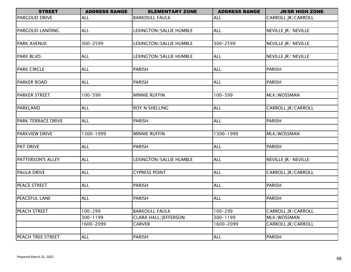| <b>STREET</b>         | <b>ADDRESS RANGE</b> | <b>ELEMENTARY ZONE</b>      | <b>ADDRESS RANGE</b> | <b>JR/SR HIGH ZONE</b>    |
|-----------------------|----------------------|-----------------------------|----------------------|---------------------------|
| <b>PARGOUD DRIVE</b>  | <b>ALL</b>           | <b>BARKDULL FAULK</b>       | <b>ALL</b>           | <b>CARROLL JR/CARROLL</b> |
|                       |                      |                             |                      |                           |
| PARGOUD LANDING       | <b>ALL</b>           | LEXINGTON/SALLIE HUMBLE     | <b>ALL</b>           | NEVILLE JR/ NEVILLE       |
|                       |                      |                             |                      |                           |
| <b>PARK AVENUE</b>    | 300-2599             | LEXINGTON/SALLIE HUMBLE     | 300-2599             | NEVILLE JR/ NEVILLE       |
|                       |                      |                             |                      |                           |
| PARK BLVD.            | <b>ALL</b>           | LEXINGTON/SALLIE HUMBLE     | <b>ALL</b>           | NEVILLE JR/ NEVILLE       |
|                       |                      |                             |                      |                           |
| <b>PARK CIRCLE</b>    | <b>ALL</b>           | <b>PARISH</b>               | <b>ALL</b>           | <b>PARISH</b>             |
|                       |                      |                             |                      |                           |
| <b>PARKER ROAD</b>    | <b>ALL</b>           | <b>PARISH</b>               | <b>ALL</b>           | <b>PARISH</b>             |
|                       |                      |                             |                      |                           |
| <b>PARKER STREET</b>  | 100-599              | <b>MINNIE RUFFIN</b>        | 100-599              | MLK/WOSSMAN               |
|                       |                      |                             |                      |                           |
| <b>PARKLAND</b>       | <b>ALL</b>           | ROY N SHELLING              | <b>ALL</b>           | <b>CARROLL JR/CARROLL</b> |
|                       |                      |                             |                      |                           |
| PARK TERRACE DRIVE    | <b>ALL</b>           | <b>PARISH</b>               | <b>ALL</b>           | <b>PARISH</b>             |
|                       |                      |                             |                      |                           |
| <b>PARKVIEW DRIVE</b> | 1300-1999            | <b>MINNIE RUFFIN</b>        | 1300-1999            | MLK/WOSSMAN               |
|                       |                      |                             |                      |                           |
| <b>PAT DRIVE</b>      | <b>ALL</b>           | <b>PARISH</b>               | <b>ALL</b>           | <b>PARISH</b>             |
|                       |                      |                             |                      |                           |
| PATTERSON'S ALLEY     | <b>ALL</b>           | LEXINGTON/SALLIE HUMBLE     | <b>ALL</b>           | NEVILLE JR/ NEVILLE       |
|                       |                      |                             |                      |                           |
| <b>PAULA DRIVE</b>    | <b>ALL</b>           | <b>CYPRESS POINT</b>        | <b>ALL</b>           | <b>CARROLL JR/CARROLL</b> |
|                       |                      |                             |                      |                           |
| PEACE STREET          | <b>ALL</b>           | PARISH                      | <b>ALL</b>           | <b>PARISH</b>             |
| PEACEFUL LANE         | <b>ALL</b>           | <b>PARISH</b>               | <b>ALL</b>           | <b>PARISH</b>             |
|                       |                      |                             |                      |                           |
| PEACH STREET          | $100 - 299$          | <b>BARKDULL FAULK</b>       | 100-299              | <b>CARROLL JR/CARROLL</b> |
|                       | 300-1199             | <b>CLARA HALL/JEFFERSON</b> | $300 - 1199$         | MLK/WOSSMAN               |
|                       | 1600-2099            | <b>CARVER</b>               | 1600-2099            | <b>CARROLL JR/CARROLL</b> |
|                       |                      |                             |                      |                           |
| PEACH TREE STREET     | <b>ALL</b>           | <b>PARISH</b>               | <b>ALL</b>           | <b>PARISH</b>             |
|                       |                      |                             |                      |                           |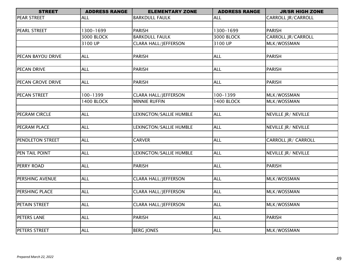| <b>STREET</b>       | <b>ADDRESS RANGE</b> | <b>ELEMENTARY ZONE</b>      | <b>ADDRESS RANGE</b> | <b>JR/SR HIGH ZONE</b>    |
|---------------------|----------------------|-----------------------------|----------------------|---------------------------|
| <b>PEAR STREET</b>  | <b>ALL</b>           | <b>BARKDULL FAULK</b>       | <b>ALL</b>           | CARROLL JR/CARROLL        |
|                     |                      |                             |                      |                           |
| <b>PEARL STREET</b> | 1300-1699            | <b>PARISH</b>               | 1300-1699            | <b>PARISH</b>             |
|                     | <b>3000 BLOCK</b>    | <b>BARKDULL FAULK</b>       | <b>3000 BLOCK</b>    | <b>CARROLL JR/CARROLL</b> |
|                     | 3100 UP              | <b>CLARA HALL/JEFFERSON</b> | 3100 UP              | MLK/WOSSMAN               |
|                     |                      |                             |                      |                           |
| PECAN BAYOU DRIVE   | <b>ALL</b>           | <b>PARISH</b>               | <b>ALL</b>           | <b>PARISH</b>             |
|                     |                      |                             |                      |                           |
| PECAN DRIVE         | <b>ALL</b>           | <b>PARISH</b>               | <b>ALL</b>           | <b>PARISH</b>             |
|                     |                      |                             |                      |                           |
| PECAN GROVE DRIVE   | <b>ALL</b>           | <b>PARISH</b>               | <b>ALL</b>           | <b>PARISH</b>             |
|                     |                      |                             |                      |                           |
| PECAN STREET        | 100-1399             | <b>CLARA HALL/JEFFERSON</b> | 100-1399             | MLK/WOSSMAN               |
|                     | <b>1400 BLOCK</b>    | <b>MINNIE RUFFIN</b>        | <b>1400 BLOCK</b>    | MLK/WOSSMAN               |
|                     |                      |                             |                      |                           |
| PEGRAM CIRCLE       | <b>ALL</b>           | LEXINGTON/SALLIE HUMBLE     | <b>ALL</b>           | NEVILLE JR/ NEVILLE       |
|                     |                      |                             |                      |                           |
| PEGRAM PLACE        | <b>ALL</b>           | LEXINGTON/SALLIE HUMBLE     | <b>ALL</b>           | NEVILLE JR/ NEVILLE       |
|                     |                      |                             |                      |                           |
| PENDLETON STREET    | <b>ALL</b>           | <b>CARVER</b>               | <b>ALL</b>           | CARROLL JR/ CARROLL       |
|                     |                      |                             |                      |                           |
| PEN TAIL POINT      | <b>ALL</b>           | LEXINGTON/SALLIE HUMBLE     | <b>ALL</b>           | NEVILLE JR/ NEVILLE       |
|                     |                      |                             |                      |                           |
| PERRY ROAD          | <b>ALL</b>           | <b>PARISH</b>               | <b>ALL</b>           | <b>PARISH</b>             |
|                     |                      |                             |                      |                           |
| PERSHING AVENUE     | <b>ALL</b>           | <b>CLARA HALL/JEFFERSON</b> | <b>ALL</b>           | MLK/WOSSMAN               |
|                     |                      |                             |                      |                           |
| PERSHING PLACE      | <b>ALL</b>           | <b>CLARA HALL/JEFFERSON</b> | <b>ALL</b>           | MLK/WOSSMAN               |
|                     |                      |                             |                      |                           |
| PETAIN STREET       | <b>ALL</b>           | <b>CLARA HALL/JEFFERSON</b> | <b>ALL</b>           | MLK/WOSSMAN               |
|                     |                      |                             |                      |                           |
| PETERS LANE         | <b>ALL</b>           | <b>PARISH</b>               | <b>ALL</b>           | <b>PARISH</b>             |
|                     |                      |                             |                      |                           |
| PETERS STREET       | <b>ALL</b>           | <b>BERG JONES</b>           | <b>ALL</b>           | MLK/WOSSMAN               |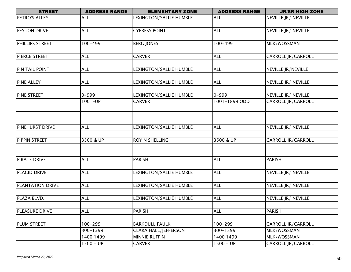| <b>STREET</b>           | <b>ADDRESS RANGE</b> | <b>ELEMENTARY ZONE</b>      | <b>ADDRESS RANGE</b> | <b>JR/SR HIGH ZONE</b>    |
|-------------------------|----------------------|-----------------------------|----------------------|---------------------------|
| PETRO'S ALLEY           | <b>ALL</b>           | LEXINGTON/SALLIE HUMBLE     | <b>ALL</b>           | NEVILLE JR/ NEVILLE       |
|                         |                      |                             |                      |                           |
| PEYTON DRIVE            | <b>ALL</b>           | <b>CYPRESS POINT</b>        | <b>ALL</b>           | NEVILLE JR/ NEVILLE       |
|                         |                      |                             |                      |                           |
| PHILLIPS STREET         | 100-499              | <b>BERG JONES</b>           | 100-499              | MLK/WOSSMAN               |
|                         |                      |                             |                      |                           |
| <b>PIERCE STREET</b>    | <b>ALL</b>           | <b>CARVER</b>               | <b>ALL</b>           | CARROLL JR/CARROLL        |
|                         |                      |                             |                      |                           |
| PIN TAIL POINT          | <b>ALL</b>           | LEXINGTON/SALLIE HUMBLE     | <b>ALL</b>           | <b>NEVILLE JR/NEVILLE</b> |
|                         |                      |                             |                      |                           |
| <b>PINE ALLEY</b>       | <b>ALL</b>           | LEXINGTON/SALLIE HUMBLE     | <b>ALL</b>           | NEVILLE JR/ NEVILLE       |
|                         |                      |                             |                      |                           |
| <b>PINE STREET</b>      | $0 - 999$            | LEXINGTON/SALLIE HUMBLE     | $0 - 999$            | NEVILLE JR/ NEVILLE       |
|                         | $1001 - UP$          | <b>CARVER</b>               | 1001-1899 ODD        | <b>CARROLL JR/CARROLL</b> |
|                         |                      |                             |                      |                           |
|                         |                      |                             |                      |                           |
|                         |                      |                             |                      |                           |
| <b>PINEHURST DRIVE</b>  | <b>ALL</b>           | LEXINGTON/SALLIE HUMBLE     | <b>ALL</b>           | NEVILLE JR/ NEVILLE       |
|                         |                      |                             |                      |                           |
| PIPPIN STREET           | 3500 & UP            | <b>ROY N SHELLING</b>       | 3500 & UP            | <b>CARROLL JR/CARROLL</b> |
|                         |                      |                             |                      |                           |
|                         |                      |                             |                      |                           |
| <b>PIRATE DRIVE</b>     | <b>ALL</b>           | <b>PARISH</b>               | <b>ALL</b>           | <b>PARISH</b>             |
|                         |                      |                             |                      |                           |
| <b>PLACID DRIVE</b>     | <b>ALL</b>           | LEXINGTON/SALLIE HUMBLE     | <b>ALL</b>           | NEVILLE JR/ NEVILLE       |
|                         |                      |                             |                      |                           |
| <b>PLANTATION DRIVE</b> | <b>ALL</b>           | LEXINGTON/SALLIE HUMBLE     | <b>ALL</b>           | NEVILLE JR/ NEVILLE       |
|                         |                      |                             |                      |                           |
| PLAZA BLVD.             | <b>ALL</b>           | LEXINGTON/SALLIE HUMBLE     | <b>ALL</b>           | NEVILLE JR/ NEVILLE       |
|                         |                      |                             |                      |                           |
| PLEASURE DRIVE          | <b>ALL</b>           | <b>PARISH</b>               | <b>ALL</b>           | <b>PARISH</b>             |
|                         |                      |                             |                      |                           |
| <b>PLUM STREET</b>      | $100 - 299$          | <b>BARKDULL FAULK</b>       | 100-299              | <b>CARROLL JR/CARROLL</b> |
|                         | 300-1399             | <b>CLARA HALL/JEFFERSON</b> | 300-1399             | MLK/WOSSMAN               |
|                         | 1400 1499            | <b>MINNIE RUFFIN</b>        | 1400 1499            | MLK/WOSSMAN               |
|                         | $1500 - UP$          | <b>CARVER</b>               | $1500 - UP$          | CARROLL JR/CARROLL        |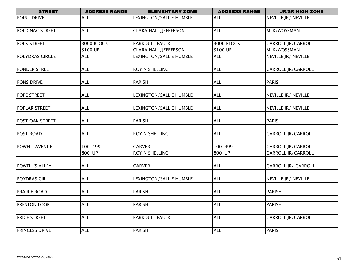| <b>STREET</b>       | <b>ADDRESS RANGE</b> | <b>ELEMENTARY ZONE</b>      | <b>ADDRESS RANGE</b> | <b>JR/SR HIGH ZONE</b> |
|---------------------|----------------------|-----------------------------|----------------------|------------------------|
| POINT DRIVE         | ALL                  | LEXINGTON/SALLIE HUMBLE     | <b>ALL</b>           | NEVILLE JR/ NEVILLE    |
|                     |                      |                             |                      |                        |
| POLIGNAC STREET     | <b>ALL</b>           | <b>CLARA HALL/JEFFERSON</b> | <b>ALL</b>           | MLK/WOSSMAN            |
|                     |                      |                             |                      |                        |
| POLK STREET         | 3000 BLOCK           | <b>BARKDULL FAULK</b>       | 3000 BLOCK           | CARROLL JR/CARROLL     |
|                     | 3100 UP              | <b>CLARA HALL/JEFFERSON</b> | 3100 UP              | MLK/WOSSMAN            |
| POLYDRAS CIRCLE     | <b>ALL</b>           | LEXINGTON/SALLIE HUMBLE     | <b>ALL</b>           | NEVILLE JR/ NEVILLE    |
|                     |                      |                             |                      |                        |
| PONDER STREET       | <b>ALL</b>           | ROY N SHELLING              | <b>ALL</b>           | CARROLL JR/CARROLL     |
| PONS DRIVE          | <b>ALL</b>           | <b>PARISH</b>               | <b>ALL</b>           | <b>PARISH</b>          |
|                     |                      |                             |                      |                        |
| POPE STREET         | <b>ALL</b>           | LEXINGTON/SALLIE HUMBLE     | <b>ALL</b>           | NEVILLE JR/ NEVILLE    |
|                     |                      |                             |                      |                        |
| POPLAR STREET       | <b>ALL</b>           | LEXINGTON/SALLIE HUMBLE     | <b>ALL</b>           | NEVILLE JR/ NEVILLE    |
| POST OAK STREET     | <b>ALL</b>           | <b>PARISH</b>               | <b>ALL</b>           | <b>PARISH</b>          |
|                     |                      |                             |                      |                        |
| POST ROAD           | <b>ALL</b>           | ROY N SHELLING              | <b>ALL</b>           | CARROLL JR/CARROLL     |
|                     |                      |                             |                      |                        |
| POWELL AVENUE       | $100 - 499$          | <b>CARVER</b>               | $100 - 499$          | CARROLL JR/CARROLL     |
|                     | 800-UP               | <b>ROY N SHELLING</b>       | $800 - UP$           | CARROLL JR/CARROLL     |
| POWELL'S ALLEY      | <b>ALL</b>           |                             | <b>ALL</b>           | CARROLL JR/ CARROLL    |
|                     |                      | <b>CARVER</b>               |                      |                        |
| POYDRAS CIR         | <b>ALL</b>           | LEXINGTON/SALLIE HUMBLE     | <b>ALL</b>           | NEVILLE JR/ NEVILLE    |
|                     |                      |                             |                      |                        |
| <b>PRAIRIE ROAD</b> | <b>ALL</b>           | <b>PARISH</b>               | <b>ALL</b>           | <b>PARISH</b>          |
|                     |                      |                             |                      |                        |
| PRESTON LOOP        | <b>ALL</b>           | <b>PARISH</b>               | <b>ALL</b>           | <b>PARISH</b>          |
| PRICE STREET        | <b>ALL</b>           | <b>BARKDULL FAULK</b>       | <b>ALL</b>           | CARROLL JR/CARROLL     |
|                     |                      |                             |                      |                        |
| PRINCESS DRIVE      | <b>ALL</b>           | <b>PARISH</b>               | <b>ALL</b>           | <b>PARISH</b>          |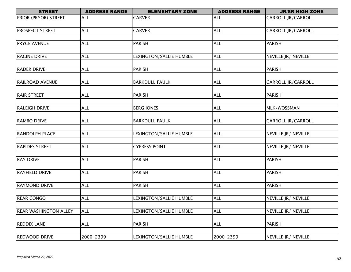| <b>STREET</b>                | <b>ADDRESS RANGE</b> | <b>ELEMENTARY ZONE</b>  | <b>ADDRESS RANGE</b> | <b>JR/SR HIGH ZONE</b>    |
|------------------------------|----------------------|-------------------------|----------------------|---------------------------|
| PRIOR (PRYOR) STREET         | <b>ALL</b>           | <b>CARVER</b>           | <b>ALL</b>           | <b>CARROLL JR/CARROLL</b> |
|                              |                      |                         |                      |                           |
| <b>PROSPECT STREET</b>       | <b>ALL</b>           | <b>CARVER</b>           | <b>ALL</b>           | <b>CARROLL JR/CARROLL</b> |
|                              |                      |                         |                      |                           |
| <b>PRYCE AVENUE</b>          | <b>ALL</b>           | <b>PARISH</b>           | <b>ALL</b>           | <b>PARISH</b>             |
|                              |                      |                         |                      |                           |
| <b>RACINE DRIVE</b>          | <b>ALL</b>           | LEXINGTON/SALLIE HUMBLE | <b>ALL</b>           | NEVILLE JR/ NEVILLE       |
|                              |                      |                         |                      |                           |
| <b>RADER DRIVE</b>           | <b>ALL</b>           | <b>PARISH</b>           | <b>ALL</b>           | <b>PARISH</b>             |
|                              |                      |                         |                      |                           |
| <b>RAILROAD AVENUE</b>       | <b>ALL</b>           | <b>BARKDULL FAULK</b>   | <b>ALL</b>           | <b>CARROLL JR/CARROLL</b> |
|                              |                      |                         |                      |                           |
| <b>RAIR STREET</b>           | <b>ALL</b>           | <b>PARISH</b>           | <b>ALL</b>           | <b>PARISH</b>             |
|                              |                      |                         |                      |                           |
| <b>RALEIGH DRIVE</b>         | <b>ALL</b>           | <b>BERG JONES</b>       | <b>ALL</b>           | MLK/WOSSMAN               |
|                              |                      |                         |                      |                           |
| <b>RAMBO DRIVE</b>           | <b>ALL</b>           | <b>BARKDULL FAULK</b>   | <b>ALL</b>           | CARROLL JR/CARROLL        |
|                              |                      |                         |                      |                           |
| <b>RANDOLPH PLACE</b>        | <b>ALL</b>           | LEXINGTON/SALLIE HUMBLE | <b>ALL</b>           | NEVILLE JR/ NEVILLE       |
|                              |                      |                         |                      |                           |
| <b>RAPIDES STREET</b>        | <b>ALL</b>           | <b>CYPRESS POINT</b>    | <b>ALL</b>           | NEVILLE JR/ NEVILLE       |
|                              |                      |                         |                      |                           |
| <b>RAY DRIVE</b>             | <b>ALL</b>           | <b>PARISH</b>           | <b>ALL</b>           | <b>PARISH</b>             |
|                              |                      |                         |                      |                           |
| <b>RAYFIELD DRIVE</b>        | <b>ALL</b>           | <b>PARISH</b>           | <b>ALL</b>           | <b>PARISH</b>             |
| <b>RAYMOND DRIVE</b>         | <b>ALL</b>           | <b>PARISH</b>           | <b>ALL</b>           | <b>PARISH</b>             |
|                              |                      |                         |                      |                           |
| <b>REAR CONGO</b>            | <b>ALL</b>           | LEXINGTON/SALLIE HUMBLE | <b>ALL</b>           | NEVILLE JR/ NEVILLE       |
|                              |                      |                         |                      |                           |
| <b>REAR WASHINGTON ALLEY</b> | <b>ALL</b>           | LEXINGTON/SALLIE HUMBLE | <b>ALL</b>           | NEVILLE JR/ NEVILLE       |
|                              |                      |                         |                      |                           |
| <b>REDDIX LANE</b>           | <b>ALL</b>           | <b>PARISH</b>           | <b>ALL</b>           | <b>PARISH</b>             |
|                              |                      |                         |                      |                           |
| <b>REDWOOD DRIVE</b>         | 2000-2399            | LEXINGTON/SALLIE HUMBLE | 2000-2399            | NEVILLE JR/ NEVILLE       |
|                              |                      |                         |                      |                           |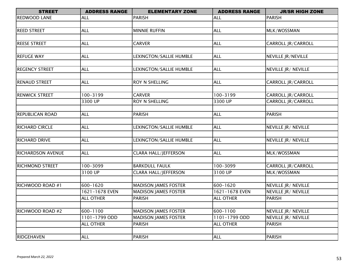| <b>STREET</b>            | <b>ADDRESS RANGE</b> | <b>ELEMENTARY ZONE</b>      | <b>ADDRESS RANGE</b> | <b>JR/SR HIGH ZONE</b> |
|--------------------------|----------------------|-----------------------------|----------------------|------------------------|
| <b>REDWOOD LANE</b>      | <b>ALL</b>           | <b>PARISH</b>               | <b>ALL</b>           | <b>PARISH</b>          |
|                          |                      |                             |                      |                        |
| <b>REED STREET</b>       | <b>ALL</b>           | <b>MINNIE RUFFIN</b>        | <b>ALL</b>           | MLK/WOSSMAN            |
|                          |                      |                             |                      |                        |
| <b>REESE STREET</b>      | <b>ALL</b>           | <b>CARVER</b>               | <b>ALL</b>           | CARROLL JR/CARROLL     |
|                          |                      |                             |                      |                        |
| <b>REFUGE WAY</b>        | <b>ALL</b>           | LEXINGTON/SALLIE HUMBLE     | <b>ALL</b>           | NEVILLE JR/NEVILLE     |
|                          |                      |                             |                      |                        |
| <b>REGENCY STREET</b>    | <b>ALL</b>           | LEXINGTON/SALLIE HUMBLE     | <b>ALL</b>           | NEVILLE JR/ NEVILLE    |
|                          |                      |                             |                      |                        |
| <b>RENAUD STREET</b>     | <b>ALL</b>           | ROY N SHELLING              | <b>ALL</b>           | CARROLL JR/CARROLL     |
|                          |                      |                             |                      |                        |
| <b>RENWICK STREET</b>    | 100-3199             | <b>CARVER</b>               | 100-3199             | CARROLL JR/CARROLL     |
|                          | 3300 UP              | ROY N SHELLING              | 3300 UP              | CARROLL JR/CARROLL     |
|                          |                      |                             |                      |                        |
| <b>REPUBLICAN ROAD</b>   | <b>ALL</b>           | <b>PARISH</b>               | <b>ALL</b>           | <b>PARISH</b>          |
|                          |                      |                             |                      |                        |
| <b>RICHARD CIRCLE</b>    | <b>ALL</b>           | LEXINGTON/SALLIE HUMBLE     | <b>ALL</b>           | NEVILLE JR/ NEVILLE    |
|                          |                      |                             |                      |                        |
| <b>RICHARD DRIVE</b>     | <b>ALL</b>           | LEXINGTON/SALLIE HUMBLE     | <b>ALL</b>           | NEVILLE JR/ NEVILLE    |
|                          |                      |                             |                      |                        |
| <b>RICHARDSON AVENUE</b> | <b>ALL</b>           | <b>CLARA HALL/JEFFERSON</b> | <b>ALL</b>           | MLK/WOSSMAN            |
|                          |                      |                             |                      |                        |
| <b>RICHMOND STREET</b>   | 100-3099             | <b>BARKDULL FAULK</b>       | 100-3099             | CARROLL JR/CARROLL     |
|                          | 3100 UP              | <b>CLARA HALL/JEFFERSON</b> | 3100 UP              | MLK/WOSSMAN            |
|                          |                      |                             |                      |                        |
| RICHWOOD ROAD #1         | 600-1620             | <b>MADISON JAMES FOSTER</b> | 600-1620             | NEVILLE JR/ NEVILLE    |
|                          | 1621-1678 EVEN       | <b>MADISON JAMES FOSTER</b> | 1621-1678 EVEN       | NEVILLE JR/ NEVILLE    |
|                          | <b>ALL OTHER</b>     | <b>PARISH</b>               | <b>ALL OTHER</b>     | <b>PARISH</b>          |
|                          |                      |                             |                      |                        |
| <b>RICHWOOD ROAD #2</b>  | 600-1100             | <b>MADISON JAMES FOSTER</b> | 600-1100             | NEVILLE JR/ NEVILLE    |
|                          | 1101-1799 ODD        | <b>MADISON JAMES FOSTER</b> | 1101-1799 ODD        | NEVILLE JR/ NEVILLE    |
|                          | <b>ALL OTHER</b>     | <b>PARISH</b>               | <b>ALL OTHER</b>     | <b>PARISH</b>          |
|                          |                      |                             |                      |                        |
| RIDGEHAVEN               | <b>ALL</b>           | <b>PARISH</b>               | <b>ALL</b>           | <b>PARISH</b>          |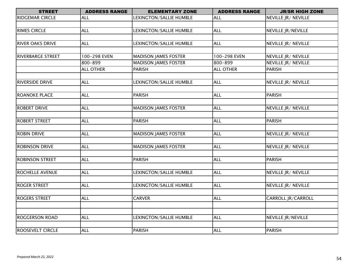| <b>STREET</b>            | <b>ADDRESS RANGE</b> | <b>ELEMENTARY ZONE</b>      | <b>ADDRESS RANGE</b> | <b>JR/SR HIGH ZONE</b>    |
|--------------------------|----------------------|-----------------------------|----------------------|---------------------------|
| <b>RIDGEMAR CIRCLE</b>   | <b>ALL</b>           | LEXINGTON/SALLIE HUMBLE     | <b>ALL</b>           | NEVILLE JR/ NEVILLE       |
|                          |                      |                             |                      |                           |
| <b>RIMES CIRCLE</b>      | <b>ALL</b>           | LEXINGTON/SALLIE HUMBLE     | <b>ALL</b>           | <b>NEVILLE JR/NEVILLE</b> |
|                          |                      |                             |                      |                           |
| <b>RIVER OAKS DRIVE</b>  | <b>ALL</b>           | LEXINGTON/SALLIE HUMBLE     | <b>ALL</b>           | NEVILLE JR/ NEVILLE       |
|                          |                      |                             |                      |                           |
| <b>RIVERBARGE STREET</b> | 100-298 EVEN         | <b>MADISON JAMES FOSTER</b> | 100-298 EVEN         | NEVILLE JR/ NEVILLE       |
|                          | 800-899              | <b>MADISON JAMES FOSTER</b> | 800-899              | NEVILLE JR/ NEVILLE       |
|                          | <b>ALL OTHER</b>     | <b>PARISH</b>               | <b>ALL OTHER</b>     | <b>PARISH</b>             |
|                          |                      |                             |                      |                           |
| <b>RIVERSIDE DRIVE</b>   | <b>ALL</b>           | LEXINGTON/SALLIE HUMBLE     | <b>ALL</b>           | NEVILLE JR/ NEVILLE       |
|                          |                      |                             |                      |                           |
| <b>ROANOKE PLACE</b>     | <b>ALL</b>           | <b>PARISH</b>               | <b>ALL</b>           | <b>PARISH</b>             |
|                          |                      |                             |                      |                           |
| <b>ROBERT DRIVE</b>      | <b>ALL</b>           | <b>MADISON JAMES FOSTER</b> | <b>ALL</b>           | NEVILLE JR/ NEVILLE       |
|                          |                      |                             |                      |                           |
| <b>ROBERT STREET</b>     | <b>ALL</b>           | <b>PARISH</b>               | <b>ALL</b>           | <b>PARISH</b>             |
|                          |                      |                             |                      |                           |
| <b>ROBIN DRIVE</b>       | <b>ALL</b>           | <b>MADISON JAMES FOSTER</b> | <b>ALL</b>           | NEVILLE JR/ NEVILLE       |
|                          |                      |                             |                      |                           |
| <b>ROBINSON DRIVE</b>    | <b>ALL</b>           | <b>MADISON JAMES FOSTER</b> | <b>ALL</b>           | NEVILLE JR/ NEVILLE       |
|                          |                      |                             |                      |                           |
| ROBINSON STREET          | <b>ALL</b>           | <b>PARISH</b>               | <b>ALL</b>           | <b>PARISH</b>             |
|                          |                      |                             |                      |                           |
| ROCHELLE AVENUE          | <b>ALL</b>           | LEXINGTON/SALLIE HUMBLE     | <b>ALL</b>           | NEVILLE JR/ NEVILLE       |
|                          |                      |                             |                      |                           |
| <b>ROGER STREET</b>      | <b>ALL</b>           | LEXINGTON/SALLIE HUMBLE     | <b>ALL</b>           | NEVILLE JR/ NEVILLE       |
|                          | <b>ALL</b>           | <b>CARVER</b>               |                      |                           |
| <b>ROGERS STREET</b>     |                      |                             | <b>ALL</b>           | CARROLL JR/CARROLL        |
|                          |                      |                             |                      |                           |
| <b>ROGGERSON ROAD</b>    | <b>ALL</b>           | LEXINGTON/SALLIE HUMBLE     | <b>ALL</b>           | NEVILLE JR/NEVILLE        |
|                          |                      |                             |                      |                           |
| <b>ROOSEVELT CIRCLE</b>  | <b>ALL</b>           | <b>PARISH</b>               | <b>ALL</b>           | <b>PARISH</b>             |
|                          |                      |                             |                      |                           |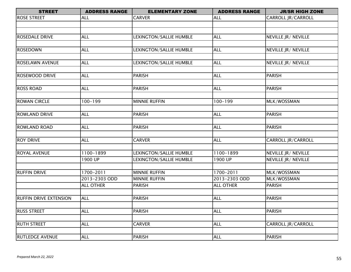| <b>STREET</b>                 | <b>ADDRESS RANGE</b> | <b>ELEMENTARY ZONE</b>         | <b>ADDRESS RANGE</b> | <b>JR/SR HIGH ZONE</b>     |
|-------------------------------|----------------------|--------------------------------|----------------------|----------------------------|
| <b>ROSE STREET</b>            | <b>ALL</b>           | <b>CARVER</b>                  | <b>ALL</b>           | CARROLL JR/CARROLL         |
|                               |                      |                                |                      |                            |
|                               |                      |                                |                      |                            |
| <b>ROSEDALE DRIVE</b>         | <b>ALL</b>           | LEXINGTON/SALLIE HUMBLE        | <b>ALL</b>           | NEVILLE JR/ NEVILLE        |
|                               |                      |                                |                      |                            |
| <b>ROSEDOWN</b>               | <b>ALL</b>           | LEXINGTON/SALLIE HUMBLE        | <b>ALL</b>           | NEVILLE JR/ NEVILLE        |
|                               |                      |                                |                      |                            |
| <b>ROSELAWN AVENUE</b>        | <b>ALL</b>           | LEXINGTON/SALLIE HUMBLE        | <b>ALL</b>           | NEVILLE JR/ NEVILLE        |
|                               |                      |                                |                      |                            |
| <b>ROSEWOOD DRIVE</b>         | <b>ALL</b>           | <b>PARISH</b>                  | <b>ALL</b>           | <b>PARISH</b>              |
|                               |                      |                                |                      |                            |
| <b>ROSS ROAD</b>              | <b>ALL</b>           | <b>PARISH</b>                  | <b>ALL</b>           | <b>PARISH</b>              |
|                               |                      |                                |                      |                            |
| <b>ROWAN CIRCLE</b>           | $100 - 199$          | <b>MINNIE RUFFIN</b>           | $100 - 199$          | MLK/WOSSMAN                |
|                               |                      |                                |                      |                            |
| <b>ROWLAND DRIVE</b>          | <b>ALL</b>           | <b>PARISH</b>                  | <b>ALL</b>           | <b>PARISH</b>              |
|                               |                      |                                |                      |                            |
| <b>ROWLAND ROAD</b>           | <b>ALL</b>           | <b>PARISH</b>                  | <b>ALL</b>           | <b>PARISH</b>              |
|                               |                      |                                |                      |                            |
| <b>ROY DRIVE</b>              | <b>ALL</b>           | <b>CARVER</b>                  | <b>ALL</b>           | CARROLL JR/CARROLL         |
|                               |                      |                                |                      |                            |
| <b>ROYAL AVENUE</b>           | 1100-1899            | LEXINGTON/SALLIE HUMBLE        | 1100-1899            | NEVILLE JR/ NEVILLE        |
|                               | 1900 UP              | <b>LEXINGTON/SALLIE HUMBLE</b> | 1900 UP              | <b>NEVILLE JR/ NEVILLE</b> |
|                               |                      |                                |                      |                            |
| <b>RUFFIN DRIVE</b>           | 1700-2011            | <b>MINNIE RUFFIN</b>           | 1700-2011            | MLK/WOSSMAN                |
|                               | 2013-2303 ODD        | <b>MINNIE RUFFIN</b>           | 2013-2303 ODD        | MLK/WOSSMAN                |
|                               | <b>ALL OTHER</b>     | <b>PARISH</b>                  | <b>ALL OTHER</b>     | <b>PARISH</b>              |
|                               |                      |                                |                      |                            |
| <b>RUFFIN DRIVE EXTENSION</b> | <b>ALL</b>           | <b>PARISH</b>                  | <b>ALL</b>           | <b>PARISH</b>              |
|                               |                      |                                |                      |                            |
| <b>RUSS STREET</b>            | <b>ALL</b>           | <b>PARISH</b>                  | <b>ALL</b>           | <b>PARISH</b>              |
|                               |                      |                                |                      |                            |
| <b>RUTH STREET</b>            | <b>ALL</b>           | <b>CARVER</b>                  | <b>ALL</b>           | <b>CARROLL JR/CARROLL</b>  |
|                               |                      |                                |                      |                            |
| <b>RUTLEDGE AVENUE</b>        | <b>ALL</b>           | <b>PARISH</b>                  | <b>ALL</b>           | <b>PARISH</b>              |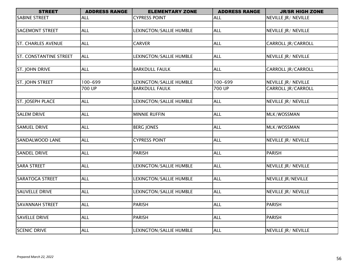| <b>STREET</b>                 | <b>ADDRESS RANGE</b> | <b>ELEMENTARY ZONE</b>  | <b>ADDRESS RANGE</b> | <b>JR/SR HIGH ZONE</b>    |
|-------------------------------|----------------------|-------------------------|----------------------|---------------------------|
| <b>SABINE STREET</b>          | <b>ALL</b>           | <b>CYPRESS POINT</b>    | <b>ALL</b>           | NEVILLE JR/ NEVILLE       |
|                               |                      |                         |                      |                           |
| <b>SAGEMONT STREET</b>        | <b>ALL</b>           | LEXINGTON/SALLIE HUMBLE | <b>ALL</b>           | NEVILLE JR/ NEVILLE       |
|                               |                      |                         |                      |                           |
| <b>ST. CHARLES AVENUE</b>     | <b>ALL</b>           | <b>CARVER</b>           | <b>ALL</b>           | CARROLL JR/CARROLL        |
|                               |                      |                         |                      |                           |
| <b>ST. CONSTANTINE STREET</b> | <b>ALL</b>           | LEXINGTON/SALLIE HUMBLE | <b>ALL</b>           | NEVILLE JR/ NEVILLE       |
|                               |                      |                         |                      |                           |
| ST. JOHN DRIVE                | <b>ALL</b>           | <b>BARKDULL FAULK</b>   | <b>ALL</b>           | CARROLL JR/CARROLL        |
| ST. JOHN STREET               | 100-699              | LEXINGTON/SALLIE HUMBLE | $100 - 699$          | NEVILLE JR/ NEVILLE       |
|                               | 700 UP               | <b>BARKDULL FAULK</b>   | 700 UP               | CARROLL JR/CARROLL        |
|                               |                      |                         |                      |                           |
| ST. JOSEPH PLACE              | <b>ALL</b>           | LEXINGTON/SALLIE HUMBLE | <b>ALL</b>           | NEVILLE JR/ NEVILLE       |
|                               |                      |                         |                      |                           |
| <b>SALEM DRIVE</b>            | <b>ALL</b>           | <b>MINNIE RUFFIN</b>    | <b>ALL</b>           | MLK/WOSSMAN               |
|                               |                      |                         |                      |                           |
| <b>SAMUEL DRIVE</b>           | <b>ALL</b>           | <b>BERG JONES</b>       | <b>ALL</b>           | MLK/WOSSMAN               |
|                               |                      |                         |                      |                           |
| <b>SANDALWOOD LANE</b>        | <b>ALL</b>           | <b>CYPRESS POINT</b>    | <b>ALL</b>           | NEVILLE JR/ NEVILLE       |
|                               |                      |                         |                      |                           |
| <b>SANDEL DRIVE</b>           | <b>ALL</b>           | PARISH                  | <b>ALL</b>           | <b>PARISH</b>             |
| <b>SARA STREET</b>            | <b>ALL</b>           | LEXINGTON/SALLIE HUMBLE | <b>ALL</b>           | NEVILLE JR/ NEVILLE       |
|                               |                      |                         |                      |                           |
| <b>SARATOGA STREET</b>        | <b>ALL</b>           | LEXINGTON/SALLIE HUMBLE | <b>ALL</b>           | <b>NEVILLE JR/NEVILLE</b> |
|                               |                      |                         |                      |                           |
| <b>SAUVELLE DRIVE</b>         | <b>ALL</b>           | LEXINGTON/SALLIE HUMBLE | <b>ALL</b>           | NEVILLE JR/ NEVILLE       |
|                               |                      |                         |                      |                           |
| <b>SAVANNAH STREET</b>        | <b>ALL</b>           | <b>PARISH</b>           | <b>ALL</b>           | <b>PARISH</b>             |
|                               |                      |                         |                      |                           |
| <b>SAVELLE DRIVE</b>          | <b>ALL</b>           | <b>PARISH</b>           | <b>ALL</b>           | PARISH                    |
|                               |                      |                         |                      |                           |
| <b>SCENIC DRIVE</b>           | <b>ALL</b>           | LEXINGTON/SALLIE HUMBLE | <b>ALL</b>           | NEVILLE JR/ NEVILLE       |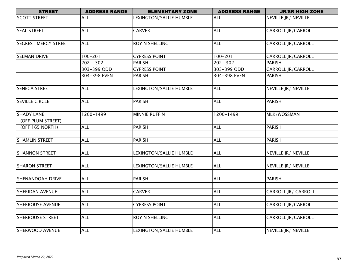| <b>STREET</b>               | <b>ADDRESS RANGE</b> | <b>ELEMENTARY ZONE</b>  | <b>ADDRESS RANGE</b> | <b>JR/SR HIGH ZONE</b>    |
|-----------------------------|----------------------|-------------------------|----------------------|---------------------------|
| <b>SCOTT STREET</b>         | <b>ALL</b>           | LEXINGTON/SALLIE HUMBLE | <b>ALL</b>           | NEVILLE JR/ NEVILLE       |
|                             |                      |                         |                      |                           |
| <b>SEAL STREET</b>          | <b>ALL</b>           | <b>CARVER</b>           | <b>ALL</b>           | CARROLL JR/CARROLL        |
|                             |                      |                         |                      |                           |
| <b>SEGREST MERCY STREET</b> | <b>ALL</b>           | ROY N SHELLING          | <b>ALL</b>           | CARROLL JR/CARROLL        |
|                             |                      |                         |                      |                           |
| <b>SELMAN DRIVE</b>         | $100 - 201$          | <b>CYPRESS POINT</b>    | $100 - 201$          | CARROLL JR/CARROLL        |
|                             | $202 - 302$          | <b>PARISH</b>           | $202 - 302$          | <b>PARISH</b>             |
|                             | 303-399 ODD          | <b>CYPRESS POINT</b>    | 303-399 ODD          | CARROLL JR/CARROLL        |
|                             | 304-398 EVEN         | <b>PARISH</b>           | 304-398 EVEN         | <b>PARISH</b>             |
|                             |                      |                         |                      |                           |
| <b>SENECA STREET</b>        | <b>ALL</b>           | LEXINGTON/SALLIE HUMBLE | <b>ALL</b>           | NEVILLE JR/ NEVILLE       |
|                             |                      |                         |                      |                           |
| <b>SEVILLE CIRCLE</b>       | <b>ALL</b>           | <b>PARISH</b>           | <b>ALL</b>           | <b>PARISH</b>             |
|                             |                      |                         |                      |                           |
| <b>SHADY LANE</b>           | 1200-1499            | <b>MINNIE RUFFIN</b>    | 1200-1499            | MLK/WOSSMAN               |
| (OFF PLUM STREET)           |                      |                         |                      |                           |
| (OFF 165 NORTH)             | <b>ALL</b>           | <b>PARISH</b>           | <b>ALL</b>           | <b>PARISH</b>             |
|                             |                      |                         |                      |                           |
| <b>SHAMLIN STREET</b>       | <b>ALL</b>           | <b>PARISH</b>           | <b>ALL</b>           | <b>PARISH</b>             |
|                             |                      |                         |                      |                           |
| <b>SHANNON STREET</b>       | <b>ALL</b>           | LEXINGTON/SALLIE HUMBLE | <b>ALL</b>           | NEVILLE JR/ NEVILLE       |
|                             |                      |                         |                      |                           |
| <b>SHARON STREET</b>        | <b>ALL</b>           | LEXINGTON/SALLIE HUMBLE | <b>ALL</b>           | NEVILLE JR/ NEVILLE       |
|                             |                      |                         |                      |                           |
| <b>SHENANDOAH DRIVE</b>     | <b>ALL</b>           | <b>PARISH</b>           | <b>ALL</b>           | <b>PARISH</b>             |
|                             |                      |                         |                      |                           |
| <b>SHERIDAN AVENUE</b>      | <b>ALL</b>           | <b>CARVER</b>           | <b>ALL</b>           | CARROLL JR/ CARROLL       |
|                             |                      |                         |                      |                           |
| <b>SHERROUSE AVENUE</b>     | <b>ALL</b>           | <b>CYPRESS POINT</b>    | <b>ALL</b>           | <b>CARROLL JR/CARROLL</b> |
|                             |                      |                         |                      |                           |
| <b>SHERROUSE STREET</b>     | <b>ALL</b>           | ROY N SHELLING          | <b>ALL</b>           | CARROLL JR/CARROLL        |
|                             |                      |                         |                      |                           |
| SHERWOOD AVENUE             | <b>ALL</b>           | LEXINGTON/SALLIE HUMBLE | <b>ALL</b>           | NEVILLE JR/ NEVILLE       |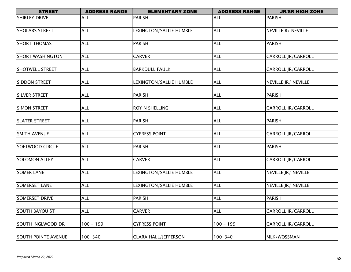| <b>STREET</b>              | <b>ADDRESS RANGE</b> | <b>ELEMENTARY ZONE</b>      | <b>ADDRESS RANGE</b> | <b>JR/SR HIGH ZONE</b>    |
|----------------------------|----------------------|-----------------------------|----------------------|---------------------------|
| <b>SHIRLEY DRIVE</b>       | <b>ALL</b>           | PARISH                      | <b>ALL</b>           | <b>PARISH</b>             |
|                            |                      |                             |                      |                           |
| <b>SHOLARS STREET</b>      | <b>ALL</b>           | LEXINGTON/SALLIE HUMBLE     | <b>ALL</b>           | NEVILLE R/ NEVILLE        |
|                            |                      |                             |                      |                           |
| <b>SHORT THOMAS</b>        | <b>ALL</b>           | <b>PARISH</b>               | <b>ALL</b>           | <b>PARISH</b>             |
|                            |                      |                             |                      |                           |
| <b>SHORT WASHINGTON</b>    | <b>ALL</b>           | <b>CARVER</b>               | <b>ALL</b>           | CARROLL JR/CARROLL        |
|                            |                      |                             |                      |                           |
| SHOTWELL STREET            | <b>ALL</b>           | <b>BARKDULL FAULK</b>       | ALL                  | CARROLL JR/CARROLL        |
|                            |                      |                             |                      |                           |
| <b>SIDDON STREET</b>       | <b>ALL</b>           | LEXINGTON/SALLIE HUMBLE     | <b>ALL</b>           | NEVILLE JR/ NEVILLE       |
|                            |                      |                             | <b>ALL</b>           |                           |
| <b>SILVER STREET</b>       | <b>ALL</b>           | PARISH                      |                      | <b>PARISH</b>             |
| <b>SIMON STREET</b>        | <b>ALL</b>           | ROY N SHELLING              | <b>ALL</b>           | CARROLL JR/CARROLL        |
|                            |                      |                             |                      |                           |
| <b>SLATER STREET</b>       | <b>ALL</b>           | <b>PARISH</b>               | <b>ALL</b>           | <b>PARISH</b>             |
|                            |                      |                             |                      |                           |
| <b>SMITH AVENUE</b>        | <b>ALL</b>           | <b>CYPRESS POINT</b>        | <b>ALL</b>           | CARROLL JR/CARROLL        |
|                            |                      |                             |                      |                           |
| <b>SOFTWOOD CIRCLE</b>     | <b>ALL</b>           | <b>PARISH</b>               | <b>ALL</b>           | <b>PARISH</b>             |
|                            |                      |                             |                      |                           |
| <b>SOLOMON ALLEY</b>       | <b>ALL</b>           | <b>CARVER</b>               | <b>ALL</b>           | CARROLL JR/CARROLL        |
|                            |                      |                             |                      |                           |
| <b>SOMER LANE</b>          | <b>ALL</b>           | LEXINGTON/SALLIE HUMBLE     | <b>ALL</b>           | NEVILLE JR/ NEVILLE       |
|                            |                      |                             |                      |                           |
| <b>SOMERSET LANE</b>       | <b>ALL</b>           | LEXINGTON/SALLIE HUMBLE     | <b>ALL</b>           | NEVILLE JR/ NEVILLE       |
|                            |                      |                             |                      |                           |
| <b>SOMERSET DRIVE</b>      | <b>ALL</b>           | <b>PARISH</b>               | <b>ALL</b>           | <b>PARISH</b>             |
|                            |                      |                             |                      |                           |
| <b>SOUTH BAYOU ST</b>      | <b>ALL</b>           | <b>CARVER</b>               | <b>ALL</b>           | <b>CARROLL JR/CARROLL</b> |
|                            |                      |                             |                      |                           |
| SOUTH INGLWOOD DR          | $100 - 199$          | <b>CYPRESS POINT</b>        | $100 - 199$          | <b>CARROLL JR/CARROLL</b> |
|                            |                      |                             |                      |                           |
| <b>SOUTH POINTE AVENUE</b> | $100 - 340$          | <b>CLARA HALL/JEFFERSON</b> | $100 - 340$          | MLK/WOSSMAN               |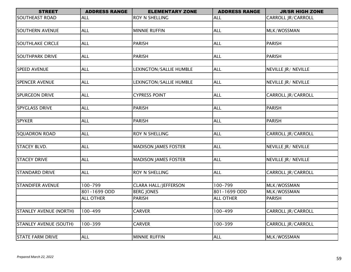| <b>STREET</b>           | <b>ADDRESS RANGE</b> | <b>ELEMENTARY ZONE</b>      | <b>ADDRESS RANGE</b> | <b>JR/SR HIGH ZONE</b>    |
|-------------------------|----------------------|-----------------------------|----------------------|---------------------------|
| <b>SOUTHEAST ROAD</b>   | <b>ALL</b>           | <b>ROY N SHELLING</b>       | <b>ALL</b>           | <b>CARROLL JR/CARROLL</b> |
|                         |                      |                             |                      |                           |
| <b>SOUTHERN AVENUE</b>  | <b>ALL</b>           | <b>MINNIE RUFFIN</b>        | <b>ALL</b>           | MLK/WOSSMAN               |
|                         |                      |                             |                      |                           |
| <b>SOUTHLAKE CIRCLE</b> | <b>ALL</b>           | <b>PARISH</b>               | <b>ALL</b>           | <b>PARISH</b>             |
|                         |                      |                             |                      |                           |
| <b>SOUTHPARK DRIVE</b>  | <b>ALL</b>           | PARISH                      | <b>ALL</b>           | <b>PARISH</b>             |
|                         |                      |                             |                      |                           |
| SPEED AVENUE            | <b>ALL</b>           | LEXINGTON/SALLIE HUMBLE     | ALL                  | NEVILLE JR/ NEVILLE       |
|                         |                      |                             |                      |                           |
| <b>SPENCER AVENUE</b>   | <b>ALL</b>           | LEXINGTON/SALLIE HUMBLE     | <b>ALL</b>           | NEVILLE JR/ NEVILLE       |
|                         |                      |                             |                      |                           |
| <b>SPURGEON DRIVE</b>   | <b>ALL</b>           | <b>CYPRESS POINT</b>        | <b>ALL</b>           | CARROLL JR/CARROLL        |
|                         |                      |                             |                      |                           |
| <b>SPYGLASS DRIVE</b>   | <b>ALL</b>           | <b>PARISH</b>               | <b>ALL</b>           | <b>PARISH</b>             |
|                         |                      |                             |                      |                           |
| <b>SPYKER</b>           | <b>ALL</b>           | <b>PARISH</b>               | <b>ALL</b>           | <b>PARISH</b>             |
|                         |                      |                             |                      |                           |
| <b>SQUADRON ROAD</b>    | <b>ALL</b>           | <b>ROY N SHELLING</b>       | <b>ALL</b>           | CARROLL JR/CARROLL        |
| <b>STACEY BLVD.</b>     | <b>ALL</b>           | <b>MADISON JAMES FOSTER</b> | <b>ALL</b>           | NEVILLE JR/ NEVILLE       |
|                         |                      |                             |                      |                           |
| <b>STACEY DRIVE</b>     | <b>ALL</b>           | <b>MADISON JAMES FOSTER</b> | <b>ALL</b>           | NEVILLE JR/ NEVILLE       |
|                         |                      |                             |                      |                           |
| <b>STANDARD DRIVE</b>   | <b>ALL</b>           | <b>ROY N SHELLING</b>       | <b>ALL</b>           | CARROLL JR/CARROLL        |
|                         |                      |                             |                      |                           |
| <b>STANDIFER AVENUE</b> | 100-799              | <b>CLARA HALL/JEFFERSON</b> | 100-799              | MLK/WOSSMAN               |
|                         | 801-1699 ODD         | <b>BERG JONES</b>           | 801-1699 ODD         | MLK/WOSSMAN               |
|                         | <b>ALL OTHER</b>     | <b>PARISH</b>               | <b>ALL OTHER</b>     | PARISH                    |
|                         |                      |                             |                      |                           |
| STANLEY AVENUE (NORTH)  | 100-499              | <b>CARVER</b>               | 100-499              | CARROLL JR/CARROLL        |
|                         |                      |                             |                      |                           |
| STANLEY AVENUE (SOUTH)  | $100 - 399$          | <b>CARVER</b>               | $100 - 399$          | CARROLL JR/CARROLL        |
|                         |                      |                             |                      |                           |
| <b>STATE FARM DRIVE</b> | <b>ALL</b>           | <b>MINNIE RUFFIN</b>        | <b>ALL</b>           | MLK/WOSSMAN               |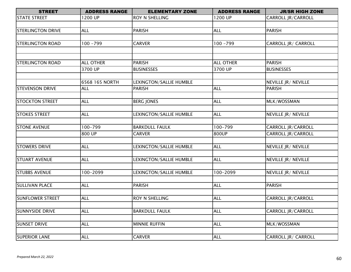| <b>STREET</b>            | <b>ADDRESS RANGE</b> | <b>ELEMENTARY ZONE</b>  | <b>ADDRESS RANGE</b> | <b>JR/SR HIGH ZONE</b>      |
|--------------------------|----------------------|-------------------------|----------------------|-----------------------------|
| <b>STATE STREET</b>      | 1200 UP              | ROY N SHELLING          | 200 UP               | CARROLL JR/CARROLL          |
|                          |                      |                         |                      |                             |
| <b>STERLINGTON DRIVE</b> | <b>ALL</b>           | <b>PARISH</b>           | <b>ALL</b>           | <b>PARISH</b>               |
|                          |                      |                         |                      |                             |
| <b>STERLINGTON ROAD</b>  | $100 - 799$          | <b>CARVER</b>           | $100 - 799$          | CARROLL JR/ CARROLL         |
|                          |                      |                         |                      |                             |
|                          |                      |                         |                      |                             |
| <b>STERLINGTON ROAD</b>  | <b>ALL OTHER</b>     | <b>PARISH</b>           | <b>ALL OTHER</b>     | <b>PARISH</b>               |
|                          | 3700 UP              | <b>BUSINESSES</b>       | 3700 UP              | <b>BUSINESSES</b>           |
|                          |                      |                         |                      |                             |
|                          | 6568 165 NORTH       | LEXINGTON/SALLIE HUMBLE |                      | NEVILLE JR/ NEVILLE         |
| <b>STEVENSON DRIVE</b>   | <b>ALL</b>           | <b>PARISH</b>           | <b>ALL</b>           | <b>PARISH</b>               |
|                          |                      |                         |                      |                             |
| <b>STOCKTON STREET</b>   | <b>ALL</b>           | <b>BERG JONES</b>       | <b>ALL</b>           | MLK/WOSSMAN                 |
|                          |                      |                         |                      |                             |
| <b>STOKES STREET</b>     | <b>ALL</b>           | LEXINGTON/SALLIE HUMBLE | <b>ALL</b>           | NEVILLE JR/ NEVILLE         |
|                          |                      |                         |                      |                             |
| <b>STONE AVENUE</b>      | 100-799              | <b>BARKDULL FAULK</b>   | $100 - 799$          | CARROLL JR/CARROLL          |
|                          | 800 UP               | <b>CARVER</b>           | 800UP                | <b>CARROLL JR/CARROLL</b>   |
|                          |                      |                         |                      |                             |
| <b>STOWERS DRIVE</b>     | <b>ALL</b>           | LEXINGTON/SALLIE HUMBLE | <b>ALL</b>           | <b>NEVILLE JR / NEVILLE</b> |
|                          |                      |                         |                      |                             |
| <b>STUART AVENUE</b>     | <b>ALL</b>           | LEXINGTON/SALLIE HUMBLE | <b>ALL</b>           | NEVILLE JR/ NEVILLE         |
|                          |                      |                         |                      |                             |
| <b>STUBBS AVENUE</b>     | 100-2099             | LEXINGTON/SALLIE HUMBLE | 100-2099             | NEVILLE JR/ NEVILLE         |
|                          |                      |                         |                      |                             |
| <b>SULLIVAN PLACE</b>    | <b>ALL</b>           | <b>PARISH</b>           | <b>ALL</b>           | <b>PARISH</b>               |
|                          |                      |                         |                      |                             |
| <b>SUNFLOWER STREET</b>  | <b>ALL</b>           | ROY N SHELLING          | <b>ALL</b>           | CARROLL JR/CARROLL          |
| <b>SUNNYSIDE DRIVE</b>   | <b>ALL</b>           |                         |                      |                             |
|                          |                      | <b>BARKDULL FAULK</b>   | <b>ALL</b>           | CARROLL JR/CARROLL          |
| <b>SUNSET DRIVE</b>      | <b>ALL</b>           | <b>MINNIE RUFFIN</b>    | <b>ALL</b>           | MLK/WOSSMAN                 |
|                          |                      |                         |                      |                             |
| <b>SUPERIOR LANE</b>     | <b>ALL</b>           | <b>CARVER</b>           | <b>ALL</b>           | <b>CARROLL JR/ CARROLL</b>  |
|                          |                      |                         |                      |                             |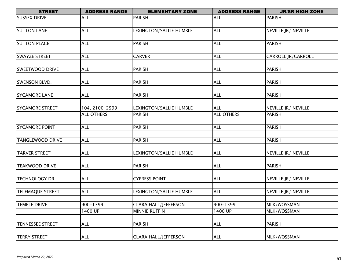| <b>STREET</b>           | <b>ADDRESS RANGE</b> | <b>ELEMENTARY ZONE</b>      | <b>ADDRESS RANGE</b> | <b>JR/SR HIGH ZONE</b> |
|-------------------------|----------------------|-----------------------------|----------------------|------------------------|
| <b>SUSSEX DRIVE</b>     | <b>ALL</b>           | <b>PARISH</b>               | <b>ALL</b>           | <b>PARISH</b>          |
|                         |                      |                             |                      |                        |
| <b>SUTTON LANE</b>      | <b>ALL</b>           | LEXINGTON/SALLIE HUMBLE     | <b>ALL</b>           | NEVILLE JR/ NEVILLE    |
|                         |                      |                             |                      |                        |
| <b>SUTTON PLACE</b>     | <b>ALL</b>           | <b>PARISH</b>               | <b>ALL</b>           | <b>PARISH</b>          |
|                         |                      |                             |                      |                        |
| <b>SWAYZE STREET</b>    | <b>ALL</b>           | <b>CARVER</b>               | <b>ALL</b>           | CARROLL JR/CARROLL     |
|                         |                      |                             |                      |                        |
| <b>SWEETWOOD DRIVE</b>  | <b>ALL</b>           | <b>PARISH</b>               | <b>ALL</b>           | <b>PARISH</b>          |
|                         |                      |                             |                      |                        |
| <b>SWENSON BLVD.</b>    | <b>ALL</b>           | <b>PARISH</b>               | <b>ALL</b>           | <b>PARISH</b>          |
|                         |                      |                             |                      |                        |
| <b>SYCAMORE LANE</b>    | <b>ALL</b>           | <b>PARISH</b>               | <b>ALL</b>           | <b>PARISH</b>          |
|                         |                      |                             |                      |                        |
| <b>SYCAMORE STREET</b>  | 104, 2100-2599       | LEXINGTON/SALLIE HUMBLE     | <b>ALL</b>           | NEVILLE JR/ NEVILLE    |
|                         | <b>ALL OTHERS</b>    | <b>PARISH</b>               | <b>ALL OTHERS</b>    | <b>PARISH</b>          |
|                         |                      |                             |                      |                        |
| <b>SYCAMORE POINT</b>   | <b>ALL</b>           | <b>PARISH</b>               | <b>ALL</b>           | <b>PARISH</b>          |
|                         |                      |                             |                      |                        |
| <b>TANGLEWOOD DRIVE</b> | <b>ALL</b>           | <b>PARISH</b>               | <b>ALL</b>           | <b>PARISH</b>          |
|                         |                      |                             |                      |                        |
| <b>TARVER STREET</b>    | <b>ALL</b>           | LEXINGTON/SALLIE HUMBLE     | <b>ALL</b>           | NEVILLE JR/ NEVILLE    |
|                         |                      |                             |                      |                        |
| <b>TEAKWOOD DRIVE</b>   | <b>ALL</b>           | <b>PARISH</b>               | <b>ALL</b>           | <b>PARISH</b>          |
|                         |                      |                             |                      |                        |
| <b>TECHNOLOGY DR</b>    | <b>ALL</b>           | <b>CYPRESS POINT</b>        | <b>ALL</b>           | NEVILLE JR/ NEVILLE    |
|                         |                      |                             |                      |                        |
| <b>TELEMAQUE STREET</b> | <b>ALL</b>           | LEXINGTON/SALLIE HUMBLE     | <b>ALL</b>           | NEVILLE JR/ NEVILLE    |
|                         |                      |                             |                      |                        |
| <b>TEMPLE DRIVE</b>     | 900-1399             | <b>CLARA HALL/JEFFERSON</b> | 900-1399             | MLK/WOSSMAN            |
|                         | 1400 UP              | <b>MINNIE RUFFIN</b>        | 1400 UP              | MLK/WOSSMAN            |
|                         |                      |                             |                      |                        |
| <b>TENNESSEE STREET</b> | <b>ALL</b>           | <b>PARISH</b>               | <b>ALL</b>           | <b>PARISH</b>          |
|                         |                      |                             |                      |                        |
| <b>TERRY STREET</b>     | <b>ALL</b>           | <b>CLARA HALL/JEFFERSON</b> | <b>ALL</b>           | MLK/WOSSMAN            |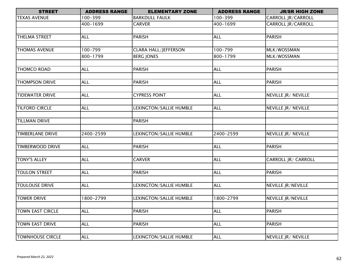| <b>STREET</b>           | <b>ADDRESS RANGE</b> | <b>ELEMENTARY ZONE</b>      | <b>ADDRESS RANGE</b> | <b>JR/SR HIGH ZONE</b>    |
|-------------------------|----------------------|-----------------------------|----------------------|---------------------------|
| <b>TEXAS AVENUE</b>     | 100-399              | <b>BARKDULL FAULK</b>       | 100-399              | CARROLL JR/CARROLL        |
|                         | 400-1699             | <b>CARVER</b>               | 400-1699             | <b>CARROLL JR/CARROLL</b> |
|                         |                      |                             |                      |                           |
| <b>THELMA STREET</b>    | <b>ALL</b>           | <b>PARISH</b>               | <b>ALL</b>           | <b>PARISH</b>             |
|                         |                      |                             |                      |                           |
| <b>THOMAS AVENUE</b>    | 100-799              | <b>CLARA HALL/JEFFERSON</b> | 100-799              | MLK/WOSSMAN               |
|                         | 800-1799             | <b>BERG JONES</b>           | 800-1799             | MLK/WOSSMAN               |
|                         |                      |                             |                      |                           |
| <b>THOMCO ROAD</b>      | <b>ALL</b>           | <b>PARISH</b>               | <b>ALL</b>           | <b>PARISH</b>             |
|                         |                      |                             |                      |                           |
| <b>THOMPSON DRIVE</b>   | <b>ALL</b>           | <b>PARISH</b>               | <b>ALL</b>           | <b>PARISH</b>             |
|                         |                      |                             |                      |                           |
| <b>TIDEWATER DRIVE</b>  | <b>ALL</b>           | <b>CYPRESS POINT</b>        | <b>ALL</b>           | NEVILLE JR/ NEVILLE       |
|                         |                      |                             |                      |                           |
| <b>TILFORD CIRCLE</b>   | <b>ALL</b>           | LEXINGTON/SALLIE HUMBLE     | <b>ALL</b>           | NEVILLE JR/ NEVILLE       |
|                         |                      |                             |                      |                           |
| <b>TILLMAN DRIVE</b>    |                      | <b>PARISH</b>               |                      |                           |
|                         |                      |                             |                      |                           |
| <b>TIMBERLANE DRIVE</b> | 2400-2599            | LEXINGTON/SALLIE HUMBLE     | 2400-2599            | NEVILLE JR/ NEVILLE       |
|                         |                      |                             |                      |                           |
| <b>TIMBERWOOD DRIVE</b> | <b>ALL</b>           | <b>PARISH</b>               | <b>ALL</b>           | <b>PARISH</b>             |
|                         |                      |                             |                      |                           |
| <b>TONY'S ALLEY</b>     | <b>ALL</b>           | <b>CARVER</b>               | <b>ALL</b>           | CARROLL JR/ CARROLL       |
|                         |                      |                             |                      |                           |
| <b>TOULON STREET</b>    | <b>ALL</b>           | <b>PARISH</b>               | <b>ALL</b>           | <b>PARISH</b>             |
|                         |                      |                             |                      |                           |
| <b>TOULOUSE DRIVE</b>   | <b>ALL</b>           | LEXINGTON/SALLIE HUMBLE     | <b>ALL</b>           | <b>NEVILLE JR/NEVILLE</b> |
|                         |                      |                             |                      |                           |
| <b>TOWER DRIVE</b>      | 1800-2799            | LEXINGTON/SALLIE HUMBLE     | 1800-2799            | <b>NEVILLE JR/NEVILLE</b> |
|                         |                      |                             |                      |                           |
| <b>TOWN EAST CIRCLE</b> | <b>ALL</b>           | <b>PARISH</b>               | <b>ALL</b>           | <b>PARISH</b>             |
|                         |                      |                             |                      |                           |
| TOWN EAST DRIVE         | <b>ALL</b>           | <b>PARISH</b>               | <b>ALL</b>           | <b>PARISH</b>             |
|                         |                      |                             |                      |                           |
| <b>TOWNHOUSE CIRCLE</b> | <b>ALL</b>           | LEXINGTON/SALLIE HUMBLE     | <b>ALL</b>           | NEVILLE JR/ NEVILLE       |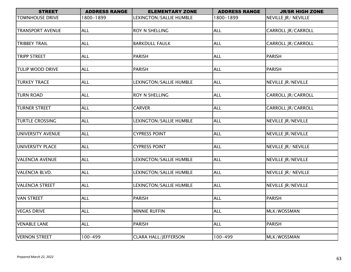| <b>STREET</b>           | <b>ADDRESS RANGE</b> | <b>ELEMENTARY ZONE</b>      | <b>ADDRESS RANGE</b> | <b>JR/SR HIGH ZONE</b>    |
|-------------------------|----------------------|-----------------------------|----------------------|---------------------------|
| <b>TOWNHOUSE DRIVE</b>  | 1800-1899            | LEXINGTON/SALLIE HUMBLE     | 1800-1899            | NEVILLE JR/ NEVILLE       |
|                         |                      |                             |                      |                           |
| <b>TRANSPORT AVENUE</b> | <b>ALL</b>           | ROY N SHELLING              | <b>ALL</b>           | CARROLL JR/CARROLL        |
|                         |                      |                             |                      |                           |
| <b>TRIBBEY TRAIL</b>    | <b>ALL</b>           | <b>BARKDULL FAULK</b>       | <b>ALL</b>           | CARROLL JR/CARROLL        |
|                         |                      |                             |                      |                           |
| <b>TRIPP STREET</b>     | <b>ALL</b>           | <b>PARISH</b>               | <b>ALL</b>           | <b>PARISH</b>             |
|                         |                      |                             |                      |                           |
| <b>TULIP WOOD DRIVE</b> | <b>ALL</b>           | <b>PARISH</b>               | <b>ALL</b>           | <b>PARISH</b>             |
|                         |                      |                             |                      |                           |
| <b>TURKEY TRACE</b>     | <b>ALL</b>           | LEXINGTON/SALLIE HUMBLE     | <b>ALL</b>           | <b>NEVILLE JR/NEVILLE</b> |
|                         |                      |                             |                      |                           |
| <b>TURN ROAD</b>        | <b>ALL</b>           | ROY N SHELLING              | <b>ALL</b>           | <b>CARROLL JR/CARROLL</b> |
|                         |                      |                             |                      |                           |
| <b>TURNER STREET</b>    | <b>ALL</b>           | <b>CARVER</b>               | <b>ALL</b>           | <b>CARROLL JR/CARROLL</b> |
|                         |                      |                             |                      |                           |
| <b>TURTLE CROSSING</b>  | <b>ALL</b>           | LEXINGTON/SALLIE HUMBLE     | <b>ALL</b>           | <b>NEVILLE JR/NEVILLE</b> |
|                         |                      |                             |                      |                           |
| UNIVERSITY AVENUE       | <b>ALL</b>           | <b>CYPRESS POINT</b>        | <b>ALL</b>           | <b>NEVILLE JR/NEVILLE</b> |
|                         |                      |                             |                      |                           |
| UNIVERSITY PLACE        | <b>ALL</b>           | <b>CYPRESS POINT</b>        | <b>ALL</b>           | NEVILLE JR/ NEVILLE       |
|                         |                      |                             |                      |                           |
| <b>VALENCIA AVENUE</b>  | <b>ALL</b>           | LEXINGTON/SALLIE HUMBLE     | <b>ALL</b>           | NEVILLE JR/NEVILLE        |
|                         |                      |                             |                      |                           |
| VALENCIA BLVD.          | <b>ALL</b>           | LEXINGTON/SALLIE HUMBLE     | <b>ALL</b>           | NEVILLE JR/ NEVILLE       |
|                         |                      |                             |                      |                           |
| <b>VALENCIA STREET</b>  | <b>ALL</b>           | LEXINGTON/SALLIE HUMBLE     | <b>ALL</b>           | NEVILLE JR/NEVILLE        |
|                         |                      |                             |                      |                           |
| <b>VAN STREET</b>       | <b>ALL</b>           | <b>PARISH</b>               | <b>ALL</b>           | <b>PARISH</b>             |
|                         |                      |                             |                      |                           |
| <b>VEGAS DRIVE</b>      | <b>ALL</b>           | <b>MINNIE RUFFIN</b>        | <b>ALL</b>           | MLK/WOSSMAN               |
| <b>VENABLE LANE</b>     | <b>ALL</b>           | <b>PARISH</b>               | <b>ALL</b>           | <b>PARISH</b>             |
|                         |                      |                             |                      |                           |
| <b>VERNON STREET</b>    | 100-499              | <b>CLARA HALL/JEFFERSON</b> | $100 - 499$          | MLK/WOSSMAN               |
|                         |                      |                             |                      |                           |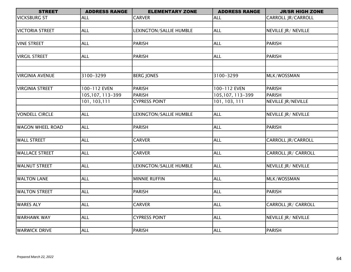| <b>STREET</b>           | <b>ADDRESS RANGE</b> | <b>ELEMENTARY ZONE</b>  | <b>ADDRESS RANGE</b> | <b>JR/SR HIGH ZONE</b>    |
|-------------------------|----------------------|-------------------------|----------------------|---------------------------|
| <b>VICKSBURG ST</b>     | ALL                  | <b>CARVER</b>           | <b>ALL</b>           | CARROLL JR/CARROLL        |
|                         |                      |                         |                      |                           |
| <b>VICTORIA STREET</b>  | <b>ALL</b>           | LEXINGTON/SALLIE HUMBLE | <b>ALL</b>           | NEVILLE JR/ NEVILLE       |
|                         |                      |                         |                      |                           |
| <b>VINE STREET</b>      | <b>ALL</b>           | <b>PARISH</b>           | <b>ALL</b>           | <b>PARISH</b>             |
|                         |                      |                         |                      |                           |
| <b>VIRGIL STREET</b>    | <b>ALL</b>           | <b>PARISH</b>           | <b>ALL</b>           | <b>PARISH</b>             |
|                         |                      |                         |                      |                           |
|                         |                      |                         |                      |                           |
| <b>VIRGINIA AVENUE</b>  | 3100-3299            | <b>BERG JONES</b>       | 3100-3299            | MLK/WOSSMAN               |
|                         |                      |                         |                      |                           |
| <b>VIRGINIA STREET</b>  | 100-112 EVEN         | <b>PARISH</b>           | 100-112 EVEN         | <b>PARISH</b>             |
|                         | 105,107, 113-399     | <b>PARISH</b>           | 105,107, 113-399     | <b>PARISH</b>             |
|                         | 101, 103, 111        | <b>CYPRESS POINT</b>    | 101, 103, 111        | <b>NEVILLE JR/NEVILLE</b> |
|                         |                      |                         |                      |                           |
| <b>VONDELL CIRCLE</b>   | <b>ALL</b>           | LEXINGTON/SALLIE HUMBLE | <b>ALL</b>           | NEVILLE JR/ NEVILLE       |
|                         |                      |                         |                      |                           |
| <b>WAGON WHEEL ROAD</b> | <b>ALL</b>           | <b>PARISH</b>           | <b>ALL</b>           | <b>PARISH</b>             |
|                         |                      |                         |                      |                           |
| <b>WALL STREET</b>      | <b>ALL</b>           | <b>CARVER</b>           | <b>ALL</b>           | CARROLL JR/CARROLL        |
|                         |                      |                         |                      |                           |
| <b>WALLACE STREET</b>   | <b>ALL</b>           | <b>CARVER</b>           | <b>ALL</b>           | CARROLL JR/ CARROLL       |
|                         |                      |                         |                      |                           |
| <b>WALNUT STREET</b>    | <b>ALL</b>           | LEXINGTON/SALLIE HUMBLE | <b>ALL</b>           | NEVILLE JR/ NEVILLE       |
|                         |                      |                         |                      |                           |
| <b>WALTON LANE</b>      | <b>ALL</b>           | <b>MINNIE RUFFIN</b>    | <b>ALL</b>           | MLK/WOSSMAN               |
|                         |                      |                         |                      |                           |
| <b>WALTON STREET</b>    | <b>ALL</b>           | <b>PARISH</b>           | <b>ALL</b>           | <b>PARISH</b>             |
|                         |                      |                         |                      |                           |
| <b>WARES ALY</b>        | <b>ALL</b>           | <b>CARVER</b>           | <b>ALL</b>           | CARROLL JR/ CARROLL       |
|                         |                      |                         |                      |                           |
| <b>WARHAWK WAY</b>      | <b>ALL</b>           | <b>CYPRESS POINT</b>    | <b>ALL</b>           | NEVILLE JR/ NEVILLE       |
|                         |                      |                         |                      |                           |
| <b>WARWICK DRIVE</b>    | <b>ALL</b>           | <b>PARISH</b>           | <b>ALL</b>           | <b>PARISH</b>             |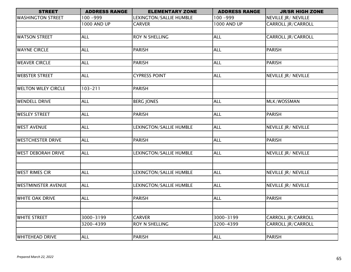| <b>STREET</b>              | <b>ADDRESS RANGE</b> | <b>ELEMENTARY ZONE</b>  | <b>ADDRESS RANGE</b> | <b>JR/SR HIGH ZONE</b>    |
|----------------------------|----------------------|-------------------------|----------------------|---------------------------|
| <b>WASHINGTON STREET</b>   | 100 -999             | LEXINGTON/SALLIE HUMBLE | 100 - 999            | NEVILLE JR/ NEVILLE       |
|                            | 1000 AND UP          | <b>CARVER</b>           | 1000 AND UP          | CARROLL JR/CARROLL        |
|                            |                      |                         |                      |                           |
| <b>WATSON STREET</b>       | <b>ALL</b>           | ROY N SHELLING          | <b>ALL</b>           | <b>CARROLL JR/CARROLL</b> |
|                            |                      |                         |                      |                           |
| <b>WAYNE CIRCLE</b>        | <b>ALL</b>           | <b>PARISH</b>           | <b>ALL</b>           | <b>PARISH</b>             |
|                            |                      |                         |                      |                           |
| <b>WEAVER CIRCLE</b>       | <b>ALL</b>           | <b>PARISH</b>           | <b>ALL</b>           | <b>PARISH</b>             |
|                            |                      |                         |                      |                           |
| <b>WEBSTER STREET</b>      | <b>ALL</b>           | <b>CYPRESS POINT</b>    | <b>ALL</b>           | NEVILLE JR/ NEVILLE       |
|                            |                      |                         |                      |                           |
| <b>WELTON WILEY CIRCLE</b> | $103 - 211$          | <b>PARISH</b>           |                      |                           |
|                            |                      |                         |                      |                           |
| <b>WENDELL DRIVE</b>       | <b>ALL</b>           | <b>BERG JONES</b>       | <b>ALL</b>           | MLK/WOSSMAN               |
|                            |                      |                         |                      |                           |
| <b>WESLEY STREET</b>       | <b>ALL</b>           | <b>PARISH</b>           | <b>ALL</b>           | <b>PARISH</b>             |
|                            |                      |                         |                      |                           |
| <b>WEST AVENUE</b>         | <b>ALL</b>           | LEXINGTON/SALLIE HUMBLE | <b>ALL</b>           | NEVILLE JR/ NEVILLE       |
|                            |                      |                         |                      |                           |
| <b>WESTCHESTER DRIVE</b>   | <b>ALL</b>           | <b>PARISH</b>           | <b>ALL</b>           | <b>PARISH</b>             |
|                            |                      |                         |                      |                           |
| <b>WEST DEBORAH DRIVE</b>  | <b>ALL</b>           | LEXINGTON/SALLIE HUMBLE | <b>ALL</b>           | NEVILLE JR/ NEVILLE       |
|                            |                      |                         |                      |                           |
|                            |                      |                         |                      |                           |
| <b>WEST RIMES CIR</b>      | <b>ALL</b>           | LEXINGTON/SALLIE HUMBLE | <b>ALL</b>           | NEVILLE JR/ NEVILLE       |
|                            |                      |                         |                      |                           |
| <b>WESTMINISTER AVENUE</b> | <b>ALL</b>           | LEXINGTON/SALLIE HUMBLE | <b>ALL</b>           | NEVILLE JR/ NEVILLE       |
| <b>WHITE OAK DRIVE</b>     | <b>ALL</b>           | <b>PARISH</b>           | <b>ALL</b>           | <b>PARISH</b>             |
|                            |                      |                         |                      |                           |
|                            |                      |                         |                      |                           |
| <b>WHITE STREET</b>        | 3000-3199            | <b>CARVER</b>           | 3000-3199            | CARROLL JR/CARROLL        |
|                            | 3200-4399            | <b>ROY N SHELLING</b>   | 3200-4399            | CARROLL JR/CARROLL        |
|                            |                      |                         |                      |                           |
| <b>WHITEHEAD DRIVE</b>     | <b>ALL</b>           | <b>PARISH</b>           | <b>ALL</b>           | <b>PARISH</b>             |
|                            |                      |                         |                      |                           |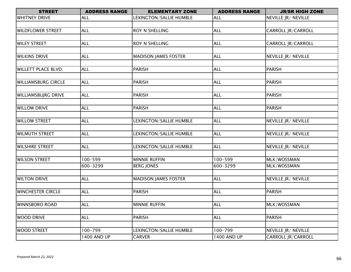| <b>ADDRESS RANGE</b> | <b>ELEMENTARY ZONE</b>                                                                                                                                                                                  | <b>ADDRESS RANGE</b>                                                                                                                                                                                                                                                                                        | <b>JR/SR HIGH ZONE</b>                                                                                                                                                                                  |
|----------------------|---------------------------------------------------------------------------------------------------------------------------------------------------------------------------------------------------------|-------------------------------------------------------------------------------------------------------------------------------------------------------------------------------------------------------------------------------------------------------------------------------------------------------------|---------------------------------------------------------------------------------------------------------------------------------------------------------------------------------------------------------|
| <b>ALL</b>           | LEXINGTON/SALLIE HUMBLE                                                                                                                                                                                 | <b>ALL</b>                                                                                                                                                                                                                                                                                                  | NEVILLE JR/ NEVILLE                                                                                                                                                                                     |
|                      |                                                                                                                                                                                                         |                                                                                                                                                                                                                                                                                                             |                                                                                                                                                                                                         |
| <b>ALL</b>           | ROY N SHELLING                                                                                                                                                                                          | <b>ALL</b>                                                                                                                                                                                                                                                                                                  | CARROLL JR/CARROLL                                                                                                                                                                                      |
|                      |                                                                                                                                                                                                         |                                                                                                                                                                                                                                                                                                             |                                                                                                                                                                                                         |
| <b>ALL</b>           | ROY N SHELLING                                                                                                                                                                                          | <b>ALL</b>                                                                                                                                                                                                                                                                                                  | CARROLL JR/CARROLL                                                                                                                                                                                      |
|                      |                                                                                                                                                                                                         |                                                                                                                                                                                                                                                                                                             |                                                                                                                                                                                                         |
| <b>ALL</b>           | <b>MADISON JAMES FOSTER</b>                                                                                                                                                                             | <b>ALL</b>                                                                                                                                                                                                                                                                                                  | NEVILLE JR/ NEVILLE                                                                                                                                                                                     |
|                      |                                                                                                                                                                                                         |                                                                                                                                                                                                                                                                                                             |                                                                                                                                                                                                         |
|                      | <b>PARISH</b>                                                                                                                                                                                           |                                                                                                                                                                                                                                                                                                             | <b>PARISH</b>                                                                                                                                                                                           |
|                      |                                                                                                                                                                                                         |                                                                                                                                                                                                                                                                                                             |                                                                                                                                                                                                         |
|                      |                                                                                                                                                                                                         |                                                                                                                                                                                                                                                                                                             | <b>PARISH</b>                                                                                                                                                                                           |
|                      |                                                                                                                                                                                                         |                                                                                                                                                                                                                                                                                                             |                                                                                                                                                                                                         |
|                      |                                                                                                                                                                                                         |                                                                                                                                                                                                                                                                                                             | <b>PARISH</b>                                                                                                                                                                                           |
|                      |                                                                                                                                                                                                         |                                                                                                                                                                                                                                                                                                             |                                                                                                                                                                                                         |
|                      |                                                                                                                                                                                                         |                                                                                                                                                                                                                                                                                                             | <b>PARISH</b>                                                                                                                                                                                           |
|                      |                                                                                                                                                                                                         |                                                                                                                                                                                                                                                                                                             |                                                                                                                                                                                                         |
|                      |                                                                                                                                                                                                         |                                                                                                                                                                                                                                                                                                             | NEVILLE JR/ NEVILLE                                                                                                                                                                                     |
|                      |                                                                                                                                                                                                         |                                                                                                                                                                                                                                                                                                             |                                                                                                                                                                                                         |
|                      |                                                                                                                                                                                                         |                                                                                                                                                                                                                                                                                                             | NEVILLE JR/ NEVILLE                                                                                                                                                                                     |
|                      |                                                                                                                                                                                                         |                                                                                                                                                                                                                                                                                                             |                                                                                                                                                                                                         |
|                      |                                                                                                                                                                                                         |                                                                                                                                                                                                                                                                                                             | NEVILLE JR/ NEVILLE                                                                                                                                                                                     |
|                      |                                                                                                                                                                                                         |                                                                                                                                                                                                                                                                                                             |                                                                                                                                                                                                         |
|                      |                                                                                                                                                                                                         |                                                                                                                                                                                                                                                                                                             | MLK/WOSSMAN                                                                                                                                                                                             |
|                      |                                                                                                                                                                                                         |                                                                                                                                                                                                                                                                                                             | MLK/WOSSMAN                                                                                                                                                                                             |
|                      |                                                                                                                                                                                                         |                                                                                                                                                                                                                                                                                                             |                                                                                                                                                                                                         |
|                      |                                                                                                                                                                                                         |                                                                                                                                                                                                                                                                                                             | NEVILLE JR/ NEVILLE                                                                                                                                                                                     |
|                      |                                                                                                                                                                                                         |                                                                                                                                                                                                                                                                                                             | <b>PARISH</b>                                                                                                                                                                                           |
|                      |                                                                                                                                                                                                         |                                                                                                                                                                                                                                                                                                             |                                                                                                                                                                                                         |
|                      |                                                                                                                                                                                                         |                                                                                                                                                                                                                                                                                                             | MLK/WOSSMAN                                                                                                                                                                                             |
|                      |                                                                                                                                                                                                         |                                                                                                                                                                                                                                                                                                             |                                                                                                                                                                                                         |
|                      |                                                                                                                                                                                                         |                                                                                                                                                                                                                                                                                                             | <b>PARISH</b>                                                                                                                                                                                           |
|                      |                                                                                                                                                                                                         |                                                                                                                                                                                                                                                                                                             |                                                                                                                                                                                                         |
|                      |                                                                                                                                                                                                         |                                                                                                                                                                                                                                                                                                             | NEVILLE JR/ NEVILLE                                                                                                                                                                                     |
|                      |                                                                                                                                                                                                         |                                                                                                                                                                                                                                                                                                             | <b>CARROLL JR/CARROLL</b>                                                                                                                                                                               |
|                      | <b>ALL</b><br><b>ALL</b><br><b>ALL</b><br><b>ALL</b><br><b>ALL</b><br><b>ALL</b><br><b>ALL</b><br>100-599<br>600-3299<br><b>ALL</b><br><b>ALL</b><br><b>ALL</b><br><b>ALL</b><br>100-799<br>1400 AND UP | <b>PARISH</b><br>PARISH<br><b>PARISH</b><br>LEXINGTON/SALLIE HUMBLE<br>LEXINGTON/SALLIE HUMBLE<br>LEXINGTON/SALLIE HUMBLE<br><b>MINNIE RUFFIN</b><br><b>BERG JONES</b><br><b>MADISON JAMES FOSTER</b><br><b>PARISH</b><br><b>MINNIE RUFFIN</b><br><b>PARISH</b><br>LEXINGTON/SALLIE HUMBLE<br><b>CARVER</b> | <b>ALL</b><br><b>ALL</b><br><b>ALL</b><br><b>ALL</b><br><b>ALL</b><br><b>ALL</b><br><b>ALL</b><br>100-599<br>600-3299<br><b>ALL</b><br><b>ALL</b><br><b>ALL</b><br><b>ALL</b><br>100-799<br>1400 AND UP |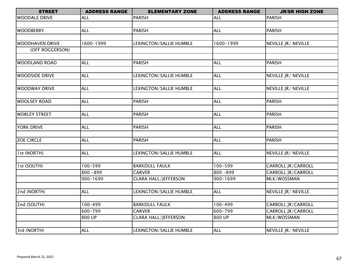| <b>STREET</b>          | <b>ADDRESS RANGE</b> | <b>ELEMENTARY ZONE</b>      | <b>ADDRESS RANGE</b> | <b>JR/SR HIGH ZONE</b>    |
|------------------------|----------------------|-----------------------------|----------------------|---------------------------|
| <b>WOODALE DRIVE</b>   | <b>ALL</b>           | <b>PARISH</b>               | <b>ALL</b>           | <b>PARISH</b>             |
|                        |                      |                             |                      |                           |
| <b>WOODBERRY</b>       | <b>ALL</b>           | <b>PARISH</b>               | <b>ALL</b>           | <b>PARISH</b>             |
|                        |                      |                             |                      |                           |
| <b>WOODHAVEN DRIVE</b> | 1600-1999            | LEXINGTON/SALLIE HUMBLE     | 1600-1999            | NEVILLE JR/ NEVILLE       |
| (OFF ROGGERSON)        |                      |                             |                      |                           |
|                        |                      |                             |                      |                           |
| <b>WOODLAND ROAD</b>   | <b>ALL</b>           | <b>PARISH</b>               | <b>ALL</b>           | <b>PARISH</b>             |
|                        |                      |                             |                      |                           |
| <b>WOODSIDE DRIVE</b>  | <b>ALL</b>           | LEXINGTON/SALLIE HUMBLE     | ALL                  | NEVILLE JR/ NEVILLE       |
|                        |                      |                             |                      |                           |
| <b>WOODWAY DRIVE</b>   | <b>ALL</b>           | LEXINGTON/SALLIE HUMBLE     | <b>ALL</b>           | NEVILLE JR/ NEVILLE       |
|                        |                      |                             |                      |                           |
| <b>WOOLSEY ROAD</b>    | <b>ALL</b>           | <b>PARISH</b>               | <b>ALL</b>           | <b>PARISH</b>             |
|                        |                      |                             |                      |                           |
| <b>WORLEY STREET</b>   | <b>ALL</b>           | <b>PARISH</b>               | <b>ALL</b>           | <b>PARISH</b>             |
|                        |                      |                             |                      |                           |
| <b>YORK DRIVE</b>      | <b>ALL</b>           | <b>PARISH</b>               | <b>ALL</b>           | <b>PARISH</b>             |
|                        |                      |                             |                      |                           |
| <b>ZOE CIRCLE</b>      | <b>ALL</b>           | <b>PARISH</b>               | <b>ALL</b>           | <b>PARISH</b>             |
|                        |                      |                             |                      |                           |
| 1st (NORTH)            | <b>ALL</b>           | LEXINGTON/SALLIE HUMBLE     | <b>ALL</b>           | NEVILLE JR/ NEVILLE       |
|                        |                      |                             |                      |                           |
| 1st (SOUTH)            | 100-599              | <b>BARKDULL FAULK</b>       | 100-599              | CARROLL JR/CARROLL        |
|                        | 800 - 899            | <b>CARVER</b>               | $800 - 899$          | CARROLL JR/CARROLL        |
|                        | 900-1699             | <b>CLARA HALL/JEFFERSON</b> | 900-1699             | MLK/WOSSMAN               |
|                        |                      |                             |                      |                           |
| 2nd (NORTH)            | <b>ALL</b>           | LEXINGTON/SALLIE HUMBLE     | <b>ALL</b>           | NEVILLE JR/ NEVILLE       |
|                        |                      |                             |                      |                           |
| 2nd (SOUTH)            | 100-499              | <b>BARKDULL FAULK</b>       | $100 - 499$          | <b>CARROLL JR/CARROLL</b> |
|                        | 600-799              | <b>CARVER</b>               | 600-799              | CARROLL JR/CARROLL        |
|                        | 800 UP               | <b>CLARA HALL/JEFFERSON</b> | 800 UP               | MLK/WOSSMAN               |
|                        |                      |                             |                      |                           |
| 3rd (NORTH)            | <b>ALL</b>           | LEXINGTON/SALLIE HUMBLE     | <b>ALL</b>           | NEVILLE JR/ NEVILLE       |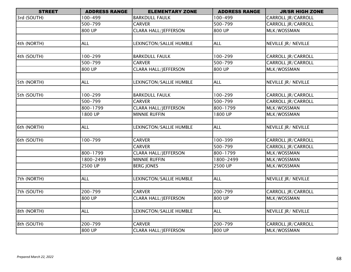| <b>STREET</b> | <b>ADDRESS RANGE</b> | <b>ELEMENTARY ZONE</b>         | <b>ADDRESS RANGE</b> | <b>JR/SR HIGH ZONE</b>    |
|---------------|----------------------|--------------------------------|----------------------|---------------------------|
| 3rd (SOUTH)   | 100-499              | <b>BARKDULL FAULK</b>          | 100-499              | CARROLL JR/CARROLL        |
|               | 500-799              | <b>CARVER</b>                  | 500-799              | CARROLL JR/CARROLL        |
|               | 800 UP               | <b>CLARA HALL/JEFFERSON</b>    | 800 UP               | MLK/WOSSMAN               |
|               |                      |                                |                      |                           |
| 4th (NORTH)   | <b>ALL</b>           | LEXINGTON/SALLIE HUMBLE        | <b>ALL</b>           | NEVILLE JR/ NEVILLE       |
|               |                      |                                |                      |                           |
| 4th (SOUTH)   | 100-299              | <b>BARKDULL FAULK</b>          | 100-299              | <b>CARROLL JR/CARROLL</b> |
|               | 500-799              | <b>CARVER</b>                  | $500 - 799$          | CARROLL JR/CARROLL        |
|               | 800 UP               | <b>CLARA HALL/JEFFERSON</b>    | 800 UP               | MLK/WOSSMAN               |
|               |                      |                                |                      |                           |
| 5th (NORTH)   | <b>ALL</b>           | <b>LEXINGTON/SALLIE HUMBLE</b> | <b>ALL</b>           | NEVILLE JR/ NEVILLE       |
|               |                      |                                |                      |                           |
| 5th (SOUTH)   | 100-299              | <b>BARKDULL FAULK</b>          | 100-299              | CARROLL JR/CARROLL        |
|               | 500-799              | <b>CARVER</b>                  | 500-799              | <b>CARROLL JR/CARROLL</b> |
|               | 800-1799             | <b>CLARA HALL/JEFFERSON</b>    | 800-1799             | MLK/WOSSMAN               |
|               | 1800 UP              | <b>MINNIE RUFFIN</b>           | 1800 UP              | MLK/WOSSMAN               |
|               |                      |                                |                      |                           |
| 6th (NORTH)   | <b>ALL</b>           | LEXINGTON/SALLIE HUMBLE        | <b>ALL</b>           | NEVILLE JR/ NEVILLE       |
|               |                      |                                |                      |                           |
| 6th (SOUTH)   | 100-799              | <b>CARVER</b>                  | 100-399              | <b>CARROLL JR/CARROLL</b> |
|               |                      | <b>CARVER</b>                  | 500-799              | CARROLL JR/CARROLL        |
|               | 800-1799             | <b>CLARA HALL/JEFFERSON</b>    | 800-1799             | MLK/WOSSMAN               |
|               | 1800-2499            | <b>MINNIE RUFFIN</b>           | 1800-2499            | MLK/WOSSMAN               |
|               | 2500 UP              | <b>BERG JONES</b>              | 2500 UP              | MLK/WOSSMAN               |
|               |                      |                                |                      |                           |
| 7th (NORTH)   | <b>ALL</b>           | LEXINGTON/SALLIE HUMBLE        | <b>ALL</b>           | NEVILLE JR/ NEVILLE       |
|               |                      |                                |                      |                           |
| 7th (SOUTH)   | 200-799              | <b>CARVER</b>                  | 200-799              | <b>CARROLL JR/CARROLL</b> |
|               | 800 UP               | <b>CLARA HALL/JEFFERSON</b>    | 800 UP               | MLK/WOSSMAN               |
|               |                      |                                |                      |                           |
| 8th (NORTH)   | <b>ALL</b>           | LEXINGTON/SALLIE HUMBLE        | <b>ALL</b>           | NEVILLE JR/ NEVILLE       |
|               |                      |                                |                      |                           |
| 8th (SOUTH)   | 200-799              | <b>CARVER</b>                  | 200-799              | CARROLL JR/CARROLL        |
|               | 800 UP               | <b>CLARA HALL/JEFFERSON</b>    | 800 UP               | MLK/WOSSMAN               |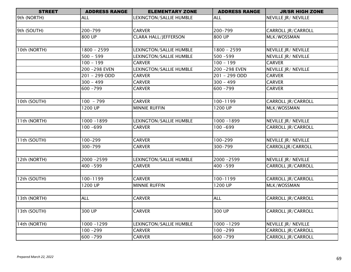| <b>STREET</b> | <b>ADDRESS RANGE</b>    | <b>ELEMENTARY ZONE</b>      | <b>ADDRESS RANGE</b> | <b>JR/SR HIGH ZONE</b>    |
|---------------|-------------------------|-----------------------------|----------------------|---------------------------|
| 9th (NORTH)   | <b>ALL</b>              | LEXINGTON/SALLIE HUMBLE     | <b>ALL</b>           | NEVILLE JR/ NEVILLE       |
|               |                         |                             |                      |                           |
| 9th (SOUTH)   | 200-799                 | <b>CARVER</b>               | 200-799              | CARROLL JR/CARROLL        |
|               | 800 UP                  | <b>CLARA HALL/JEFFERSON</b> | 800 UP               | MLK/WOSSMAN               |
|               |                         |                             |                      |                           |
| 10th (NORTH)  | $1800 - 2599$           | LEXINGTON/SALLIE HUMBLE     | $1800 - 2599$        | NEVILLE JR/ NEVILLE       |
|               | $500 - 599$             | LEXINGTON/SALLIE HUMBLE     | $500 - 599$          | NEVILLE JR/ NEVILLE       |
|               | $100 - 199$             | <b>CARVER</b>               | $100 - 199$          | <b>CARVER</b>             |
|               | 200 - 298 EVEN          | LEXINGTON/SALLIE HUMBLE     | 200 - 298 EVEN       | NEVILLE JR/ NEVILLE       |
|               | 201 - 299 ODD           | <b>CARVER</b>               | 201 - 299 ODD        | <b>CARVER</b>             |
|               | $300 - 499$             | <b>CARVER</b>               | $300 - 499$          | <b>CARVER</b>             |
|               | 600 - 799               | <b>CARVER</b>               | 600 - 799            | <b>CARVER</b>             |
|               |                         |                             |                      |                           |
| I 0th (SOUTH) | $100 - 799$             | <b>CARVER</b>               | 100-1199             | <b>CARROLL JR/CARROLL</b> |
|               | 1200 UP                 | <b>MINNIE RUFFIN</b>        | 1200 UP              | MLK/WOSSMAN               |
|               |                         |                             |                      |                           |
| 11th (NORTH)  | $\frac{1000 - 1899}{ }$ | LEXINGTON/SALLIE HUMBLE     | $1000 - 1899$        | NEVILLE JR/ NEVILLE       |
|               | $100 - 699$             | <b>CARVER</b>               | $100 - 699$          | <b>CARROLL JR/CARROLL</b> |
|               |                         |                             |                      |                           |
| 11th (SOUTH)  | 100-299                 | <b>CARVER</b>               | 100-299              | NEVILLE JR/ NEVILLE       |
|               | 300-799                 | <b>CARVER</b>               | 300-799              | CARROLLJR/CARROLL         |
|               |                         |                             |                      |                           |
| 2th (NORTH)   | 2000-2599               | LEXINGTON/SALLIE HUMBLE     | 2000 - 2599          | NEVILLE JR/ NEVILLE       |
|               | $400 - 599$             | <b>CARVER</b>               | $400 - 599$          | <b>CARROLL JR/CARROLL</b> |
|               |                         |                             |                      |                           |
| 12th (SOUTH)  | 100-1199                | <b>CARVER</b>               | 100-1199             | CARROLL JR/CARROLL        |
|               | 1200 UP                 | <b>MINNIE RUFFIN</b>        | 1200 UP              | MLK/WOSSMAN               |
|               |                         |                             |                      |                           |
| 13th (NORTH)  | <b>ALL</b>              | <b>CARVER</b>               | <b>ALL</b>           | <b>CARROLL JR/CARROLL</b> |
|               |                         |                             |                      |                           |
| 13th (SOUTH)  | 300 UP                  | <b>CARVER</b>               | 300 UP               | CARROLL JR/CARROLL        |
|               |                         |                             |                      |                           |
| 14th (NORTH)  | 1000-1299               | LEXINGTON/SALLIE HUMBLE     | 1000-1299            | NEVILLE JR/ NEVILLE       |
|               | $100 - 299$             | <b>CARVER</b>               | $100 - 299$          | CARROLL JR/CARROLL        |
|               | $600 - 799$             | <b>CARVER</b>               | 600 - 799            | CARROLL JR/CARROLL        |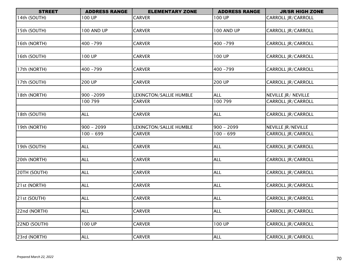| <b>STREET</b> | <b>ADDRESS RANGE</b> | <b>ELEMENTARY ZONE</b>  | <b>ADDRESS RANGE</b> | <b>JR/SR HIGH ZONE</b>    |
|---------------|----------------------|-------------------------|----------------------|---------------------------|
| 14th (SOUTH)  | 100 UP               | <b>CARVER</b>           | 100 UP               | CARROLL JR/CARROLL        |
|               |                      |                         |                      |                           |
| 15th (SOUTH)  | <b>100 AND UP</b>    | <b>CARVER</b>           | <b>100 AND UP</b>    | <b>CARROLL JR/CARROLL</b> |
|               |                      |                         |                      |                           |
| 16th (NORTH)  | $400 - 799$          | <b>CARVER</b>           | $400 - 799$          | <b>CARROLL JR/CARROLL</b> |
|               |                      |                         |                      |                           |
| 16th (SOUTH)  | 100 UP               | <b>CARVER</b>           | 100 UP               | CARROLL JR/CARROLL        |
|               |                      |                         |                      |                           |
| 17th (NORTH)  | $400 - 799$          | <b>CARVER</b>           | $400 - 799$          | CARROLL JR/CARROLL        |
|               |                      |                         |                      |                           |
| 17th (SOUTH)  | 200 UP               | <b>CARVER</b>           | 200 UP               | <b>CARROLL JR/CARROLL</b> |
|               |                      |                         |                      |                           |
| 18th (NORTH)  | 900-2099             | LEXINGTON/SALLIE HUMBLE | <b>ALL</b>           | NEVILLE JR/ NEVILLE       |
|               | 100 799              | <b>CARVER</b>           | 100 799              | CARROLL JR/CARROLL        |
|               |                      |                         |                      |                           |
| 18th (SOUTH)  | <b>ALL</b>           | <b>CARVER</b>           | <b>ALL</b>           | CARROLL JR/CARROLL        |
|               |                      |                         |                      |                           |
| 19th (NORTH)  | $900 - 2099$         | LEXINGTON/SALLIE HUMBLE | $900 - 2099$         | NEVILLE JR/NEVILLE        |
|               | $100 - 699$          | <b>CARVER</b>           | $100 - 699$          | <b>CARROLL JR/CARROLL</b> |
|               |                      |                         |                      |                           |
| 19th (SOUTH)  | ALL                  | <b>CARVER</b>           | <b>ALL</b>           | <b>CARROLL JR/CARROLL</b> |
|               |                      |                         |                      |                           |
| 20th (NORTH)  | <b>ALL</b>           | <b>CARVER</b>           | <b>ALL</b>           | <b>CARROLL JR/CARROLL</b> |
|               |                      |                         |                      |                           |
| 20TH (SOUTH)  | <b>ALL</b>           | <b>CARVER</b>           | <b>ALL</b>           | <b>CARROLL JR/CARROLL</b> |
|               |                      |                         |                      |                           |
| 21st (NORTH)  | <b>ALL</b>           | <b>CARVER</b>           | <b>ALL</b>           | <b>CARROLL JR/CARROLL</b> |
|               |                      |                         |                      |                           |
| 21st (SOUTH)  | <b>ALL</b>           | <b>CARVER</b>           | <b>ALL</b>           | CARROLL JR/CARROLL        |
|               |                      |                         |                      |                           |
| 22nd (NORTH)  | <b>ALL</b>           | <b>CARVER</b>           | <b>ALL</b>           | <b>CARROLL JR/CARROLL</b> |
|               | 100 UP               |                         | 100 UP               | CARROLL JR/CARROLL        |
| 22ND (SOUTH)  |                      | <b>CARVER</b>           |                      |                           |
|               |                      | <b>CARVER</b>           |                      |                           |
| 23rd (NORTH)  | <b>ALL</b>           |                         | <b>ALL</b>           | CARROLL JR/CARROLL        |